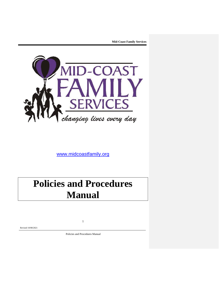

[www.midcoastfamily.org](http://www.midcoastfamily.org/)

## **Policies and Procedures Manual**

Revised 10/08/2021

Policies and Procedures Manual

1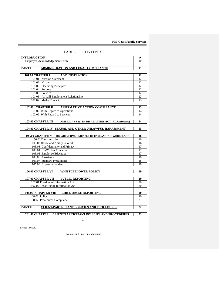|                    | <b>INTRODUCTION</b>                           |                                                                   |                      |
|--------------------|-----------------------------------------------|-------------------------------------------------------------------|----------------------|
|                    | Employee Acknowledgement Form                 |                                                                   | 10                   |
| <b>PART I</b>      |                                               | <b>ADMINISTRATION AND LEGAL COMPLIANCE</b>                        | 11                   |
|                    |                                               |                                                                   |                      |
| 101.00 CHAPTER I   |                                               | <b>ADMINISTRATION</b>                                             | 12                   |
|                    | 101.01 Mission Statement                      |                                                                   | 12                   |
|                    | 101.02 Vision                                 |                                                                   | 12                   |
|                    | 101.03 Operating Principles<br>101.04 Purpose |                                                                   | 12<br>12             |
|                    | $101.05$ Policies                             |                                                                   | 12                   |
|                    |                                               | 101.06 At-Will Employment Relationship                            | 12                   |
|                    | 101.07 Media Contact                          |                                                                   | 13                   |
| 102.00 CHAPTER II  |                                               |                                                                   | 13                   |
|                    | 101.02 With Regard to Operations              | <b>AFFIRMATIVE ACTION COMPLIANCE</b>                              | 14                   |
|                    | 102.02 With Regard to Services                |                                                                   | 14                   |
|                    |                                               |                                                                   |                      |
| 103.00 CHAPTER III |                                               | AMERICANS WITH DISABILITIES ACT (ADA/ADAAA)                       | 14                   |
|                    |                                               | 104.00 CHAPTER IV SEXUAL AND OTHER UNLAWFUL HARASSMENT            | 15                   |
|                    |                                               |                                                                   |                      |
|                    |                                               | 105.00 CHAPTER V HIV/AIDS, COMMUNICABLE DISEASE AND THE WORKPLACE | 16                   |
|                    | 150.01 Discrimination                         |                                                                   |                      |
|                    | 105.02 Desire and Ability to Work             |                                                                   | 16<br>16             |
|                    |                                               | 105.03 Confidentiality and Privacy                                |                      |
|                    | 105.04 Co-Worker Concerns                     |                                                                   |                      |
|                    | 105.05 Employee Education                     |                                                                   |                      |
|                    | 105.06 Assistance                             |                                                                   | 17<br>17<br>17<br>18 |
|                    | 105.07 Standard Precautions                   |                                                                   |                      |
|                    | 105.08 Exposure Incident                      |                                                                   |                      |
| 106.00 CHAPTER VI  |                                               | <b>WHISTLEBLOWER POLICY</b>                                       | 18<br>19<br>19       |
|                    | 107.00 CHAPTER VII                            | <b>PUBLIC REPORTING</b>                                           | 20                   |
|                    |                                               | 107.01 Freedom of Information Act                                 |                      |
|                    |                                               | 107.02 Texas Public Information Act                               |                      |
|                    | 108.00 CHAPTER VIII                           | <b>CHILD ABUSE REPORTING</b>                                      | 20<br>20<br>20       |
| 108.01 Policy      |                                               |                                                                   |                      |
|                    | 108.02 Procedure: Compliance                  |                                                                   |                      |
| <b>PART II</b>     |                                               | <b>CLIENT/PARTICIPANT POLICIES AND PROCEDURES</b>                 | 20<br>21<br>22       |

2

Revised 10/08/2021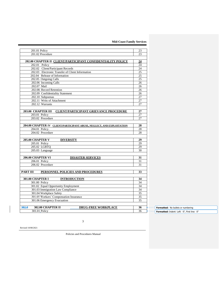| 201.01 Policy                                                         | 23     |
|-----------------------------------------------------------------------|--------|
| 201.02 Procedure                                                      | 23     |
| 202.00 CHAPTER II CLIENT/PARTICIPANT CONFIDENTIALITY POLICY           | 24     |
| 202.01 Policy                                                         | 24     |
| 202.02 Client/Participant Records                                     | 24     |
| 202.03 Electronic Transfer of Client Information                      | 25     |
| 202.04 Release of Information                                         | 25     |
| 202.05 Outgoing Calls                                                 | 25     |
| 202.06 Incoming Calls                                                 | 26     |
| 202.07 Mail                                                           | 26     |
| 202.08. Record Retention                                              | 26     |
| 202.09 Confidentiality Statement                                      | 26     |
| 202.10 Subpoenas                                                      | 27     |
| 202.11 Writs of Attachment                                            | $27\,$ |
| 202.12 Warrants                                                       | 27     |
|                                                                       |        |
| 203.00 CHAPTER III<br><b>CLIENT/PARTICIPANT GRIEVANCE PROCEDURE</b>   | 27     |
| 203.01 Policy                                                         | 27     |
| 203.02 Procedure                                                      | 27     |
|                                                                       |        |
| 204.00 CHAPTER IV CLIENT/PARTICIPANT ABUSE, NEGLECT, AND EXPLOITATION | 28     |
| 204.01 Policy.                                                        | 28     |
| 204.02 Procedure                                                      | 28     |
|                                                                       |        |
| 205.00 CHAPTER V<br><b>DIVERSITY</b>                                  | 29     |
| 205.01 Policy                                                         | 29     |
| 205.02 LGBTQ                                                          | 29     |
| 205.03 Language                                                       | 30     |
|                                                                       |        |
| 206.00 CHAPTER VI<br><b>DISASTER SERVICES</b>                         | 31     |
| 206.01 Policy                                                         | 31     |
| 206.02 Procedure                                                      | 31     |
|                                                                       |        |
| <b>PART III</b><br>PERSONNEL POLICIES AND PROCEDURES                  | 33     |
|                                                                       |        |
| <b>301.00 CHAPTER I</b><br><b>INTRODUCTION</b>                        | 34     |
| 301.00 Policy                                                         | 34     |
| 301.02 Equal Opportunity Employment                                   | 34     |
| 301.03 Immigration Law Compliance                                     | 34     |
| 301.04 Workplace Safety                                               | 35     |
| 301.05 Workers' Compensation Insurance                                | 35     |
| 301.06 Emergency Evacuation                                           | 35     |
|                                                                       |        |
| 302.0<br>302.00 CHAPTER II<br><b>DRUG-FREE WORKPLACE</b>              | 36     |
| 301.01 Policy                                                         | 36     |

**Formatted:** No bullets or numbering **Formatted:** Indent: Left: 0", First line: 0"

3

Revised 10/08/2021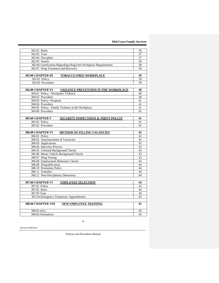| 302.02 Rules                       |                                                                 | 36       |
|------------------------------------|-----------------------------------------------------------------|----------|
| 302.03 Tests                       |                                                                 | 37       |
| 302.04 Discipline                  |                                                                 | 37       |
| 302.05 Search                      |                                                                 | 38       |
|                                    | 302.06 Certification Regarding Drug Free Workplace Requirements | 38       |
| 302.07 Drug Treatment and Recovery |                                                                 | 39       |
|                                    |                                                                 |          |
| <b>303.00 CHAPTER III</b>          | <b>TOBACCO-FREE WORKPLACE</b>                                   | 39       |
| 303.01 Policy                      |                                                                 | 39       |
| 303.02 Procedure                   |                                                                 | 39       |
| <b>304.00 CHAPTER VI</b>           | VIOLENCE PREVENTION IN THE WORKPLACE                            | 40       |
| 304.01 Policy: Workplace Violence  |                                                                 | 40       |
| 304.02 Procedure                   |                                                                 | 40       |
| 304.03 Policy: Weapons             |                                                                 | 41       |
| 304.04 Procedure                   |                                                                 | 41       |
|                                    | 304.05 Policy: Family Violence in the Workplace                 | 41       |
| 304.06 Procedure                   |                                                                 | 41       |
|                                    |                                                                 |          |
| 305.00 CHAPTER V                   | <b>SECURITY INSPECTIONS &amp; THEFT POLCIY</b>                  | 41       |
| 305.01 Policy                      |                                                                 | 41       |
| 305.02 Procedure                   |                                                                 | 42       |
|                                    |                                                                 |          |
| 306.00 CHAPTER VI                  | <b>METHOD OF FILLING VACANCIES</b>                              | 42       |
| 306.01 Policy                      |                                                                 | 42       |
| 306.02 Announcement of Vacancies   |                                                                 | 42       |
| 306.03 Applications                |                                                                 | 42       |
| 306.04 Interview Process           |                                                                 | 43       |
| 306.05 Criminal Background Checks  |                                                                 | 43       |
|                                    | 306.06 Motor Vehicle Background Checks                          | 43       |
| 306.07 Drug Testing                |                                                                 | 43       |
| 306.08 Employment Reference Checks |                                                                 | 43       |
| 306.09 Disqualification            |                                                                 | 44       |
| 306.10 Promotion Policy            |                                                                 | 44       |
| 306.11 Transfers                   |                                                                 | 44       |
| 306.12 Non-Disciplinary Demotions  |                                                                 | 44       |
| 307.00 CHAPTER VI                  | <b>EMPLOYEE SELECTION</b>                                       | 44       |
| 307.01 Policy                      |                                                                 | 41       |
| 307.02 Basis                       |                                                                 | 44       |
| 307.03 Type                        |                                                                 | 44       |
|                                    | 307.04 Emergency Temporary Appointments                         | 45       |
|                                    |                                                                 |          |
|                                    | <b>NEW EMPLOYEE TRAINING</b>                                    | 45       |
| 308.00 CHAPTER VIII                |                                                                 |          |
|                                    |                                                                 |          |
| 308.01 olicy<br>308.02 Orientation |                                                                 | 45<br>45 |

4

Revised 10/08/2021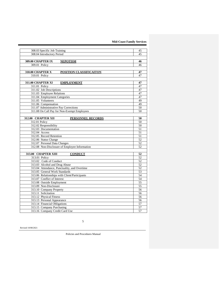| 308.03 Specific Job Training                   |                          | 45       |
|------------------------------------------------|--------------------------|----------|
| 308.04 Introductory Period                     |                          | 45       |
|                                                |                          |          |
| 309.00 CHAPTER IX                              | <b>NEPOTISM</b>          | 46       |
| 309.01 Policy                                  |                          | 46       |
| 310.00 CHAPTER X                               |                          | 47       |
| 310.01 Policy                                  | POSITION CLASSIFICAITON  | 47       |
|                                                |                          |          |
| 311.00 CHAPTER XI                              | <b>EMPLOYMENT</b>        | 47       |
| 311.01 Policy                                  |                          | 47       |
| 311.02 Job Descriptions                        |                          | 47       |
| 311.03 Employee Relations                      |                          | 47       |
| 311.04 Employment Categories                   |                          | 47       |
| 311.05 Volunteers                              |                          | 49       |
| 311.06 Compensation                            |                          | 49       |
| 311.07 Administrative Pay Corrections          |                          | 50       |
| 311.08 On Call Pay for Non-Exempt Employees    |                          | 50       |
|                                                |                          |          |
| 312.00 CHAPTER XII                             | <b>PERSONNEL RECORDS</b> | 50       |
| 312.01 Policy                                  |                          | 50       |
| 312.02 Responsibility                          |                          | 50       |
| 312.03 Documentation                           |                          | 51       |
| $312.04$ Access                                |                          | 51       |
| 312.05 Record Retention                        |                          | 51       |
| 312.06 Status Change                           |                          | 52       |
| 312.07 Personal Data Changes                   |                          | 52       |
| 312.08 Non-Disclosure of Employee Information  |                          | 52       |
|                                                |                          |          |
| 313.00 CHAPTER XIII                            | <b>CONDUCT</b>           | 52       |
| 313.01 Policy                                  |                          | 52       |
| 313.02 Code of Conduct                         |                          | 52       |
| 313.03 Alcohol and Drug Abuse                  |                          | 52       |
| 313.04 Attendance, Punctuality, and Overtime   |                          | 52       |
| 313.05 General Work Standards                  |                          | 53       |
| 313.06 Relationships with Client/Participants  |                          | 54       |
| 313.07 Conflict of Interest                    |                          | 54       |
| 313.08 Outside Employment                      |                          | 55<br>55 |
| 313.09 Non-Disclosure                          |                          |          |
| 313.10 Company Property<br>313.11 Solicitation |                          | 56<br>56 |
| 313.12 Physical Fitness                        |                          | 56       |
| 313.13 Personal Appearance                     |                          | 56       |
| 313.14 Financial Obligations                   |                          | 57       |
| 313.15 Company Purchasing                      |                          | 57       |
| 313.16 Company Credit Card Use                 |                          | 57       |
|                                                |                          |          |

5

Revised 10/08/2021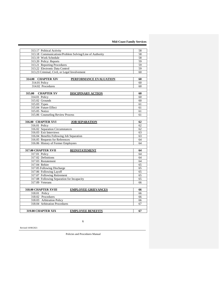|                          | 58                                                                                                                                                                                                                                                                                                                                                                                                                                                                                                                                                                                                                              |
|--------------------------|---------------------------------------------------------------------------------------------------------------------------------------------------------------------------------------------------------------------------------------------------------------------------------------------------------------------------------------------------------------------------------------------------------------------------------------------------------------------------------------------------------------------------------------------------------------------------------------------------------------------------------|
|                          | 58                                                                                                                                                                                                                                                                                                                                                                                                                                                                                                                                                                                                                              |
|                          | 58                                                                                                                                                                                                                                                                                                                                                                                                                                                                                                                                                                                                                              |
|                          | 59                                                                                                                                                                                                                                                                                                                                                                                                                                                                                                                                                                                                                              |
|                          | 59                                                                                                                                                                                                                                                                                                                                                                                                                                                                                                                                                                                                                              |
|                          | 59                                                                                                                                                                                                                                                                                                                                                                                                                                                                                                                                                                                                                              |
|                          | 60                                                                                                                                                                                                                                                                                                                                                                                                                                                                                                                                                                                                                              |
| PERFORMANCE EVALUATION   | 60                                                                                                                                                                                                                                                                                                                                                                                                                                                                                                                                                                                                                              |
|                          | 60                                                                                                                                                                                                                                                                                                                                                                                                                                                                                                                                                                                                                              |
|                          | 60                                                                                                                                                                                                                                                                                                                                                                                                                                                                                                                                                                                                                              |
|                          | 60                                                                                                                                                                                                                                                                                                                                                                                                                                                                                                                                                                                                                              |
|                          | 60                                                                                                                                                                                                                                                                                                                                                                                                                                                                                                                                                                                                                              |
|                          | 60                                                                                                                                                                                                                                                                                                                                                                                                                                                                                                                                                                                                                              |
|                          | 61                                                                                                                                                                                                                                                                                                                                                                                                                                                                                                                                                                                                                              |
|                          | 61                                                                                                                                                                                                                                                                                                                                                                                                                                                                                                                                                                                                                              |
|                          | 61                                                                                                                                                                                                                                                                                                                                                                                                                                                                                                                                                                                                                              |
|                          |                                                                                                                                                                                                                                                                                                                                                                                                                                                                                                                                                                                                                                 |
|                          | 61                                                                                                                                                                                                                                                                                                                                                                                                                                                                                                                                                                                                                              |
| <b>JOB SEPARATION</b>    | 62                                                                                                                                                                                                                                                                                                                                                                                                                                                                                                                                                                                                                              |
|                          | 62                                                                                                                                                                                                                                                                                                                                                                                                                                                                                                                                                                                                                              |
|                          | 62                                                                                                                                                                                                                                                                                                                                                                                                                                                                                                                                                                                                                              |
|                          | 63                                                                                                                                                                                                                                                                                                                                                                                                                                                                                                                                                                                                                              |
|                          | 63                                                                                                                                                                                                                                                                                                                                                                                                                                                                                                                                                                                                                              |
|                          | 64                                                                                                                                                                                                                                                                                                                                                                                                                                                                                                                                                                                                                              |
|                          | 64                                                                                                                                                                                                                                                                                                                                                                                                                                                                                                                                                                                                                              |
|                          | 64                                                                                                                                                                                                                                                                                                                                                                                                                                                                                                                                                                                                                              |
|                          | 64                                                                                                                                                                                                                                                                                                                                                                                                                                                                                                                                                                                                                              |
|                          | 64                                                                                                                                                                                                                                                                                                                                                                                                                                                                                                                                                                                                                              |
|                          | 64                                                                                                                                                                                                                                                                                                                                                                                                                                                                                                                                                                                                                              |
|                          | 65                                                                                                                                                                                                                                                                                                                                                                                                                                                                                                                                                                                                                              |
|                          | 65                                                                                                                                                                                                                                                                                                                                                                                                                                                                                                                                                                                                                              |
|                          | 65                                                                                                                                                                                                                                                                                                                                                                                                                                                                                                                                                                                                                              |
|                          | 65                                                                                                                                                                                                                                                                                                                                                                                                                                                                                                                                                                                                                              |
|                          | 65                                                                                                                                                                                                                                                                                                                                                                                                                                                                                                                                                                                                                              |
|                          | 66                                                                                                                                                                                                                                                                                                                                                                                                                                                                                                                                                                                                                              |
|                          |                                                                                                                                                                                                                                                                                                                                                                                                                                                                                                                                                                                                                                 |
|                          | 66                                                                                                                                                                                                                                                                                                                                                                                                                                                                                                                                                                                                                              |
|                          | 66                                                                                                                                                                                                                                                                                                                                                                                                                                                                                                                                                                                                                              |
|                          | 66                                                                                                                                                                                                                                                                                                                                                                                                                                                                                                                                                                                                                              |
|                          | 66                                                                                                                                                                                                                                                                                                                                                                                                                                                                                                                                                                                                                              |
|                          | 67                                                                                                                                                                                                                                                                                                                                                                                                                                                                                                                                                                                                                              |
| <b>EMPLOYEE BENEFITS</b> | 67                                                                                                                                                                                                                                                                                                                                                                                                                                                                                                                                                                                                                              |
|                          | 313.18 Communications/Problem Solving/Line of Authority<br>313.21 Reporting Procedures<br>313.22 Electronic Data Control<br>313.23 Criminal, Civil, or Legal Involvement<br><b>DISCIPINARY ACTION</b><br>315.06 Counseling Review Process<br>316.02 Separation Circumstances<br>316.04 Benefits Following Job Separation<br>316.05 Requests for References<br>316.06 History of Former Employees<br><b>REINSTATEMENT</b><br>317.05 Following Discharge<br>317.07 Following Retirement<br>317.08 Following Separation for Incapacity<br><b>EMPLOYEE GRIEVANCES</b><br>318.03 Arbitration Policy<br>318.04 Arbitration Procedures |

6

Revised 10/08/2021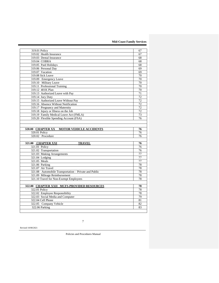| 319.01 Policy                                                                         | 67       |
|---------------------------------------------------------------------------------------|----------|
| 319.02 Health Insurance                                                               | 67       |
| 319.03 Dental Insurance                                                               | 68       |
| 319.04 COBRA                                                                          | 68       |
| 319.05 Paid Holidays                                                                  | 68       |
| 319.06 Personal Day                                                                   | 69       |
| 319.07 Vacation                                                                       | 69       |
| 319.08 Sick Leave                                                                     | 70       |
| 319.09 Emergency Leave                                                                | 70       |
| 319.10 Military Leave                                                                 | 70       |
| 319.11 Professional Training                                                          | 70       |
| 319.12 401K Plan                                                                      | 70       |
| 319.13 Authorized Leave with Pay                                                      | 71       |
| 319.14 Jury Duty                                                                      | 72       |
| 319.15 Authorized Leave Without Pay                                                   | 72       |
| 319.16 Absence Without Notification                                                   | 72       |
| 319.17 Pregnancy and Maternity                                                        | 72       |
| 319.18 Injury or Illness on the Job                                                   | 72       |
| 319.19 Family Medical Leave Act (FMLA)                                                | 73       |
| 319.20 Flexible Spending Account (FSA)                                                | 76       |
|                                                                                       |          |
|                                                                                       |          |
| 320.00 CHAPTER XX<br><b>MOTOR VEHICLE ACCIDENTS</b>                                   | 76       |
| 320.01 Policy                                                                         | 76       |
| 320.02 Procedure                                                                      | 76       |
| 321.00 CHAPTER XXI<br><b>TRAVEL</b>                                                   | 76       |
| 321.01 Policy                                                                         | 76       |
| 321.02 Transportation                                                                 | 76       |
| 321.03 Making Arrangements                                                            | 77       |
| 321.04 Lodging                                                                        | 77       |
| 321.05 Meals                                                                          | 77       |
| 321.06 Parking                                                                        | 78       |
| 321.07 Air Travel                                                                     | 78       |
|                                                                                       | 78       |
| 321.08 Automobile Transportation - Private and Public<br>321.09 Mileage Reimbursement | 78       |
| 321.10 Travel for Non-Exempt Employees                                                | 78       |
|                                                                                       |          |
| 322.00 CHAPTER XXII MCFS-PROVIDED RESOURCES                                           | 78       |
| 322.01 Policy                                                                         | 78       |
| 322.02 Employee Responsibility                                                        | 78       |
| 322.03 Social Media and Computer                                                      | 79       |
| 322.04 Cell Phone<br>322.05 Company Vehicle                                           | 81<br>82 |

7

Revised 10/08/2021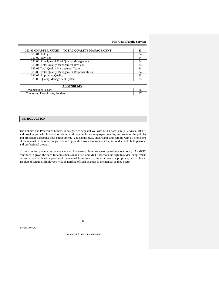| 323.00 CHAPTER XXXIII TOTAL OUALITY MANAGEMENT   | 83 |
|--------------------------------------------------|----|
| 323.01 Policy                                    | 84 |
| 323.02 Revision                                  | 84 |
| 323.03 Principles of Total Quality Management    | 84 |
| 323.04 Total Quality Management Revision         | 84 |
| 323.05 Total Quality Management Team             |    |
| 323.06 Total Quality Management Responsibilities | 84 |
| 323.07 Improving Quality                         | 85 |
| 323.08 Quality Management System                 | 85 |
|                                                  |    |
| <b>ADDENDUMS</b>                                 |    |
| Organizational Chart                             | 86 |
| Clients and Participants, Funders                | 87 |

## **INTRODUCTION**

The Policies and Procedures Manual is designed to acquaint you with Mid-Coast Family Services (MCFS) and provide you with information about working conditions, employee benefits, and some of the policies and procedures affecting your employment. You should read, understand, and comply with all provisions of the manual. One of our objectives is to provide a work environment that is conducive to both personal and professional growth.

No policies and procedures manual can anticipate every circumstance or question about policy. As MCFS continues to grow, the need for adjustments may arise, and MCFS reserves the right to revise, supplement, or rescind any policies or portion of the manual from time to time as it deems appropriate, in its sole and absolute discretion. Employees will, be notified of such changes to the manual as they occur.

8

Revised 10/08/2021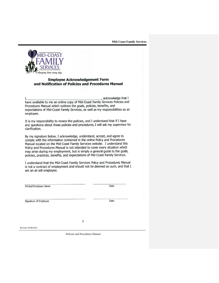

## **Employee Acknowledgement Form** and Notification of Policies and Procedures Manual

, acknowledge that I  $I_{\prime}$ have available to me an online copy of Mid-Coast Family Services Policies and Procedures Manual which outlines the goals, policies, benefits, and expectations of Mid-Coast Family Services, as well as my responsibilities as an employee.

It is my responsibility to review the policies, and I understand that if I have any questions about these policies and procedures, I will ask my supervisor for clarification.

By my signature below, I acknowledge, understand, accept, and agree to comply with the information contained in the online Policy and Procedures Manual located on the Mid-Coast Family Services website. I understand this Policy and Procedures Manual is not intended to cover every situation which may arise during my employment, but is simply a general guide to the goals, policies, practices, benefits, and expectations of Mid-Coast Family Services.

I understand that the Mid-Coast Family Services Policy and Procedures Manual is not a contract of employment and should not be deemed as such, and that I am an at-will employee.

Printed Employee Name

Date

Signature of Employee

Date

9

Revised 10/08/2021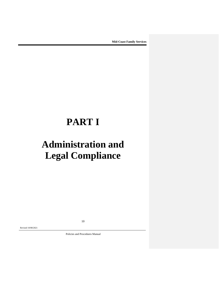## **PART I**

# **Administration and Legal Compliance**

10

Revised 10/08/2021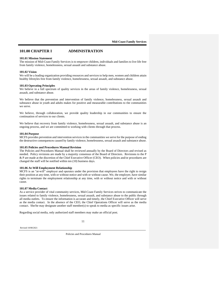## **101.00 CHAPTER I ADMINISTRATION**

## **101.01 Mission Statement**

The mission of Mid-Coast Family Services is to empower children, individuals and families to live life free from family violence, homelessness, sexual assault and substance abuse.

## **101.02 Vision**

We will be a leading organization providing resources and services to help men, women and children attain healthy lifestyles free from family violence, homelessness, sexual assault, and substance abuse.

## **101.03 Operating Principles**

We believe in a full spectrum of quality services in the areas of family violence, homelessness, sexual assault, and substance abuse.

We believe that the prevention and intervention of family violence, homelessness, sexual assault and substance abuse in youth and adults makes for positive and measurable contributions to the communities we serve.

We believe, through collaboration, we provide quality leadership in our communities to ensure the continuation of services to our clients.

We believe that recovery from family violence, homelessness, sexual assault, and substance abuse is an ongoing process, and we are committed to working with clients through that process.

#### **101.04 Purpose**

MCFS provides prevention and intervention services in the communities we serve for the purpose of ending the destructive consequences caused by family violence, homelessness, sexual assault and substance abuse.

## **101.05 Policies and Procedures Manual Revision**

The Policies and Procedures Manual shall be reviewed annually by the Board of Directors and revised as needed. Policy revisions are made by a majority consensus of the Board of Directors. Revisions to the P & P are made at the discretion of the Chief Executive Officer (CEO). When policies and/or procedures are changed the staff will be notified within ten (10) business days.

#### **101.06 At-Will Employment Relationship**

MCFS is an "at-will" employer and operates under the provision that employees have the right to resign their position at any time, with or without notice and with or without cause. We, the employer, have similar rights to terminate the employment relationship at any time, with or without notice and with or without cause.

## **101.07 Media Contact**

As a service provider of vital community services, Mid-Coast Family Services strives to communicate the issues related to family violence, homelessness, sexual assault, and substance abuse to the public through all media outlets. To ensure the information is accurate and timely, the Chief Executive Officer will serve as the media contact. In the absence of the CEO, the Chief Operations Officer will serve as the media contact. She/he may designate another staff member(s) to speak to media as specific issues arise.

Regarding social media, only authorized staff members may make an official post.

11

Revised 10/08/2021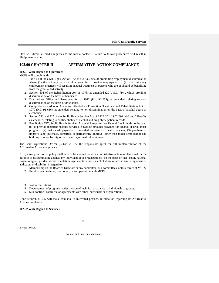Staff will direct all media inquiries to the media contact. Failure to follow procedures will result in disciplinary action.

## **102.00 CHAPTER II AFFIRMATIVE ACTION COMPLIANCE**

## **102.01 With Regard to Operations**

MCFS will comply with:

- 1. Title VI of the Civil Rights Act of 1964 (42 U.S.C. 2000d) prohibiting employment discrimination where (1) the primary purpose of a grant is to provide employment or (2) discriminatory employment practices will result in unequal treatment of persons who are or should be benefiting from the grant-aided activity.
- 2. Section 504 of the Rehabilitation Act of 1973, as amended (29 U.S.C. 794), which prohibits discrimination on the basis of handicaps.
- 3. Drug Abuse Office and Treatment Act of 1972 (P.L. 92-255), as amended, relating to nondiscrimination on the basis of drug abuse.
- 4. Comprehensive Alcohol Abuse and Alcoholism Prevention, Treatment and Rehabilitation Act of 1970 (P.L. 91-616), as amended, relating to non-discrimination on the basis of alcohol abuse or alcoholism.
- 5. Section 523 and 527 of the Public Health Service Act of 1912 (42 U.S.C. 290 dd-3 and 290ee-3), as amended, relating to confidentiality of alcohol and drug abuse patient records.
- 6. Part B, title XIX, Public Health Services Act, which requires that Federal Block funds not be used to (1) provide inpatient hospital services in case of amounts provided for alcohol or drug abuse programs; (2) make cash payments to intended recipients of health services; (3) purchase or improve land, purchase, construct, or permanently improve (other than minor remodeling) any building or other facility or purchase major medical equipment.

The Chief Operations Officer (COO) will be the responsible agent for full implementation of the Affirmative Action compliance.

No by-laws provision or policy shall exist or be adopted, or with administrative action implemented for the purpose of discriminating against any individual(s) or organization(s) on the basis of race, color, national origin, religion, gender, sexual orientation, age, mental illness, alcohol abuse or alcoholism, drug abuse or addiction, or disability, in regard to:

- 1. Membership on the Board of Directors or any committee, sub-committees, or task forces of MCFS.
- 2. Employment, training, promotion, or compensation with MCFS.
- 3. Volunteers' status
- 4. Development of programs and provision of technical assistance to individuals or groups.
- 5. Sub-contract, contracts, or agreements with other individuals or organizations.

Upon request, MCFS will make available to interested persons, information regarding its Affirmative Action compliance.

#### **102.02 With Regard to Services**

12

Revised 10/08/2021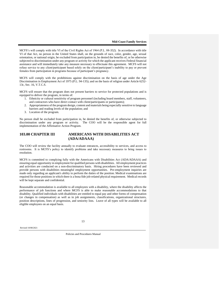MCFS's will comply with title VI of the Civil Rights Act of 1964 (P.L. 88-352). In accordance with title VI of that Act, no person in the United States shall, on the grounds of race, color, gender, age, sexual orientation, or national origin, be excluded from participation in, be denied the benefits of, or be otherwise subjected to discrimination under any program or activity for which the applicant receives Federal financial assistance and will immediately take any measure necessary to effectuate this agreement. MCFS will not refuse service to any client/participant based solely on the client/participant's inability to pay or prevent females from participation in programs because of participant's pregnancy.

MCFS will comply with the prohibitions against discrimination on the basis of age under the Age Discrimination in Employment Act of 1975 (P.L. 94-135); and on the basis of religion under Article 6252- 13c, Sec. 16, V.T.C.S.

MCFS will ensure that the program does not present barriers to service for protected populations and is equipped to deliver the program, in terms of:

- 1. Ethnicity or cultural sensitivity of program personnel (including board members, staff, volunteers, and contractors who have direct contact with client/participants or participants);
- 2. Appropriateness of the program design, content and materials being especially sensitive to language barriers and reading levels of the population; and
- 3. Location of the program.

No person shall be excluded from participation in, be denied the benefits of, or otherwise subjected to discrimination under any program or activity. The COO will be the responsible agent for full implementation of the Affirmative Action Program.

## **103.00 CHAPTER III AMERICANS WITH DISABILITIES ACT (ADA/ADAAA)**

The COO will review the facility annually to evaluate entrances, accessibility to services, and access to restrooms. It is MCFS's policy to identify problems and take necessary measures to bring issues to resolution.

MCFS is committed to complying fully with the Americans with Disabilities Act (ADA/ADAAA) and ensuring equal opportunity in employment for qualified persons with disabilities. All employment practices and activities are conducted on a non-discriminatory basis. Hiring procedures have been reviewed and provide persons with disabilities meaningful employment opportunities. Pre-employment inquiries are made only regarding an applicant's ability to perform the duties of the position. Medical examinations are required for those positions in which there is a bona fide job-related physical requirement. Medical records will be kept separate and confidential.

Reasonable accommodation is available to all employees with a disability, where the disability affects the performance of job functions and where MCFS is able to make reasonable accommodations to that disability. Qualified individuals with disabilities are entitled to equal pay and other forms of compensation (or changes in compensation) as well as in job assignments, classifications, organizational structures, position descriptions, lines of progression, and seniority lists. Leave of all types will be available to all eligible employees on an equal basis.

13

Revised 10/08/2021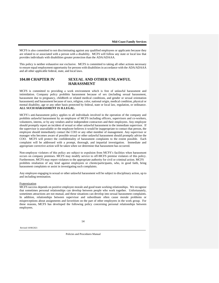MCFS is also committed to not discriminating against any qualified employees or applicants because they are related to or associated with a person with a disability. MCFS will follow any state or local law that provides individuals with disabilities greater protection than the ADA/ADAAA.

This policy is neither exhaustive nor exclusive. MCFS is committed to taking all other actions necessary to ensure equal employment opportunity for persons with disabilities in accordance with the ADA/ADAAA and all other applicable federal, state, and local laws.

## **104.00 CHAPTER IV SEXUAL AND OTHER UNLAWFUL HARASSMENT**

MCFS is committed to providing a work environment which is free of unlawful harassment and intimidation. Company policy prohibits harassment because of sex (including sexual harassment, harassment due to pregnancy, childbirth or related medical conditions, and gender or sexual orientation harassment) and harassment because of race, religion, color, national origin, medical condition, physical or mental disability, age or any other basis protected by federal, state or local law, regulation, or ordinance. **ALL SUCH HARASSMENT IS ILLEGAL.**

MCFS's anti-harassment policy applies to all individuals involved in the operation of the company and prohibits unlawful harassment by an employee of MCFS including officers, supervisors and co-workers, volunteers, interns, or by any vendors and/or independent contractors and their employees. Any employee should promptly report an incident of sexual or other unlawful harassment to the immediate supervisor. If the supervisor is unavailable or the employee believes it would be inappropriate to contact that person, the employee should immediately contact the COO or any other member of management. Any supervisor or manager who becomes aware of possible sexual or other unlawful harassment should promptly advise the COO. MCFS will protect the confidentiality of harassment complaints to the extent possible. Each complaint will be addressed with a prompt, thorough, and impartial investigation. Immediate and appropriate corrective action will be taken when we determine that harassment has occurred.

Non-employee violators of this policy are subject to expulsion from MCFS's facilities when harassment occurs on company premises. MCFS may modify service to off-MCFS premise violators of this policy. Furthermore, MCFS may report violators to the appropriate authority for civil or criminal action. MCFS prohibits retaliation of any kind against employees or clients/participants, who, in good faith, bring harassment complaints or assist in investigating such complaints.

Any employee engaging in sexual or other unlawful harassment will be subject to disciplinary action, up to and including termination.

#### Fraternization

[MCFS success depends on positive employee morale and good team working relationships. We recognize](http://www.ajcity.net/Contribute/HR/Rule14_000.htm#Discipl#Discipl)  [that sometimes personal relationships can develop between people who work together. Unfortunately,](http://www.ajcity.net/Contribute/HR/Rule14_000.htm#Discipl#Discipl)  [sometimes attractions are not mutual, and these situations can develop into sexual harassment complaints.](http://www.ajcity.net/Contribute/HR/Rule14_000.htm#Discipl#Discipl)  [In addition, relationships between supervisor and subordinate often cause morale problems or](http://www.ajcity.net/Contribute/HR/Rule14_000.htm#Discipl#Discipl)  [misperceptions about assignments and favoritism on the part of other employees in the work group. For](http://www.ajcity.net/Contribute/HR/Rule14_000.htm#Discipl#Discipl)  [these reasons, MCFS has developed the following policy concerning personal relationships between](http://www.ajcity.net/Contribute/HR/Rule14_000.htm#Discipl#Discipl)  [employees.](http://www.ajcity.net/Contribute/HR/Rule14_000.htm#Discipl#Discipl)

14

Revised 10/08/2021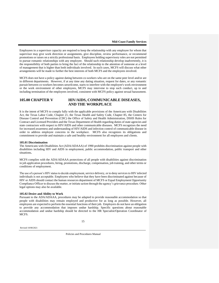Employees in a supervisor capacity are required to keep the relationship with any employee for whom that supervisor may give work direction or assignments, give discipline, review performance, or recommend promotions or raises on a strictly professional basis. Employees holding supervisory roles are not permitted to pursue romantic relationships with any employee. [Should such relationship develop inadvertently, it is](http://www.ajcity.net/Contribute/HR/Rule14_000.htm#Discipl#Discipl)  [the responsibility of both parties to bring the fact of the relationship to the attention of someone at a level](http://www.ajcity.net/Contribute/HR/Rule14_000.htm#Discipl#Discipl)  [of management that is higher than both individuals involved. In such cases, MCFS will discuss what other](http://www.ajcity.net/Contribute/HR/Rule14_000.htm#Discipl#Discipl)  [arrangements will be made to further the best interests of both MCFS and the employees involved.](http://www.ajcity.net/Contribute/HR/Rule14_000.htm#Discipl#Discipl)

[MCFS does not have a policy against dating between co-workers who are on the same peer level and/or are](http://www.ajcity.net/Contribute/HR/Rule14_000.htm#Discipl#Discipl)  [in different departments. However, if at any time any dating situation, request for dates, or any romantic](http://www.ajcity.net/Contribute/HR/Rule14_000.htm#Discipl#Discipl)  [pursuit between co-workers becomes unwelcome, starts to interfere with the employee's work environment](http://www.ajcity.net/Contribute/HR/Rule14_000.htm#Discipl#Discipl)  [or the work environment of other employees, MCFS may intervene to stop such conduct, up to and](http://www.ajcity.net/Contribute/HR/Rule14_000.htm#Discipl#Discipl)  [including termination of the employees involved, consistent with MCFS policy against sexual harassment.](http://www.ajcity.net/Contribute/HR/Rule14_000.htm#Discipl#Discipl)

## **105.00 CHAPTER V HIV/AIDS, COMMUNICABLE DISEASES, AND THE WORKPLACE**

It is the intent of MCFS to comply fully with the applicable provisions of the Americans with Disabilities Act, the Texas Labor Code, Chapter 21, the Texas Health and Safety Code, Chapter 85, the Centers for Disease Control and Prevention (CDC) the Office of Safety and Health Administration, DSHS Rules for Contract and Licensed Providers and the Texas Department of Health regarding duties of state agencies and state contractors with respect to HIV/AIDS and other communicable diseases. MCFS recognizes the need for increased awareness and understanding of HIV/AIDS and infection control of communicable disease in order to address employee concerns in the workplace. MCFS also recognizes its obligations and commitment to provide and maintain a safe and healthy environment for all employees and clients.

#### **105.01 Discrimination**

The Americans with Disabilities Act (ADA/ADAAA) of 1990 prohibits discrimination against people with disabilities including HIV and AIDS in employment, public accommodation, public transport and other situations**.**

MCFS complies with the ADA/ADAAA protections of all people with disabilities against discrimination in job application procedures, hiring, promotions, discharge, compensation, job training, and other terms or conditions of employment.

The use of a person's HIV status to decide employment, service delivery, or to deny services to HIV infected individuals is not acceptable. Employees who believe that they have been discriminated against because of HIV or AIDS should contact the human resources department of MCFS or Equal Employment Opportunity Compliance Officer to discuss the matter, or initiate action through the agency's grievance procedure. Other legal options may also be available.

## **105.02 Desire and Ability to Work**

Pursuant to the ADA/ADAAA, procedures may be adapted to provide reasonable accommodation so that people with disabilities may remain employed and productive for as long as possible. However, all employees are expected to perform the essential functions of their job. Employers do not have an obligation to provide any accommodation that imposes undue hardship. Specific questions about reasonable accommodation and undue hardship should be directed to the HR Specialist/Operation Coordinator of MCFS.

15

Revised 10/08/2021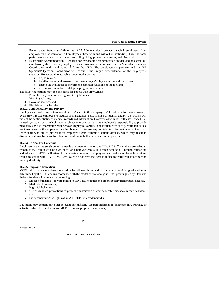- 1. Performance Standards—While the ADA/ADAAA does protect disabled employees from employment discrimination, all employees, those with and without disability(ies), have the same performance and conduct standards regarding hiring, promotion, transfer, and dismissal.
- 2. Reasonable Accommodation—Requests for reasonable accommodation are decided on a case-bycase basis by the requesting employee's supervisor in connection with the HR Specialist/Operation Coordinator, with final approval from the CEO. The employee's supervisor and the HR Specialist/Operation Coordinator will consider the unique circumstances of the employee's situation. However, all reasonable accommodations must:
	- a. be job related,
	- b. be effective enough to overcome the employee's physical or mental Impairment,
	- c. enable the individual to perform the essential functions of the job, and
	- d. not impose an undue hardship on program operations.
- The following options may be considered for people with HIV/AIDS:
	- 1. Possible assignment or reassignment of job duties,
	- 2. Working at home,
	- 3. Leave of absence, and
	- 4. Flexible work schedules.

#### **105.03 Confidentiality and Privacy**

Employees are not required to reveal their HIV status to their employer. All medical information provided by an HIV infected employee to medical or management personnel is confidential and private. MCFS will protect the confidentiality of medical records and information. However, as with other illnesses, once HIVrelated symptoms occur which require job accommodation, it is the employee's responsibility to provide medically verified information relating to an employee's ability to be available for or to perform job duties. Written consent of the employee must be obtained to disclose any confidential information with other staff. Individuals who fail to protect these employee rights commit a serious offense, which may result in dismissal and may be cause for litigation resulting in both civil and criminal penalties.

#### **105.04 Co-Worker Concerns**

Employees are to be sensitive to the needs of co-workers who have HIV/AIDS. Co-workers are asked to recognize that continued employment for an employee who is ill is often beneficial. Through counseling and education, MCFS will attempt to alleviate concerns of employees who feel uncomfortable working with a colleague with HIV/AIDS. Employees do not have the right to refuse to work with someone who has any disability.

## **105.05 Employee Education**

MCFS will conduct mandatory education for all new hires and may conduct continuing education as determined by the CEO and in accordance with the model educational guidelines promulgated by State and Federal funders will contain the following:

- 1. Modes of transmission with regard to HIV, TB, hepatitis and other sexually transmitted diseases,
- 2. Methods of prevention,
- 3. High risk behaviors,
- 4. Use of standard precautions to prevent transmission of communicable diseases in the workplace, and,
- 5. Laws concerning the rights of an AIDS/HIV infected individual.

Education may contain any other relevant scientifically accurate information, methodology, training, or activities which the funder and/or MCFS deems appropriate or necessary.

16

Revised 10/08/2021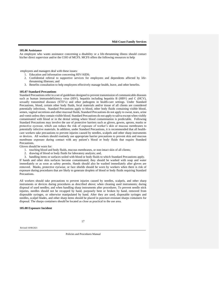## **105.06 Assistance**

An employee who wants assistance concerning a disability or a life-threatening illness should contact his/her direct supervisor and/or the COO of MCFS. MCFS offers the following resources to help

employees and managers deal with these issues:

1. Education and information concerning HIV/AIDS;

- 2. Confidential referral to supportive services for employees and dependents affected by lifethreatening illnesses; and
- 3. Benefits consultation to help employees effectively manage health, leave, and other benefits.

#### **105.07 Standard Precautions**

Standard Precautions refer to a set of guidelines designed to prevent transmission of communicable diseases such as human immunodeficiency virus (HIV), hepatitis including hepatitis B (HBV) and C (HCV), sexually transmitted diseases (STD's) and other pathogens in health-care settings. Under Standard Precautions, blood, certain other body fluids, fecal materials and/or tissue of all clients are considered potentially infectious. Standard Precautions apply to blood, other body fluids containing visible blood, semen, vaginal secretions and other mucosal fluids, Standard Precautions do not apply to sweat, tears, urine and vomit unless they contain visible blood. Standard Precautions do not apply to saliva except when visibly contaminated with blood or in the dental setting where blood contamination is predictable. Following Standard Precautions may involve the use of protective barriers such as gloves, gowns, aprons, masks or protective eyewear, which can reduce the risk of exposure of worker's skin or mucous membranes to potentially infective materials. In addition, under Standard Precautions, it is recommended that all healthcare workers take precautions to prevent injuries caused by needles, scalpels and other sharp instruments or devices. All workers should routinely use appropriate barrier precautions to prevent skin and mucous membrane exposure during contact with any patient's blood or body fluids that require Standard Precautions.

Gloves should be worn for:

- 1. touching blood and body fluids, mucous membranes, or non-intact skin of all clients;
- 2. drawing of blood or body fluids for laboratory analysis; and,

3. handling items or surfaces soiled with blood or body fluids to which Standard Precautions apply. If hands and other skin surfaces become contaminated, they should be washed with soap and water immediately or as soon as safety permits. Hands should also be washed immediately after gloves are removed. Masks, protective eyewear, or face shields should be worn by workers when there is risk of exposure during procedures that are likely to generate droplets of blood or body fluids requiring Standard Precautions.

All workers should take precautions to prevent injuries caused by needles, scalpels, and other sharp instruments or devices during procedures as described above; when cleaning used instruments; during disposal of used needles; and when handling sharp instruments after procedures. To prevent needle stick injuries, needles should not be recapped by hand, purposely bent or broken by hand, removed from disposable syringes, or otherwise manipulated by hand. After they are used, disposable syringes and needles, scalpel blades, and other sharp items should be placed in puncture-resistant sharps containers for disposal. The sharps containers should be located as close as practical to the use area.

## **105.08 Exposure Incident**

17

Revised 10/08/2021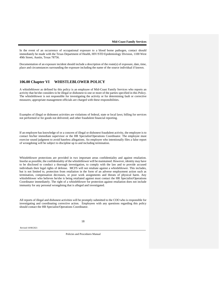In the event of an occurrence of occupational exposure to a blood borne pathogen, contact should immediately be made with the Texas Department of Health, HIV/STD Epidemiology Division, 1100 West 49th Street, Austin, Texas 78756.

Documentation of an exposure incident should include a description of the route(s) of exposure, date, time, place and circumstances surrounding the exposure including the name of the source individual if known.

## **106.00 Chapter VI WHISTLEBLOWER POLICY**

A whistleblower as defined by this policy is an employee of Mid-Coast Family Services who reports an activity that he/she considers to be illegal or dishonest to one or more of the parties specified in this Policy. The whistleblower is not responsible for investigating the activity or for determining fault or corrective measures; appropriate management officials are charged with these responsibilities.

Examples of illegal or dishonest activities are violations of federal, state or local laws; billing for services not performed or for goods not delivered; and other fraudulent financial reporting.

If an employee has knowledge of or a concern of illegal or dishonest fraudulent activity, the employee is to contact his/her immediate supervisor or the HR Specialist/Operations Coordinator. The employee must exercise sound judgment to avoid baseless allegations. An employee who intentionally files a false report of wrongdoing will be subject to discipline up to and including termination.

Whistleblower protections are provided in two important areas confidentiality and against retaliation. Insofar as possible, the confidentiality of the whistleblower will be maintained. However, identity may have to be disclosed to conduct a thorough investigation, to comply with the law and to provide accused individuals their legal rights of defense. MCFS will not retaliate against a whistleblower. This includes, but is not limited to, protection from retaliation in the form of an adverse employment action such as termination, compensation decreases, or poor work assignments and threats of physical harm. Any whistleblower who believes he/she is being retaliated against must contact the HR Specialist/Operations Coordinator immediately. The right of a whistleblower for protection against retaliation does not include immunity for any personal wrongdoing that is alleged and investigated.

All reports of illegal and dishonest activities will be promptly submitted to the COO who is responsible for investigating and coordinating corrective action. Employees with any questions regarding this policy should contact the HR Specialist/Operations Coordinator.

18

Revised 10/08/2021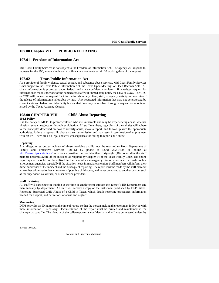## **107.00 Chapter VII PUBLIC REPORTING**

## **107.01 Freedom of Information Act**

Mid-Coast Family Services is not subject to the Freedom of Information Act. The agency will respond to requests for the 990, annual single audit or financial statements within 10 working days of the request.

## **107.02 Texas Public Information Act**

As a provider of family violence, sexual assault, and substance abuse services, Mid-Coast Family Services is not subject to the Texas Public Information Act, the Texas Open Meetings or Open Records Acts. All client information is protected under federal and state confidentiality laws. If a written request for information is made under one of the named acts, staff will immediately notify the CEO or COO. The CEO or COO will review the request for information about any client, staff, or agency activity to determine if the release of information is allowable by law. Any requested information that may not be protected by current state and federal confidentiality laws at that time may be resolved through a request for an opinion issued by the Texas Attorney General.

## **108.00 CHAPTER VIII Child Abuse Reporting**

## **108.1 Policy**

It is the policy of MCFS to protect children who are vulnerable and may be experiencing abuse, whether physical, sexual, neglect, or through exploitation. All staff members, regardless of their duties will adhere to the principles described on how to identify abuse, make a report, and follow up with the appropriate authorities. Failure to report child abuse is a serious omission and may result in termination of employment with MCFS. There are also legal and civil consequences for failing to report child abuse.

#### **Reporting**

Any alleged or suspected incident of abuse involving a child must be reported to Texas Department of Family and Protective Services (DFPS) by phone at (800) 252-5400, or online at <http://www.dfps.state.tx.us/> as soon as possible, but no later than forty-eight (48) hours after the staff member becomes aware of the incident, as required by Chapter 34 of the Texas Family Code. The online report system should not be utilized in the case of an emergency. Reports can also be made to law enforcement agencies, especially if the situation needs immediate attention. Staff members will inform their direct supervisor of the incident and the subsequent reporting. The report must be made by the staff member who either witnessed or became aware of possible child abuse, and never delegated to another person, such as the supervisor, co-worker, or other service providers.

## **Staff Training**

All staff will participate in training at the time of employment through the agency's HR Department and then annually by department. All staff will receive a copy of the instrument published by DFPS titled: Reporting Suspected Child Abuse of a Child in Texas, which details reporting procedures, information needed for a report, and definitions of abuse and neglect.

## **Monitoring**

DFPS provides an ID number at the time of report, so that the person making the report may follow up with more information if necessary. Documentation of the report must be printed and maintained in the client/participant file. The identity of the caller/reporter is confidential and will not be released unless by

19

Revised 10/08/2021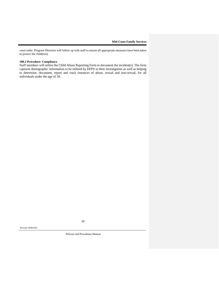court order. Program Directors will follow up with staff to ensure all appropriate measures have been taken to protect the child(ren).

## **108.2 Procedure: Compliance**

Staff members will utilize the Child Abuse Reporting Form to document the incident(s). The form captures demographic information to be utilized by DFPS in their investigation as well as helping to determine, document, report and track instances of abuse, sexual and non-sexual, for all individuals under the age of 18.

20

Revised 10/08/2021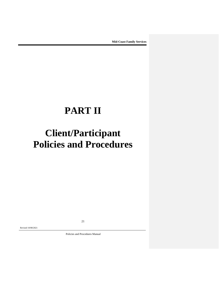## **PART II**

# **Client/Participant Policies and Procedures**

21

Revised 10/08/2021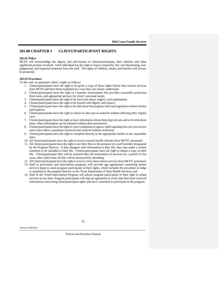## **201.00 CHAPTER I CLIENT/PARTICIPANT RIGHTS**

## **201.01 Policy**

MCFS will acknowledge the dignity and self-esteem of clients/participants, their families and other significant persons involved. Each individual has the right to expect respectful, fair, non-threatening, nonjudgmental, and impartial treatment from the staff. The rights of children, adults, and families will always be protected.

## **201.02 Procedure**

To this end, we guarantee client's rights as follows:

- 1. Clients/participants have the right to be given a copy of these rights before they receive services from MCFS and have them explained in a way they can clearly understand.
- 2. Clients/participants have the right to a humane environment that provides reasonable protection from harm; and appropriate privacy for client's personal needs;
- 3. Clients/participants have the right to be free from abuse, neglect, and exploitation;
- 4. Clients/participants have the right to be treated with dignity and respect;
- 5. Clients/participants have the right to be told about the program rules and regulations before his/her participation;
- 6. Clients/participants have the right to refuse to take part in research without affecting their regular care;
- 7. Clients/participants have the right to have information about them kept private and to be told about times when information can be released without their permission;
- 8. Clients/participants have the right to voice complaints to agency staff regarding the care you receive and to have these complaints reviewed and resolved without retaliation.
- 9. Clients/participants have the right to complain directly to the appropriate funder at any reasonable time;
- 10. All clients/participants have the right to receive mental health referrals from MCFS' personnel;
- 11. All clients/participants have the right to see their files in the presence of a staff member designated by the Program Director. If they disagree with information in their file, they may make a written comment to be included in their file. Clients/participants have the right to obtain a copy of their file. Client/participant files will be retained after the termination of services for a period of five years, after which time all files will be destroyed by shredding.
- 12. All clients/participants have the right to receive crisis intervention services from MCFS' personnel;
- 13. Staff in prevention and intervention programs will provide age appropriate counseling before services begin to assist program participants of their rights, which includes the procedure to lodge a complaint to the program director or the Texas Department of State Health Services; and
- 14. Staff in the Youth Intervention Program will advise program participants of their right to refuse services at any time. Program participants will sign an agreement to verify that they have received information concerning client/participant rights and have consented to participate in the program.

22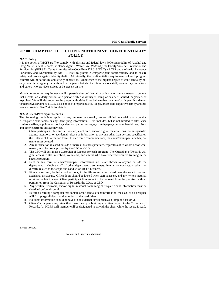## **202.00 CHAPTER II CLIENT/PARTICIPANT CONFIDENTIALITY POLICY**

## **202.01 Policy**

It is the policy of MCFS staff to comply with all state and federal laws, [(Confidentiality of Alcohol and Drug Abuse Patient Records, Violence Against Women Act (VAWA); the Family Violence Prevention and Services Act (FVPSA); Texas Administrative Code Rule 379.613 (TAC); 42 CFR and the Health Insurance Portability and Accountability Act (HIPPA)] to protect client/participant confidentiality and to ensure safety and protect against identity theft. Additionally, the confidentiality requirements of each program contract will be faithfully and strictly adhered to. Adherence to the highest degree of confidentiality not only protects the agency's clients and participants, but also their families, our staff, volunteers, contractors, and others who provide services or be present on site.

Mandatory reporting requirements will supersede the confidentiality policy when there is reason to believe that a child, an elderly person, or a person with a disability is being or has been abused, neglected, or exploited. We will also report to the proper authorities if we believe that the client/participant is a danger to themselves or others. MCFS is also bound to report abusive, illegal, or sexually exploitive acts by another service provider. See 204.02 for details.

## **202.02 Client/Participant Records**

The following guidelines apply to any written, electronic, and/or digital material that contains client/participant names or any identifying information. This includes, but is not limited to files, case conference lists, appointment books, calendars, phone messages, scratch paper, computer hard drives, discs, and other electronic storage devices.

- 1. Client/participant files and all written, electronic, and/or digital material must be safeguarded against intentional or accidental release of information to anyone other than persons specified on the Release of Information form. In electronic communications, the client/participant number, not name, must be used.
- 2. Any information released outside of normal business practices, regardless of to whom or for what reason, must be pre-approved by the CEO or COO.
- 3. The CEO will designate a Custodian of Records for each program. The Custodian of Records will grant access to staff members, volunteers, and interns who have received required training in the specific program.
- 4. Files or any form of client/participant information are never shown to anyone outside the department, including staff of other departments, volunteers, interns, or contractors when not directly related to the scope and conduct of MCFS business.
- 5. Files are secured, behind a locked door, in the file room or in locked desk drawers to prevent accidental disclosure. Office doors should be locked when staff is absent, and any written material must not be left in view. Client/participant files are not to be removed from the premises without permission from the Custodian of Records, the COO, or CEO.
- 6. Any written, electronic, and/or digital material containing client/participant information must be shredded before disposal.
- 7. Before discarding a computer that contains confidential client information, the COO or his designee will first purge all data and then reformat the hard drive.
- 8. No client information should be saved to an external device such as a jump or flash drive.
- 9. Clients/Participants may view their own files by submitting a written request to the Custodian of Records. An MCFS staff member will be designated to sit with the client while the record is read.

23

Revised 10/08/2021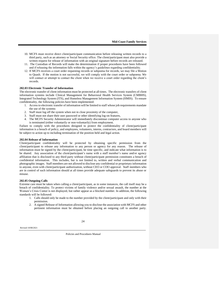- 10. MCFS must receive direct client/participant communication before releasing written records to a third party, such as an attorney or Social Security office. The client/participant must also provide a written request for release of information with an original signature before records are released.
- 11. The Custodian of Records will make the determination if proper procedures have been followed and if releasing the information falls within the agency's guidelines regarding confidentiality.
- 12. If MCFS receives a court order requesting records or subpoena for records, we may file a Motion to Quash. If the motion is not successful, we will comply with the court order or subpoena. We will contact or attempt to contact the client when we receive a court order regarding the client's records.

## **202.03 Electronic Transfer of Information**

The electronic transfer of client information must be protected at all times. The electronic transfers of client information systems include Clinical Management for Behavioral Health Services System (CMBHS), Integrated Technology System (ITS), and Homeless Management Information System (HMIS). To ensure confidentiality, the following policies have been implemented:

- 1. Access to electronic transfer of information will be limited to staff whose job requirements mandate the use of the systems
- 2. Staff must log off the system when not in close proximity of the computer,
- 3. Staff must not share their user password or other identifying log-on features,
- 4. The MCFS Security Administrator will immediately discontinue computer access to anyone who is terminated (either voluntarily or non-voluntarily) from employment.

Failure to comply with the procedures designed to protect the confidentiality of client/participant information is a breach of policy, and employees, volunteers, interns, contractors, and board members will be subject to action up to including termination of the position held and legal action.

#### **202.04 Release of Information**

Client/participant confidentiality will be protected by obtaining specific permission from the client/participant to release any information to any person or agency for any reason. The release of information must be signed by the client/participant, be time specific, and indicate what information is to be shared. Any association of the client/participant's name with a staff member's name and/or agency affiliation that is disclosed to any third party without client/participant permission constitutes a breach of confidential information. This includes, but is not limited to, written and verbal communication and photographic images. Staff members are not allowed to disclose any confidential or proprietary information to anyone, even with client/participant authorization, without CEO or COO approval. Staff members who are in control of such information should at all times provide adequate safeguards to prevent its abuse or misuse.

#### **202.05 Outgoing Calls**

Extreme care must be taken when calling a client/participant, as in some instances, the call itself may be a breach of confidentiality. To protect victims of family violence and/or sexual assault, the number at the Women's Crisis Center is not displayed, but rather appear as a blocked number. In addition, the following standards will be followed:

- 1. Calls should only be made to the number provided by the client/participant and only with their permission.
- 2. A signed Release of Information allowing you to disclose the association with MCFS and other pertinent information must be obtained before placing an outgoing call to another party.

24

Revised 10/08/2021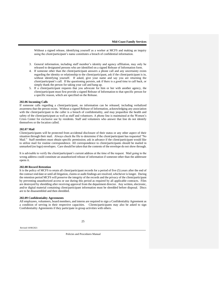Without a signed release, identifying yourself as a worker at MCFS and making an inquiry using the client/participant's name constitutes a breach of confidential information.

- 3. General information, including staff member's identity and agency affiliation, may only be released to designated persons who are identified on a signed Release of Information form.
- 4. If someone other than the client/participant answers a phone call and any uncertainty exists regarding the identity or relationship to the client/participant, ask if the client/participant is in, without identifying yourself. If asked, give your name and say you are returning the client/participant's call. If the questioning persists, ask if there is a good time to call back, or simply thank the person for taking your call and hang up.
- 5. If a client/participant requests that you advocate for him or her with another agency, the client/participant must first provide a signed Release of Information to that specific person for a specific reason, which are specified on the Release.

#### **202.06 Incoming Calls**

If someone calls regarding a client/participant, no information can be released, including verbalized awareness that the person exists. Without a signed Release of Information, acknowledging any association with the client/participant to the caller is a breach of confidentiality, and may jeopardize the health and safety of the client/participant as well as staff and volunteers. A phone line is maintained at the Women's Crisis Center for exclusive use by residents. Staff and volunteers who answer that line do not identify themselves or the location called.

## **202.07 Mail**

Client/participants will be protected from accidental disclosure of their status or any other aspect of their situation through their mail. Always check the file to determine if the client/participant has requested "No Mail." Staff members must obtain specific permission; ask in advance if the client/participant would like to utilize mail for routine correspondence. All correspondence to client/participants should be mailed in unmarked (no logo) envelopes. Care should be taken that the contents of the envelope do not show through.

It is advisable to verify the client/participant's current address at the time of the request. Mail going to the wrong address could constitute an unauthorized release of information if someone other than the addressee opens it.

## **202.08 Record Retention**

It is the policy of MCFS to retain all client/participant records for a period of five (5) years after the end of the contract end date or until all litigation, claims or audit findings are resolved, whichever is longer. During the retention period MCFS will preserve the integrity of the records and the privacy of the client/participant by preventing unauthorized access or use during this period as required by all applicable contracts. Files are destroyed by shredding after receiving approval from the department director. Any written, electronic, and/or digital material containing client/participant information must be shredded before disposal. Discs are to be disassembled and then shredded.

## **202.09 Confidentiality Agreements**

All employees, volunteers, board members, and interns are required to sign a Confidentiality Agreement as a condition of serving in their respective capacities. Clients/participants may also be asked to sign Confidentiality Agreements if they participate in group activities with others.

25

Revised 10/08/2021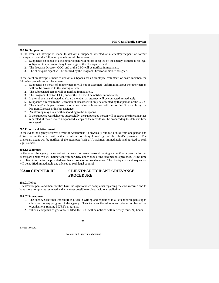## **202.10 Subpoenas**

In the event an attempt is made to deliver a subpoena directed at a client/participant or former client/participant, the following procedures will be adhered to.

- 1. Subpoenas on behalf of a client/participant will not be accepted by the agency, as there is no legal obligation to confirm or deny knowledge of the client/participant.
- 2. The Program Director, COO, and or the CEO will be notified immediately,
- 3. The client/participant will be notified by the Program Director or his/her designee.

In the event an attempt is made to deliver a subpoena for an employee, volunteer, or board member, the following procedures will be adhered to:

- 1. Subpoenas on behalf of another person will not be accepted. Information about the other person will not be provided to the serving officer.
- 2. The subpoenaed person will be notified immediately.
- 3. The Program Director, COO, and/or the CEO will be notified immediately.
- 4. If the subpoena is directed at a board member, an attorney will be contacted immediately.
- 5. Subpoenas directed to the Custodian of Records will only be accepted by that person or the CEO.
- 6. The client/participant whose records are being subpoenaed will be notified if possible by the Program Director or his/her designee.
- 7. An attorney may assist with responding to the subpoena.
- 8. If the subpoena was delivered successfully, the subpoenaed person will appear at the time and place requested; if records were subpoenaed, a copy of the records will be produced by the date and time requested.

## **202.11 Writs of Attachment**

In the event the agency receives a Writ of Attachment (to physically remove a child from one person and deliver to another) we will neither confirm nor deny knowledge of the child's presence. The client/participant will be notified of the attempted Writ of Attachment immediately and advised to seek legal counsel.

## **202.12 Warrants**

In the event the agency is served with a search or arrest warrant naming a client/participant or former client/participant, we will neither confirm nor deny knowledge of the said person's presence. At no time will client information be provided in either a formal or informal manner. The client/participant in question will be notified immediately and advised to seek legal counsel.

## **203.00 CHAPTER III CLIENT/PARTICIPANT GRIEVANCE PROCEDURE**

#### **203.01 Policy**

Client/participants and their families have the right to voice complaints regarding the care received and to have those complaints reviewed and whenever possible resolved, without retaliation.

#### **203.02 Procedures**

- 1. The agency Grievance Procedure is given in writing and explained to all client/participants upon admission to any program of the agency. This includes the address and phone number of the organizations funding MCFS's programs.
- 2. When a complaint or grievance is filed, the CEO will be notified within twenty-four (24) hours.

26

Revised 10/08/2021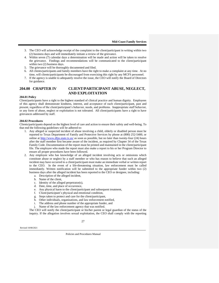- 3. The CEO will acknowledge receipt of the complaint to the client/participant in writing within two (2) business days and will immediately initiate a review of the grievance.
- 4. Within seven (7) calendar days a determination will be made and action will be taken to resolve the grievance. Findings and recommendations will be communicated to the client/participant within two (2) business days.
- 5. The grievance will be thoroughly documented and filed.
- 6. All clients/participants and family members have the right to make a complaint at any time. At no time, will clients/participants be discouraged from exercising this right by any MCFS personnel.
- 7. If the agency is unable to adequately resolve the issue, the CEO will notify the Board of Directors for guidance.

## **204.00 CHAPTER IV CLIENT/PARTICIPANT ABUSE, NEGLECT, AND EXPLOITATION**

#### **204.01 Policy**

Client/participants have a right to the highest standard of clinical practice and human dignity. Employees of this agency shall demonstrate kindness, interest, and acceptance of each client/participant, past and present, regardless of the client/participant's behavior, needs, and problems. Inappropriate staff behavior, or any form of abuse, neglect or exploitation is not tolerated. All client/participants have a right to have grievances addressed by staff.

#### **204.02 Procedures**

Clients/participants depend on the highest level of care and action to ensure their safety and well-being. To that end the following guidelines will be adhered to:

- 1. Any alleged or suspected incident of abuse involving a child, elderly or disabled person must be reported to Texas Department of Family and Protective Services by phone at (800) 252-5400, or online at <http://www.dfps.state.tx.us/> as soon as possible, but no later than twenty-four (24) hours after the staff member first became aware of the incident, as required by Chapter 34 of the Texas Family Code. Documentation of the report must be printed and maintained in the client/participant file. The employee who made the report must also make a report to his or her Program Director to ensure all proper procedures have been followed.
- 2. Any employee who has knowledge of an alleged incident involving acts or omissions which constitute abuse or neglect by a staff member or who has reason to believe that such an alleged incident may have occurred to a client/participant must make an immediate verbal or written report to the CEO. In the event of a life-threatening situation, law enforcement must be called immediately. Written notification will be submitted to the appropriate funder within two (2) business days after the alleged incident has been reported to the CEO or designee, including:
	- a. Description of the alleged incident,
	- b. Name of the client,
	- c. Identity of the alleged perpetrator(s),
	- d. Date, time, and place of occurrence,
	- e. Any physical harm to the client/participant and subsequent treatment,
	- f. Client/participant's physical and emotional condition,
	- g. Steps taken to protect and care for the client/participant,
	- h. Other individuals, organizations, and law enforcement notified,
	- i. The address and phone number of the appropriate funder, and
	- Name of the law enforcement agency that was notified.

The CEO will notify the client/participant or his/her parent or legal guardian of the status of the inquiry. If the allegation involves sexual exploitation, the CEO shall comply with the reporting

27

Revised 10/08/2021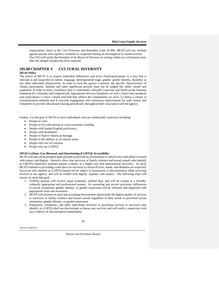requirements listed in the Civil Practices and Remedies Code 81.006. MCFS will not retaliate against anyone who reports a violation or cooperates during an investigation or related activity. The CEO will notify the President of the Board of Directors in writing within two (2) business days after the alleged incident has been reported.

## **205.00 CHAPTER V CULTURAL DIVERSITY 205.01 Policy**

The policy of MCFS is to respect individual differences and serve clients/participants in a way that is relevant to and respectful of culture, language, developmental stage, gender, gender identity, disability or any other individual characteristic. In order to meet the agency's mission, the specific characteristics of clients, participants, families and other significant persons must not be judged but rather valued and supported. In order to have a workforce that is consistently culturally conscious and based on the National Standards for Culturally and Linguistically Appropriate Services Standards, we will 1.) have clear standards and expectations 2.) have a board and staff that reflects the communities we serve 3.) utilize a variety of communication methods and 4.) provide engagement and continuous improvement for staff, board, and volunteers to provide educational training periodically throughout their association with the agency.

Further, it is the goal of MCFS to serve individuals who are traditionally unserved, including:

- People of color
- People of low educational or socio-economic standing
- People with limited English proficiency
- People with disabilities
- People of Native American heritage
- People in the military or of veteran status
- People who live in Colonias
- People who are LGBTQ

## **205.02 Lesbian, Gay Bisexual, and Questioning (LGBTQ) Accessibility**

MCFS will take all meaningful steps possible to provide an environment in which every individual is treated with respect and dignity. Statistics show that survivors of family violence and sexual assault who identify as LBGTQ experience intimate partner violence at a higher rate than heterosexual survivors. As such, MCFS commits to providing a safe place for survivors in which all lives, needs, and identities are respected. Survivors who identify as LGBTQ should not be subject to harassment or discrimination while receiving services at our agency, and will be treated with dignity, equality, and respect. The following steps will ensure we meet that goal:

- 1. LGBTQ persons will receive equal treatment, without bias, and will be treated in a friendly, culturally appropriate and professional manner. In counseling and service provision, differences in sexual orientation, gender identity, or gender expression will be affirmed and supported with appropriate tools and awareness.
- 2. MCFS will promote an open and accepting environment and provide the highest quality of services to survivors of family violence and sexual assault regardless of their actual or perceived sexual orientation, gender identity, or gender expression.
- 3. Employees, volunteers, and other individuals involved in providing services to survivors who identify as LGBTQ shall not discriminate or harass any survivor and will notify a supervisor with any evidence of discrimination immediately.

28

Revised 10/08/2021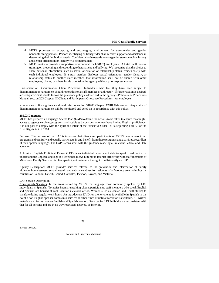- 4. MCFS promotes an accepting and encouraging environment for transgender and gender nonconforming persons. Persons identifying as transgender shall receive support and assistance in determining their individual needs. Confidentiality in regards to transgender status, medical history and sexual orientation or identity will be maintained.
- 5. MCFS seeks to provide a supportive environment for LGBTQ employees. All staff will receive training on preventing and responding to harassment and bullying. We recognize that the choice to share personal information, such as sexual orientation or relationship status, resides solely with each individual employee. If a staff member discloses sexual orientation, gender identity, or relationship status to another staff member, that information shall not be shared with other employees, clients, or others inside or outside the agency without prior express consent.

Harassment or Discrimination Claim Procedures: Individuals who feel they have been subject to discrimination or harassment should report this to a staff member or a director. If further action is desired, a client/participant should follow the grievance policy as described in the agency's Policies and Procedures Manual, section 203 Chapter III Client and Participants Grievance Procedures. An employee

who wishes to file a grievance should refer to section 318.00 Chapter XVIII Grievances. Any claim of discrimination or harassment will be monitored and acted on in accordance with this policy.

#### **205.03 Language**

MCFS has prepared a Language Access Plan (LAP) to define the actions to be taken to ensure meaningful access to agency services, programs, and activities by persons who may have limited English proficiency. It is our goal to comply with the spirit and intent of the Executive Order 13166 regarding Title VI of the Civil Rights Act of 1964.

Purpose: The purpose of the LAP is to ensure that clients and participants of MCFS have access to all programs and can fully and equally participate in and benefit from those programs and activities, regardless of their spoken language. The LAP is consistent with the guidance made by all relevant Federal and State agencies.

A Limited English Proficient Person (LEP) is an individual who is not able to speak, read, write, or understand the English language at a level that allows him/her to interact effectively with staff members of Mid-Coast Family Services. A client/participant maintains the right to self-identify as LEP.

Agency Description: MCFS provides services relevant to the prevention and intervention of family violence, homelessness, sexual assault, and substance abuse for residents of a 7-county area including the counties of Calhoun, Dewitt, Goliad, Gonzales, Jackson, Lavaca, and Victoria.

#### LAP Service Description:

Non-English Speakers: In the areas served by MCFS, the language most commonly spoken by LEP individuals is Spanish. To assist Spanish-speaking clients/participants, staff members who speak English and Spanish are housed at each location (Victoria office, Women's Crisis Center, and Thrift stores) to translate during regular work hours. An introductory DVD for shelter clients is available in Spanish in the event a non-English speaker comes into services at other times or until a translator is available. All written materials and forms have an English and Spanish version. Services for LEP individuals are consistent with that for all persons and are in no way restricted, delayed, or inferior.

29

Revised 10/08/2021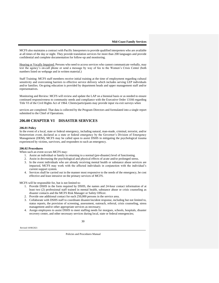MCFS also maintains a contract with Pacific Interpreters to provide qualified interpreters who are available at all times of the day or night. They provide translation services for more than 200 languages and provide confidential and complete documentation for follow-up and monitoring.

Hearing or Vocally Impaired: Persons who need to access services who cannot communicate verbally, may text the agency's on-call phone or send a message by way of fax to the Women's Crisis Center (both numbers listed on webpage and in written material.)

Staff Training: MCFS staff members receive initial training at the time of employment regarding cultural sensitivity and overcoming barriers to effective service delivery which includes serving LEP individuals and/or families. On-going education is provided by department heads and upper management staff and/or representatives.

Monitoring and Review: MCFS will review and update the LAP on a biennial basis or as needed to ensure continued responsiveness to community needs and compliance with the Executive Order 13166 regarding Title VI of the Civil Rights Act of 1964. Clients/participants may provide input via exit surveys when

services are completed. That data is collected by the Program Directors and formulated into a single report submitted to the Chief of Operations.

## **206.00 CHAPTER VI DISASTER SERVICES**

## **206.01 Policy**

In the event of a local, state or federal emergency, including natural, man-made, criminal, terrorist, and/or bioterrorism event, declared as a state or federal emergency by the Governor's Division of Emergency Management (DEM), MCFS may be called upon to assist DSHS in mitigating the psychological trauma experienced by victims, survivors, and responders to such an emergency.

## **206.02 Procedures**

When such an event occurs MCFS may:

- 1. Assist an individual or family in returning to a normal (pre-disaster) level of functioning.
- 2. Assist in decreasing the psychological and physical effects of acute and/or prolonged stress.
- 3. In the event individuals who are already receiving mental health or substance abuse services are impacted, MCFS may work with the affected individuals in conjunction with the individual's current support system.
- 4. Services shall be carried out in the manner most responsive to the needs of the emergency, be cost effective and least intrusive on the primary services of MCFS.

MCFS will be responsible for, but is not limited to:

- 1. Provide DSHS in the form required by DSHS, the names and 24-hour contact information of at least two (2) professional staff trained in mental health, substance abuse or crisis counseling as disaster contacts and the MCFS Risk Manager or Safety Officer.
- 2. Provide one additional contact for each 250,000 persons in the service area.
- 3. Collaborate with DSHS staff to coordinate disaster/incident response, including but not limited to, status reports, the provision of screening, assessment, outreach, referral, crisis counseling, stress management and/or other appropriate services as necessary;
- 4. Assign employees to assist DSHS to meet staffing needs for morgues, schools, hospitals, disaster recovery center, and other necessary services during local, state or federal emergencies;

30

Revised 10/08/2021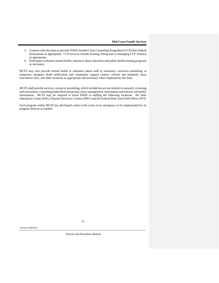- 5. Contract with the State to provide FEMA-funded Crisis Counseling Program(s) (CCP) after federal declarations as appropriate. CCP services include housing, hiring and co-managing CCP Team(s) as appropriate.
- 6. Participate in disaster mental health, substance abuse education and public health training programs as necessary.

MCFS may also provide mental health or substance abuse staff or assistance, resources permitting, at temporary morgues; death notification and community support centers; schools and hospitals; mass inoculation sites, and other locations as appropriate and necessary when requested by the State.

MCFS shall provide services, resources permitting, which include but are not limited to outreach, screening and assessment, counseling (individual and group), stress management, information and referral, and public information. MCFS may be required to assist DSHS in staffing the following locations: the State Operations Center (SOC), Disaster Recovery Centers (DRC) and the Federal/State Joint Field Office (JFO).

Each program within MCFS has developed a plan in the event of an emergency to be implemented by its program director as needed.

31

Policies and Procedures Manual

Revised 10/08/2021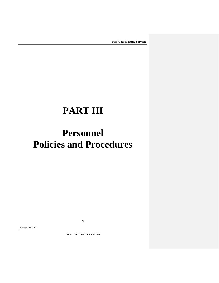## **PART III**

# **Personnel Policies and Procedures**

32

Revised 10/08/2021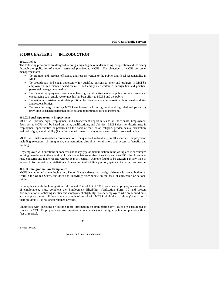## **301.00 CHAPTER I INTRODUCTION**

#### **301.01 Policy**

The following procedures are designed to bring a high degree of understanding, cooperation and efficiency through the application of modern personnel practices to MCFS. The objectives of MCFS personnel management are:

- To promote and increase efficiency and responsiveness to the public, and fiscal responsibility in MCFS.
- To provide fair and equal opportunity for qualified persons to enter and progress in MCFS's employment in a manner based on merit and ability as ascertained through fair and practical personnel management methods.
- To maintain employment practices enhancing the attractiveness of a public service career and encouraging each employee to give his/her best effort to MCFS and the public.
- To maintain consistent, up-to-date position classification and compensation plans based on duties and responsibilities.
- To promote integrity among MCFS employees by fostering good working relationships and by providing consistent personnel policies, and opportunities for advancement.

## **301.02 Equal Opportunity Employment**

MCFS will provide equal employment and advancement opportunities to all individuals. Employment decisions at MCFS will be based on merit, qualifications, and abilities. MCFS does not discriminate in employment opportunities or practices on the basis of race, color, religion, gender, sexual orientation, national origin, age, disability (including mental illness), or any other characteristic protected by law.

MCFS will make reasonable accommodations for qualified individuals, in all aspects of employment, including selection, job assignment, compensation, discipline, termination, and access to benefits and training.

Any employee with questions or concerns about any type of discrimination in the workplace is encouraged to bring these issues to the attention of their immediate supervisor, the COO, and the CEO. Employees can raise concerns and make reports without fear of reprisal. Anyone found to be engaging in any type of unlawful discrimination or retaliation will be subject to disciplinary action, up to and including termination.

## **301.03 Immigration Law Compliance**

MCFS is committed to employing only United States citizens and foreign citizens who are authorized to work in the United States, and does not unlawfully discriminate on the basis of citizenship or national origin.

In compliance with the Immigration Reform and Control Act of 1986, each new employee, as a condition of employment, must complete the Employment Eligibility Verification Form I-9 and present documentation establishing identity and employment eligibility. Former employees who are rehired must also complete the form if they have not completed an I-9 with MCFS within the past three (3) years, or if their previous I-9 is no longer retained or valid.

Employees with questions or seeking more information on immigration law issues are encouraged to contact the COO. Employees may raise questions or complaints about immigration law compliance without fear of reprisal.

33

Revised 10/08/2021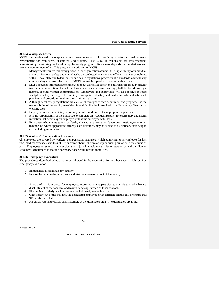### **301.04 Workplace Safety**

MCFS has established a workplace safety program to assist in providing a safe and healthy work environment for employees, customers, and visitors. The COO is responsible for implementing, administering, monitoring, and evaluating the safety program. Its success depends on the alertness and personal commitment of all. This program is a priority for MCFS:

- 1. Management requires that every person in the organization assumes the responsibility of individual and organizational safety and that all tasks be conducted in a safe and efficient manner complying with all local, state and federal safety and health regulations, programmatic standards, and with any special safety concerns identified by MCFS for use in a particular area or with a client.
- 2. MCFS provides information to employees about workplace safety and health issues through regular internal communication channels such as supervisor-employee meetings, bulletin board postings, memos, or other written communications. Employees and supervisors will also receive periodic workplace safety training. The training covers potential safety and health hazards, and safe work practices and procedures to eliminate or minimize hazards.
- 3. Although most safety regulations are consistent throughout each department and program, it is the responsibility of the employee to identify and familiarize himself with the Emergency Plan for his working area.
- 4. Employees must immediately report any unsafe condition to the appropriate supervisor.
- 5. It is the responsibility of the employee to complete an "Accident Report" for each safety and health infraction that occurs by an employee or that the employee witnesses.
- 6. Employees who violate safety standards, who cause hazardous or dangerous situations, or who fail to report or, where appropriate, remedy such situations, may be subject to disciplinary action, up to and including termination.

#### **301.05 Workers' Compensation Insurance**

All employees are covered by workers' compensation insurance, which compensates an employee for lost time, medical expenses, and loss of life or dismemberment from an injury arising out of or in the course of work. Employees must report any accident or injury immediately to his/her supervisor and the Human Resources Department so that the necessary paperwork may be completed.

## **301.06 Emergency Evacuation**

The procedures described below, are to be followed in the event of a fire or other event which requires emergency evacuation.

- 1. Immediately discontinue any activity.
- 2. Ensure that all clients/participants and visitors are escorted out of the facility.
- 3. A ratio of 1:1 is ordered for employees escorting clients/participants and visitors who have a disability out of the facilities and maintaining supervision of those visitors.
- 4. File out in an orderly fashion through the indicated, available exits.
- 5. Once safely out of the building the designated employee or an alternate should call or ensure that 911 has been called.
- 6. All employees and visitors shall assemble at the designated area. The designated areas are:

34

Revised 10/08/2021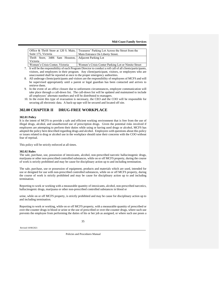|                                                      | <b>Office &amp; Thrift Store at 120 S. Main, Treasures' Parking Lot Across the Street from the</b> |
|------------------------------------------------------|----------------------------------------------------------------------------------------------------|
| Suite 175, Victoria                                  | Main Entrance On Liberty Street.                                                                   |
| Thrift Store, 3406 Sam Houston, Adjacent Parking Lot |                                                                                                    |
| Victoria                                             |                                                                                                    |
| Women's Crisis Center, Victoria                      | Women's Crisis Center Parking Lot or Nimitz Street                                                 |

7. It will be the responsibility of each Program Director to conduct a roll call of all clients/participants, visitors, and employees in their program. Any client/participant, visitors, or employees who are unaccounted shall be reported at once to the proper emergency authorities.

- 8. All underage clients/participants and visitors are the responsibility of employees of MCFS and will be supervised appropriately until a parent or legal guardian has been contacted and arrives to retrieve them.
- 9. In the event of an office closure due to unforeseen circumstances, employee communication will take place through a call-down list. The call-down list will be updated and maintained to include all employees' alternate numbers and will be distributed to managers.
- 10. In the event this type of evacuation is necessary, the CEO and the COO will be responsible for securing all electronic data. A back-up tape will be secured and located off site.

## **302.00 CHAPTER II DRUG-FREE WORKPLACE**

#### **302.01 Policy**

It is the intent of MCFS to provide a safe and efficient working environment that is free from the use of illegal drugs, alcohol, and unauthorized use of prescription drugs. Given the potential risks involved if employees are attempting to perform their duties while using or having used drugs or alcohol, MCFS has adopted the policy here described regarding drugs and alcohol. Employees with questions about this policy or issues related to drug or alcohol use in the workplace should raise their concerns with the COO without fear of reprisal.

This policy will be strictly enforced at all times.

#### **302.02 Rules**

The sale, purchase, use, possession of intoxicants, alcohol, non-prescribed narcotic hallucinogenic drugs, marijuana or other non-prescribed controlled substances, while on or off MCFS property, during the course of work is strictly prohibited and may be cause for disciplinary action up to and including termination.

The sale, purchase, use or possession of equipment, products and materials which are used, intended for use or designed for use with non-prescribed controlled substances, while on or off MCFS property, during the course of work is strictly prohibited and may be cause for disciplinary action up to and including termination.

Reporting to work or working with a measurable quantity of intoxicants, alcohol, non-prescribed narcotics, hallucinogenic drugs, marijuana or other non-prescribed controlled substances in blood or

urine, while on or off MCFS property, is strictly prohibited and may be cause for disciplinary action up to and including termination.

Reporting to work or working, while on or off MCFS property, with a measurable quantity of prescribed or over-the-counter drugs in blood or urine or the use of prescribed or over-the-counter drugs, where such use prevents the employee from performing the duties of his or her job as assigned, or where such use poses a

35

Revised 10/08/2021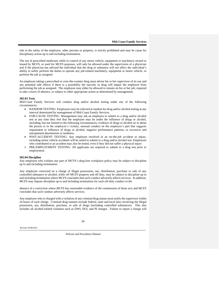risk to the safety of the employee, other persons or property, is strictly prohibited and may be cause for disciplinary action up to and including termination.

The use of prescribed medicines while in control of any motor vehicle, equipment or machinery owned or leased by MCFS, or used for MCFS purposes, will only be allowed under the supervision of a physician and if the physician has advised the individual that the drug or substance will not affect the individual's ability to safely perform the duties to operate any job-related machinery, equipment or motor vehicle, or perform the job as assigned.

An employee taking a prescribed or over-the-counter drug must advise his or her supervisor of its use and any potential side effects if there is a possibility the narcotic or drug will impair the employee from performing the job as assigned. The employee may either be allowed to remain on his or her job, required to take a leave of absence, or subject to other appropriate action as determined by management.

#### **302.03 Tests**

Mid-Coast Family Services will conduct drug and/or alcohol testing under any of the following circumstances:

- RANDOM TESTING: Employees may be selected at random for drug and/or alcohol testing at any interval determined by management of Mid-Coast Family Services.
- FOR-CAUSE TESTING: Management may ask an employee to submit to a drug and/or alcohol test at any time they feel that the employee may be under the influence of drugs or alcohol, including, but not limited to the following circumstances: evidence of drugs or alcohol on or about the person or in the employee's vicinity, unusual conduct on the employee's part that suggests impairment or influence of drugs or alcohol, negative performance patterns, or excessive and unexplained absenteeism or tardiness.
- POST-ACCIDENT TESTING: Any employee involved in an on-the-job accident or injury, including motor vehicle accidents will be asked to submit to a drug and/or alcohol test. Employees who contributed to an accident may also be tested, even if they did not suffer a physical injury
- 1. PRE-EMPLOYMENT TESTING: All applicants are required to submit to a drug test prior to employment.

## **302.04 Discipline**

Any employee who violates any part of MCFS's drug-free workplace policy may be subject to discipline up to and including termination.

Any employee convicted on a charge of illegal possession, use, distribution, purchase or sale of any controlled substance or alcohol, while off MCFS property and off duty, may be subject to discipline up to and including termination where MCFS concludes that such conduct adversely affects services. In addition, MCFS may impose discipline up to and including termination for such off-duty conduct in the

absence of a conviction where MCFS has reasonable evidence of the commission of those acts and MCFS concludes that such conduct adversely affects services.

Any employee who is charged with a violation of any criminal drug statute must notify the supervisor within 24 hours of such charge. Criminal drug statutes include federal, state and local laws involving the illegal possession, use, distribution, purchase, or sale of drugs (including controlled substances). This also includes all alcohol-related violation such as DWI, DUI, and PI charges. Failure to report a charge will

36

Revised 10/08/2021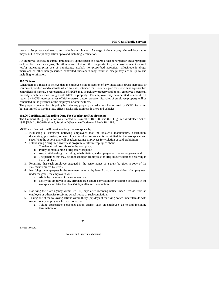result in disciplinary action up to and including termination. A charge of violating any criminal drug statute may result in disciplinary action up to and including termination.

An employee's refusal to submit immediately upon request to a search of his or her person and/or property or to a blood test, urinalysis, "breath-analyzer" test or other diagnostic test, or a positive result on such test(s) indicating prior use of intoxicants, alcohol, non-prescribed narcotics, hallucinogenic drugs, marijuana or other non-prescribed controlled substances may result in disciplinary action up to and including termination.

#### **302.05 Search**

When there is a reason to believe that an employee is in possession of any intoxicants, drugs, narcotics or equipment, products and materials which are used, intended for use or designed for use with non-prescribed controlled substances, a representative of MCFS may search any property and/or any employee's personal property which has been brought onto MCFS's property. The employee may be requested to submit to a search by MCFS representatives of his/her person and/or property. Searches of employee property will be conducted in the presence of the employee or other witness.

The property covered by this policy includes any property owned, controlled or used by MCFS, including but not limited to parking lots, offices, desks, file cabinets, lockers and vehicles.

### **302.06 Certification Regarding Drug Free Workplace Requirements**

The Omnibus Drug Legislation was enacted on November 18, 1988 and the Drug Free Workplace Act of 1988 [Pub. L. 100-690, title 5, Subtitle D] became effective on March 18, 1989.

MCFS certifies that it will provide a drug free workplace by:

- 1. Publishing a statement notifying employees that the unlawful manufacture, distribution, dispensing, possession, or use of a controlled substance is prohibited in the workplace and specifying the actions that will be taken against employees for violation of said prohibition.
- 2. Establishing a drug-free awareness program to inform employees about:
	- a. The dangers of drug abuse in the workplace;
	- b. Policy of maintaining a drug free workplace;
	- c. Any available drug counseling, rehabilitation, and employee assistance programs; and
	- d. The penalties that may be imposed upon employees for drug abuse violations occurring in the workplace.
- 3. Requiring that each employee engaged in the performance of a grant be given a copy of the statement required by item 2.
- 4. Notifying the employees in the statement required by item 2 that, as a condition of employment under the grant, the employees will:
	- a. Abide by the terms of the statement, and
	- b. Notify the employer of any criminal drug statute conviction for a violation occurring in the workplace no later than five (5) days after such conviction.
- 5. Notifying the State agency within ten (10) days after receiving notice under item 4b from an employee or otherwise receiving actual notice of such conviction.
- 6. Taking one of the following actions within thirty (30) days of receiving notice under item 4b with respect to any employee who is so convicted:
	- a. Taking appropriate personnel action against such an employee, up to and including termination, or

37

Revised 10/08/2021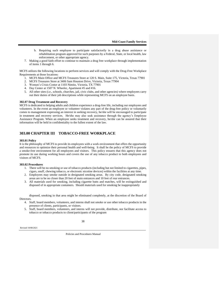- b. Requiring such employee to participate satisfactorily in a drug abuse assistance or rehabilitation program approved for such purposes by a Federal, State, or local health, law enforcement, or other appropriate agency.
- 7. Making a good faith effort to continue to maintain a drug free workplace through implementation of items 1 through 6.

MCFS utilizes the following locations to perform services and will comply with the Drug-Free Workplace Requirements at those locations:

- 1. MCFS Main Office and MCFS Treasures Store at 120 S. Main, Suite 175, Victoria, Texas 77901
- 2. MCFS Treasures Store at 3406 Sam Houston Drive, Victoria, Texas 77904
- 3. Women's Crisis Center at 1103 Nimitz, Victoria, TX 77901
- 4. Day Center at 1507 N. Wheeler, Apartment #5 and #16.
- 5. All other sites (i.e., schools, churches, jail, civic clubs, and other agencies) where employees carry out their duties of their job descriptions while representing MCFS on an employee basis.

# **302.07 Drug Treatment and Recovery**

MCFS is dedicated to helping adults and children experience a drug-free life, including our employees and volunteers. In the event an employee or volunteer violates any part of the drug-free policy or voluntarily comes to management expressing an interest in seeking recovery, he/she will be encouraged to participate in treatment and recovery services. He/she may also seek assistance through the agency's Employee Assistance Program. When an employee seeks treatment and recovery, he/she can be assured that their information will be held in confidentiality to the fullest extent of the law.

# **303.00 CHAPTER III TOBACCO-FREE WORKPLACE**

# **303.01 Policy**

It is the philosophy of MCFS to provide its employees with a work environment that offers the opportunity and resources to optimize their personal health and well-being. It shall be the policy of MCFS to provide a smoke-free environment for all employees and visitors. This policy ensures that this agency does not promote its use during working hours and covers the use of any tobacco product to both employees and visitors of MCFS.

#### **303.02 Procedures**

- 1. There will be no smoking or use of tobacco products (including but not limited to cigarettes, pipes, cigars, snuff, chewing tobacco, or electronic nicotine devices) within the facilities at any time.
- 2. Employees may smoke outside in designated smoking areas. By city code, designated smoking areas are to be no closer than 20 feet of main entrances and 10 feet of rear entrances.
- 3. All materials used for smoking, including cigarette butts and matches, will be extinguished and disposed of in appropriate containers. Should materials used for smoking be inappropriately

 disposed, smoking in that area might be eliminated completely, at the discretion of the Board of Directors.

- 4. Staff, board members, volunteers, and interns shall not smoke or use other tobacco products in the presence of clients, participants, or visitors.
- 5. Staff, board members, volunteers, and interns will not provide, distribute, nor facilitate access to tobacco or tobacco products to client/participants of the program

38

Revised 10/08/2021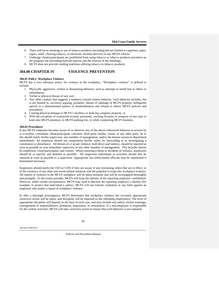- 6. There will be no smoking or use of tobacco products (including but not limited to cigarettes, pipes, cigars, snuff, chewing tobacco, or electronic nicotine devices) in any MCFS vehicle.
- 7. Underage clients/participants are prohibited from using tobacco or tobacco products anywhere on the program site (including both the interior and the exterior of the building)..
- 8. MCFS does not provide vending machines offering tobacco or tobacco products.

# **304.00 CHAPTER IV VIOLENCE PREVENTION**

# **304.01 Policy: Workplace Violence**

MCFS has a zero tolerance policy for violence in the workplace. "Workplace violence" is defined to include:

- 1. Physically aggressive, violent or threatening behavior, such as attempts to instill fear in others or intimidation;
- 2. Verbal or physical threats of any sort;
- 3. Any other conduct that suggests a tendency toward violent behavior. Such behavior includes, but is not limited to, excessive arguing, profanity, threats of sabotage of MCFS property, belligerent speech or a demonstrated pattern of insubordination and refusal to follow MCFS policies and procedures;
- 4. Causing physical damage to MCFS's facilities or defacing company property; or
- 5. With the exception of contracted security personnel, carrying firearms or weapons of any type or kind onto MCFS premises, in MCFS parking lots, or while conducting MCFS business.

#### **304.02 Procedures**

If any MCFS employee becomes aware of or observes any of the above-referenced behavior or actions by a co-worker, consultant, client/participant, customer, third party vendor, visitor, or any other party, he or she should notify his/her supervisor, any member of management, and/or the human resources department immediately. An employee should not compromise his/her safety by interceding in or investigating a commotion or disturbance. All threats of or actual violence, both direct and indirect, should be reported as soon as possible to your immediate supervisor or any other member of management. This includes threats by employees, client/participants, and visitors. When reporting a threat or incidents of violence, employees should be as specific and detailed as possible. All suspicious individuals or activities should also be reported as soon as possible to a supervisor. Appropriate law enforcement officials may be summoned if determined necessary.

Employees should notify the CEO or COO if they are aware of any restraining orders that are in effect, or of the existence of any other non-work-related situation with the potential to erupt into workplace violence. All reports of violence in the MCFS workplace will be taken seriously and will be investigated thoroughly and promptly. To the extent possible, MCFS will keep the identity of the reporting employee confidential. However, under certain circumstances, MCFS may need to disclose the reporting employee's identity (for example, to protect that individual's safety). MCFS will not tolerate retaliation in any form against an employee who makes a report of workplace violence.

If, after a thorough investigation, MCFS determines that workplace violence has occurred, appropriate corrective action will be taken, and discipline will be imposed on the offending employee(s). The level of appropriate discipline will depend on the facts in each case, and may include oral and/or written warnings, reassignment of responsibilities, probation, suspension, or termination. If a non-employee is responsible for the violent activities, MCFS will take corrective action to ensure that such behavior is not repeated.

39

Revised 10/08/2021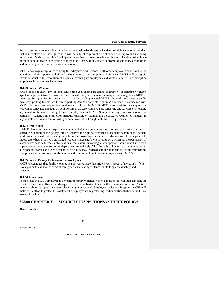Staff, interns or volunteers determined to be responsible for threats or incidents of violence or other conduct that is in violation of these guidelines will be subject to prompt disciplinary action up to and including termination. Visitors and client/participants determined to be responsible for threats or incidents of violence or other conduct that is in violation of these guidelines will be subject to prompt disciplinary action up to and including termination of service provision.

MCFS encourages employees to bring their disputes or differences with other employees or visitors to the attention of their supervisors before the situation escalates into potential violence. MCFS will engage in efforts to assist in the resolution of disputes involving its employees and visitors, and will not discipline employees for raising such concerns.

#### **304.03 Policy: Weapons**

MCFS does not allow any job applicant, employee, client/participant, contractor, subcontractor, vendor, agent or representative to possess, use, conceal, carry or maintain a weapon or handgun on MCFS's premises. Such premises include any portion of the building in which MCFS is housed, any private or public driveway, parking lot, sidewalk, street, parking garage or any other parking area used in connection with MCFS's business, and any vehicle used, owned or leased by MCFS. MCFS also prohibits the carrying of a weapon or concealed handgun on your person or property while you are rendering any services or attending any event or function relating to your employment with MCFS or conducting any business on the company's behalf. This prohibition includes carrying or maintaining a concealed weapon or handgun in any vehicle used in connection with your employment or brought onto MCFS's premises.

#### **304.04 Procedures**

If MCFS has a reasonable suspicion at any time that a handgun or weapon has been maintained, carried or stored in violation of this policy, MCFS reserves the right to conduct a reasonable search of the person, work area, personal items or any vehicle in the possession or subject to the control of such person to investigate whether or not a prohibited weapon is present. Any employee who witnesses the possession of a weapon or who witnesses a physical or verbal assault involving another person should report it to their supervisor or the human resources department immediately. Violating this policy or refusing to consent to a reasonable search conducted pursuant to his policy may lead to discipline up to and including termination. Compliance with this policy is also a term and condition of continued employment with MCFS.

#### **304.05 Policy: Family Violence in the Workplace**

MCFS understands that family violence is a pervasive issue that affects every aspect of a victim's life. It is our policy to assist all victims of family violence, dating violence, or stalking access safety and services.

#### **304.06 Procedures:**

In the event an MCFS employee is a victim of family violence, he/she should meet with their director, the COO, or the Human Resource Manager to discuss the best options for their particular situation. Victims may also choose to speak to a counselor through the agency's Employee Assistance Program. MCFS will make every effort to protect the safety of the employee while protecting his/her confidentiality to the fullest extent of the law.

# **305.00 CHAPTER V SECURITY INSPECTIONS & THEFT POLICY**

**305.01 Policy**

40

Revised 10/08/2021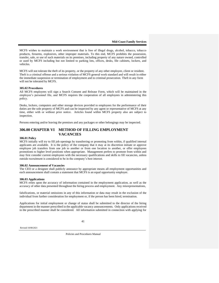MCFS wishes to maintain a work environment that is free of illegal drugs, alcohol, tobacco, tobacco products, firearms, explosives, other improper materials. To this end, MCFS prohibits the possession, transfer, sale, or use of such materials on its premises, including property of any nature owned, controlled or used by MCFS including but not limited to parking lots, offices, desks, file cabinets, lockers, and vehicles.

MCFS will not tolerate the theft of its property, or the property of any other employee, client or resident. Theft is a criminal offense and a serious violation of MCFS general work standard and will result in either the immediate suspension or termination of employment and to criminal prosecution. Theft in any form will not be tolerated by MCFS.

#### **305.02 Procedures**

All MCFS employees will sign a Search Consent and Release Form, which will be maintained in the employee's personnel file, and MCFS requires the cooperation of all employees in administering this policy.

Desks, lockers, computers and other storage devices provided to employees for the performance of their duties are the sole property of MCFS and can be inspected by any agent or representative of MCFS at any time, either with or without prior notice. Articles found within MCFS property also are subject to inspection.

Persons entering and/or leaving the premises and any packages or other belongings may be inspected.

# **306.00 CHAPTER VI METHOD OF FILLING EMPLOYMENT VACANCIES**

# **306.01 Policy**

MCFS initially will try to fill job openings by transferring or promoting from within, if qualified internal applicants are available. It is the policy of the company that it may at its discretion initiate or approve employee job transfers from one job to another or from one location to another, or offer employees promotions to higher level positions when appropriate. Management prefers to promote from within and may first consider current employees with the necessary qualifications and skills to fill vacancies, unless outside recruitment is considered to be in the company's best interest.

#### **306.02 Announcement of Vacancies**

The CEO or a designee shall publicly announce by appropriate means all employment opportunities and each announcement shall contain a statement that MCFS is an equal opportunity employer.

### **306.03 Applications**

MCFS relies upon the accuracy of information contained in the employment application, as well as the accuracy of other data presented throughout the hiring process and employment. Any misrepresentations,

falsifications, or material omissions in any of this information or data may result in the exclusion of the individual from further consideration for employment or, if the person has been hired, termination.

Applications for initial employment or change of status shall be submitted to the director of the hiring department in the manner prescribed in the applicable vacancy announcements. Only applications received in the prescribed manner shall be considered. All information submitted in connection with applying for

41

Revised 10/08/2021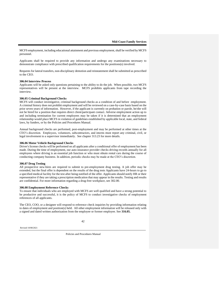MCFS employment, including educational attainment and previous employment, shall be verified by MCFS personnel.

Applicants shall be required to provide any information and undergo any examinations necessary to demonstrate compliance with prescribed qualification requirements for the positions(s) involved.

Requests for lateral transfers, non-disciplinary demotion and reinstatement shall be submitted as prescribed to the CEO.

## **306.04 Interview Process**

Applicants will be asked only questions pertaining to the ability to do the job. When possible, two MCFS representatives will be present at the interview. MCFS prohibits applicants from tape recording the interview.

# **306.05 Criminal Background Checks**

MCFS will conduct investigative, criminal background checks as a condition of and before employment. A criminal history does not prohibit employment and will be reviewed on a case-by-case basis based on the prior seven years of information. However, if the applicant is currently on probation or parole, he/she will not be hired for a position that requires direct client/participant contact. Adverse employment action up to and including termination for current employees may be taken if it is determined that an employment relationship would place MCFS in violation of guidelines established by applicable local, state, and federal laws, by funders, or by the Policies and Procedures Manual.

Annual background checks are performed, post-employment and may be performed at other times at the CEO's discretion. Employees, volunteers, subcontractors, and interns must report any criminal, civil, or legal involvement to a supervisor immediately. See chapter 313.23 for more details.

### **306.06 Motor Vehicle Background Checks**

Driver's license checks will be performed on all applicants after a conditional offer of employment has been made. During the time of employment, our auto insurance provider checks driving records annually for all employees where driving is an essential job function or who must obtain rental cars during the course of conducting company business. In addition, periodic checks may be made at the CEO's discretion.

## **306.07 Drug Testing**

All prospective new-hires are required to submit to pre-employment drug testing. A job offer may be extended, but the final offer is dependent on the results of the drug tests Applicants have 24-hours to go to a specified medical facility for the test after being notified of the offer. Applicants should notify HR or their representative if they are taking a prescription medication that may appear in the results. Testing and results are confidential. For more information regarding a drug-free workplace, see 302.00.

# **306.08 Employment Reference Checks**

To ensure that individuals who are employed with MCFS are well qualified and have a strong potential to be productive and successful, it is the policy of MCFS to conduct investigative checks of employment references of all applicants.

The CEO, COO, or a designee will respond to reference check inquiries by providing information relating to dates of employment and position(s) held. All other employment information will be released only with a signed and dated written authorization from the employee or former employee. See **316.05.** 

42

Revised 10/08/2021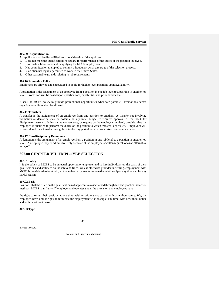#### **306.09 Disqualification**

An applicant shall be disqualified from consideration if the applicant:

- 1. Does not meet the qualifications necessary for performance of the duties of the position involved.
- 2. Has made a false statement in applying for MCFS employment.
- 3. Has committed or attempted to commit a fraudulent act at any stage of the selection process.
- 4. Is an alien not legally permitted to work in the United States.
- 5. Other reasonable grounds relating to job requirements

#### **306.10 Promotion Policy**

Employees are allowed and encouraged to apply for higher level positions upon availability.

A promotion is the assignment of an employee from a position in one job level to a position in another job level. Promotion will be based upon qualifications, capabilities and prior experience.

It shall be MCFS policy to provide promotional opportunities whenever possible. Promotions across organizational lines shall be allowed.

#### **306.11 Transfers**

A transfer is the assignment of an employee from one position to another. A transfer not involving promotion or demotion may be possible at any time, subject to required approval of the CEO, for disciplinary reasons, administrative convenience, or request by the employee involved, provided that the employee is qualified to perform the duties of the position to which transfer is executed. Employees will be considered for a transfer during the introductory period with the supervisor's recommendation.

#### **306.12 Non-Disciplinary Demotions**

A demotion is the assignment of an employee from a position in one job level to a position in another job level. An employee may be administratively demoted at the employee's written request, or as an alternative to layoff.

# **307.00 CHAPTER VII EMPLOYEE SELECTION**

#### **307.01 Policy**

It is the policy of MCFS to be an equal opportunity employer and to hire individuals on the basis of their qualifications and ability to do the job to be filled. Unless otherwise provided in writing, employment with MCFS is considered to be at will, so that either party may terminate the relationship at any time and for any lawful reason.

#### **307.02 Basis**

Positions shall be filled on the qualifications of applicants as ascertained through fair and practical selection methods. MCFS is an "at-will" employer and operates under the provision that employees have

the right to resign their position at any time, with or without notice and with or without cause. We, the employer, have similar rights to terminate the employment relationship at any time, with or without notice and with or without cause.

**307.03 Type**

43

Revised 10/08/2021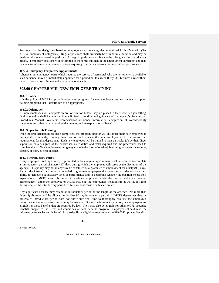Positions shall be designated based on employment status categories as outlined in this Manual. (See 311.04 Employment Categories.) Regular positions shall ordinarily be of indefinite duration and may be made to full-time or part-time positions. All regular positions are subject to the rules governing introductory period. Temporary positions will be limited to the terms outlined in the employment agreement and may be made to full-time or part-time positions requiring continuous, seasonal or intermittent performance.

#### **307.04 Emergency Temporary Appointments**

Whenever an emergency exists which requires the service of personnel who are not otherwise available, such personnel may be immediately appointed for a period not to exceed thirty (30) business days without regard to normal recruitment and shall not be renewable.

# **308.00 CHAPTER VIII NEW EMPLOYEE TRAINING**

#### **308.01 Policy**

It is the policy of MCFS to provide orientation programs for new employees and to conduct or support training programs that it determines to be appropriate.

#### **308.02 Orientation**

All new employees will complete an oral orientation before they are placed in their specified job setting. Oral orientation shall include but is not limited to: outline and guidance of the agency's Policies and Procedures Manual, Workers' Compensation insurance information, completion of confidentiality statements and other legally required documents, and an explanation of benefits.

## **308.03 Specific Job Training**

Once the oral orientation has been completed, the program director will introduce their new employee to the specific contract(s) funding their position and educate the new employee as to the contractual requirements for that department. Each new employee will be trained in their particular job by their direct supervisor, or a designee of the supervisor, as to duties and tasks required and the procedures used to complete them. New employee training may come in the form of on-the-job training, or a specific training session, or both, as need dictates.

#### **308.04 Introductory Period**

Every employee hired, appointed, or promoted under a regular appointment shall be required to complete an introductory period of ninety (90) days during which the employee will serve at the discretion of the agency. This policy may not in any way be construed as a guarantee of employment for ninety (90) days. Rather, the introductory period is intended to give new employees the opportunity to demonstrate their ability to achieve a satisfactory level of performance and to determine whether the position meets their expectations. MCFS uses this period to evaluate employee capabilities, work habits, and overall performance. Either the employee or MCFS may end the employment relationship at-will at any time during or after the introductory period, with or without cause or advance notice.

Any significant absence may extend an introductory period by the length of the absence. No more than three (3) absences will be allowed in the first 90 day introductory period. If MCFS determines that the designated introductory period does not allow sufficient time to thoroughly evaluate the employee's performance, the introductory period may be extended. During the introductory period, new employees are eligible for those benefits that are required by law. They may also be eligible for other MCFS-provided benefits, subject to the terms and conditions of each benefits program. Employees should read the information for each specific benefit for the details on eligibility requirements in 319.00 Employee Benefits.

44

Revised 10/08/2021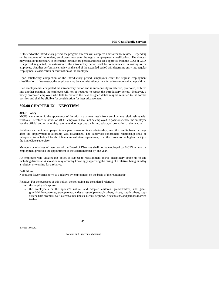At the end of the introductory period, the program director will complete a performance review. Depending on the outcome of the review, employees may enter the regular employment classification. The director may consider it necessary to extend the introductory period and shall seek approval from the COO or CEO. If approval is granted, the extension of the introductory period shall be communicated in writing to the employee. Another performance review at the end of the extended period will determine entry into regular employment classification or termination of the employee.

Upon satisfactory completion of the introductory period, employees enter the regular employment classification. If necessary, the employee may be administratively transferred to a more suitable position.

If an employee has completed the introductory period and is subsequently transferred, promoted, or hired into another position, the employee will not be required to repeat the introductory period. However, a newly promoted employee who fails to perform the new assigned duties may be returned to the former position and shall be eligible for consideration for later advancement.

# **309.00 CHAPTER IX NEPOTISM**

### **309.01 Policy**

MCFS wants to avoid the appearance of favoritism that may result from employment relationships with relatives. Therefore, relatives of MCFS employees shall not be employed in positions where the employee has the official authority to hire, recommend, or approve the hiring, salary, or promotion of the relative.

Relatives shall not be employed in a supervisor-subordinate relationship, even if it results from marriage after the employment relationship was established. The supervisor-subordinate relationship shall be interpreted to include all levels of line administrative supervisors, from the lowest to the highest, not just the immediate supervisor.

Members or relatives of members of the Board of Directors shall not be employed by MCFS, unless the employment preceded the appointment of the Board member by one year.

An employee who violates this policy is subject to reassignment and/or disciplinary action up to and including dismissal. A violation may occur by knowingly approving the hiring of a relative, being hired by a relative, or working for a relative.

#### **Definitions**

Nepotism: Favoritism shown to a relative by employment on the basis of the relationship

Relative: For the purposes of this policy, the following are considered relatives:

- the employee's spouse
- the employee's or the spouse's natural and adopted children, grandchildren, and greatgrandchildren; parents, grandparents, and great-grandparents; brothers, sisters, step-brothers, stepsisters, half-brothers, half-sisters; aunts, uncles, nieces, nephews, first cousins, and persons married to them.

45

Revised 10/08/2021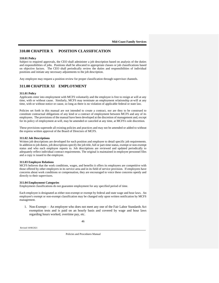# **310.00 CHAPTER X POSITION CLASSIFICATION**

# **310.01 Policy**

Subject to required approvals, the CEO shall administer a job description based on analysis of the duties and responsibilities of jobs. Positions shall be allocated to appropriate classes or job classifications based on objective factors. The CEO shall periodically review the duties and responsibilities of individual positions and initiate any necessary adjustments to the job description.

Any employee may request a position review for proper classification through supervisor channels.

# **311.00 CHAPTER XI EMPLOYMENT**

#### **311.01 Policy**

Applicants enter into employment with MCFS voluntarily and the employee is free to resign at will at any time, with or without cause. Similarly, MCFS may terminate an employment relationship at-will at any time, with or without notice or cause, so long as there is no violation of applicable federal or state law.

Policies set forth in this manual are not intended to create a contract, nor are they to be construed to constitute contractual obligations of any kind or a contract of employment between MCFS and any of its employees. The provisions of the manual have been developed at the discretion of management and, except for its policy of employment at-will, may be amended or canceled at any time, at MCFS's sole discretion.

These provisions supersede all existing policies and practices and may not be amended or added to without the express written approval of the Board of Directors of MCFS.

#### **311.02 Job Descriptions**

Written job descriptions are developed for each position and employee to detail specific job requirements. In addition to job duties, job descriptions specify the job title, full or part-time status, exempt or non-exempt status and who each employee reports to. Job descriptions are reviewed and updated periodically to adequately reflect individual contract requirements. The original is maintained in employee personnel files and a copy is issued to the employee.

### **311.03 Employee Relations**

MCFS believes that the work conditions, wages, and benefits it offers its employees are competitive with those offered by other employers in its service area and in its field of service provision. If employees have concerns about work conditions or compensation, they are encouraged to voice these concerns openly and directly to their supervisors.

#### **311.04 Employment Categories**

Employment classifications do not guarantee employment for any specified period of time.

Each employee is designated as either non-exempt or exempt by federal and state wage and hour laws. An employee's exempt or non-exempt classification may be changed only upon written notification by MCFS management.

1. Non-Exempt— An employee who does not meet any one of the Fair Labor Standards Act exemption tests and is paid on an hourly basis and covered by wage and hour laws regarding hours worked, overtime pay, etc.

46

Revised 10/08/2021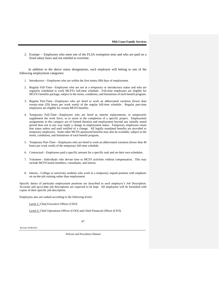2. Exempt— Employees who meet one of the FLSA exemption tests and who are paid on a fixed salary basis and not entitled to overtime.

 In addition to the above status designations, each employee will belong to one of the following employment categories:

- 1. Introductory—Employees who are within the first ninety (90) days of employment.
- 2. Regular Full-Time—Employees who are not in a temporary or introductory status and who are regularly scheduled to work MCFS's full-time schedule. Full-time employees are eligible for MCFS's benefits package, subject to the terms, conditions, and limitations of each benefit program.
- 3. Regular Part-Time—Employees who are hired to work an abbreviated variation (fewer than twenty-nine (29) hours per work week) of the regular full-time schedule. Regular part-time employees are eligible for certain MCFS benefits.
- 4. Temporary Full-Time—Employees who are hired as interim replacements, to temporarily supplement the work force, or to assist in the completion of a specific project. Employment assignments in this category are of limited duration and employment beyond any initially stated period does not in any way imply a change in employment status. Temporary employees retain that status unless and until notified of a change. All legally mandated benefits are provided to temporary employees. Some other MCFS-sponsored benefits may also be available, subject to the terms, conditions, and limitations of each benefit program.
- 5. Temporary Part-Time—Employees who are hired to work an abbreviated variation (fewer than 40 hours per work week) of the temporary full-time schedule.
- 6. Contractual—Employees paid a specific amount for a specific task and set their own schedules.
- 7. Volunteer—Individuals who devote time to MCFS activities without compensation. This may include MCFS board members, consultants, and interns.
- 8. Interns—College or university students who work in a temporary unpaid position with emphasis on on-the-job training rather than employment.

Specific duties of particular employment positions are described in each employee's Job Description. Accurate and up-to-date job descriptions are expected to be kept. All employees will be furnished with copies of their specific job description.

Employees also are ranked according to the following levels:

Level 1: Chief Executive Officer (CEO)

Level 2: Chief Operations Officer (COO) and Chief Financial Officer (CFO)

47

Revised 10/08/2021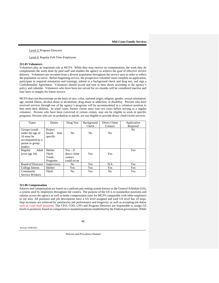# Level 3: Program Directors

Level 4: Regular Full-Time Employees

# **311.05 Volunteers**

Volunteers play an important role at MCFS. While they may receive no compensation, the work they do complements the work done by paid staff and enables the agency to achieve the goal of effective service delivery. Volunteers are recruited from a diverse population throughout the service area in order to reflect the population we serve. Before beginning service, the prospective volunteer must complete an application, participate in required orientation and trainings, submit to a background check and drug test, and sign a Confidentiality Agreement. Volunteers should record and turn in time sheets according to the agency's policy and calendar. Volunteers who have been not served for six months will be considered inactive and may have to reapply for future service.

MCFS does not discriminate on the basis of race, color, national origin, religion, gender, sexual orientation, age, mental illness, alcohol abuse or alcoholism, drug abuse or addiction, or disability. Persons who have received services through one of the agency's programs will be accommodated in a volunteer position to best meet their abilities. In some cases, former clients must wait two years before serving as a regular volunteer. Persons who have been convicted of certain crimes, may not be eligible to work in specific programs. Persons who are on probation or parole, are not eligible to provide direct client/victim services.

| <b>Types</b>              | Duties         | Drug Test     | Background     | Direct Client  | Application    |
|---------------------------|----------------|---------------|----------------|----------------|----------------|
|                           |                |               | Check          | Contact        | Required       |
| Groups (youth)            | Project        |               |                |                | N <sub>0</sub> |
| under the age of          | time<br>based; | No.           | N <sub>o</sub> | N <sub>o</sub> |                |
| 16 must be                | specific       |               |                |                |                |
| accompanied by a          |                |               |                |                |                |
| parent or group           |                |               |                |                |                |
| leader)                   |                |               |                |                |                |
| Adult<br>Regular          | Shelter        | $Yes - if$    |                |                | Yes            |
| (over age $16$ )          | Thrift         | direct client | Yes            | <b>Yes</b>     |                |
|                           | Youth          | contact       |                |                |                |
|                           | Programs       | could occur   |                |                |                |
| <b>Board of Directors</b> | Supervisory    | No.           | Yes            | N/A            | Yes            |
| College Interns           | Shelter        | Yes           | Yes            | Yes            | <b>Yes</b>     |
| Community                 | Thrift         | No            | <b>Yes</b>     | N <sub>o</sub> | <b>Yes</b>     |
| Service Workers           |                |               |                |                |                |

#### **311.06 Compensation**

Salaries and compensation are based on a uniform pay-setting system known as the General Schedule (GS), a system used by employers throughout the country. The purpose of the GS is to standardize positions and salaries across the agency as well as make compensation rates for MCFS comparable with other employers in our area. All positions and job descriptions have a GS level assigned and each GS level has 10 steps. Step increases are achieved by satisfactory job performance and longevity, as well as accepting job duties such as Lead Staff positions. The CEO, COO, CFO and Program Directors are responsible to assign GS levels to positions, based on comparison to standard positions established by the Federal government. While

48

Revised 10/08/2021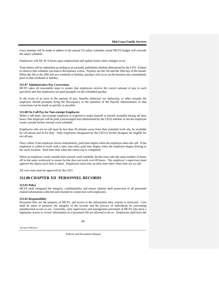every attempt will be made to adhere to the annual GS salary schedule, actual MCFS budget will override the salary schedule.

Employees will file W-4 forms upon employment and update forms when changes occur.

Time sheets will be submitted according to an annually published schedule determined by the CFO. Failure to observe that schedule can lead to disciplinary action. Paydays are the 5th and the 20th day of the month. When the 5th or the 20th fall on a weekend or holiday, paydays will occur on the business day immediately prior to that weekend or holiday.

#### **311.07 Administrative Pay Corrections**

MCFS takes all reasonable steps to ensure that employees receive the correct amount of pay in each paycheck and that employees are paid promptly on the scheduled payday.

In the event of an error in the amount of pay, benefits deducted, tax deduction, or other mistake the employee should promptly bring the discrepancy to the attention of the Payroll Administrator so that corrections can be made as quickly as possible.

#### **311.08 On Call Pay for Non-exempt Employees**

When a full-time, non-exempt employee is required to make himself or herself available during off duty hours, that employee will be paid a prearranged sum (determined by the CEO) whether or not the employee works outside his/her normal work schedule.

Employees who are on call must be less than 30 minutes away from their potential work site, be available by cell phone and fit for duty. Only employees designated by the CEO or his/her designee are eligible for on call pay.

Once called, if the employee leaves immediately, paid time begins when the employee takes the call. If the employee is called to work with a later start time, paid time begins when the employee begins driving to the work location. Paid time ends when the return trip is completed.

When an employee works outside their normal work schedule, he/she must take the same number of hours off in the same workweek to ensure he/she does not work over 40 hours. The employee's supervisor must approve the day(s) such time is taken. Employees must note on their time sheet when they are on call.

All over-time must be approved by the CEO.

# **312.00 CHAPTER XII PERSONNEL RECORDS**

# **312.01 Policy**

MCFS shall safeguard the integrity, confidentiality and ensure identity theft protection of all personnel related information collected and retained in connection with employees.

#### **312.02 Responsibility**

Personnel files are the property of MCFS, and access to the information they contain is restricted. Care shall be taken to preserve the integrity of the records and the privacy of individuals by preventing unauthorized access or use. Generally, only supervisors and management personnel of MCFS who have a legitimate reason to review information in a personnel file are allowed to do so. Employees shall have the

49

Revised 10/08/2021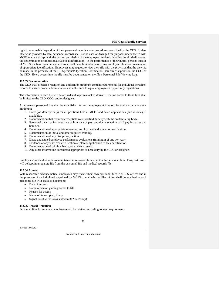right to reasonable inspection of their personnel records under procedures prescribed by the CEO. Unless otherwise provided by law, personnel records shall not be used or divulged for purposes unconnected with MCFS matters except with the written permission of the employee involved. Nothing herein shall prevent the dissemination of impersonal statistical information. In the performance of their duties, persons outside of MCFS, such as monitors and auditors, shall have limited access to any employee file upon presentation of appropriate identification. Employees may request to view their file with the provision that the viewing be made in the presence of the HR Specialist/Operation Coordinator, their direct supervisor, the COO, or the CEO. Every access into the file must be documented on the file's Personnel File Viewing Log.

#### **312.03 Documentation**

The CEO shall prescribe retention and uniform or minimum content requirements for individual personnel records to ensure proper administration and adherence to equal employment opportunity regulations.

The information in each file will be affixed and kept in a locked drawer. Routine access to these files shall be limited to the CEO, COO, and/or designee.

A permanent personnel file shall be established for each employee at time of hire and shall contain at a minimum:

- 1. Dated job description(s) for all positions held at MCFS and dated applications (and résumés, if available).
- 2. Documentation that required credentials were verified directly with the credentialing body.
- 3. Personnel data that includes date of hire, rate of pay, and documentation of all pay increases and bonuses.
- 4. Documentation of appropriate screening, employment and education verification.
- 5. Documentation of initial and other required training.
- 6. Documentation of any disciplinary action.
- 7. Dated and signed employee performance evaluations (minimum of one per year).
- 8. Evidence of any restricted certification or plan or application to seek certification.
- 9. Documentation of criminal background check results.
- 10. Any other information considered appropriate or necessary by the CEO or designee.

Employees' medical records are maintained in separate files and not in the personnel files. Drug test results will be kept in a separate file from the personnel file and medical records file.

### **312.04 Access**

With reasonable advance notice, employees may review their own personnel files in MCFS' offices and in the presence of an individual appointed by MCFS to maintain the files. A log shall be attached to each personnel file with space to document:

- Date of access,
- Name of person gaining access to file
- Reason for access
- Name of item copied, if any
- Signature of witness (as stated in 312.02 Policy).

# **312.05 Record Retention**

Personnel files for separated employees will be retained according to legal requirements.

50

Revised 10/08/2021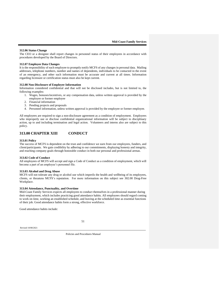## **312.06 Status Change**

The CEO or a designee shall report changes in personnel status of their employees in accordance with procedures developed by the Board of Directors.

#### **312.07 Employee Data Changes**

It is the responsibility of each employee to promptly notify MCFS of any changes in personal data. Mailing addresses, telephone numbers, number and names of dependents, individuals to be contacted in the event of an emergency, and other such information must be accurate and current at all times. Information regarding licensure or certification status must also be kept current.

# **312.08 Non-Disclosure of Employee Information**

Information considered confidential and that will not be disclosed includes, but is not limited to, the following examples:

- 1. Wages, bonuses/incentives, or any compensation data, unless written approval is provided by the employee or former employee
- 2. Financial information
- 3. Pending projects and proposals
- 4. Personnel information, unless written approval is provided by the employee or former employee.

All employees are required to sign a non-disclosure agreement as a condition of employment. Employees who improperly use or disclose confidential organizational information will be subject to disciplinary action, up to and including termination and legal action. Volunteers and interns also are subject to this policy.

# **313.00 CHAPTER XIII CONDUCT**

## **313.01 Policy**

The success of MCFS is dependent on the trust and confidence we earn from our employees, funders, and client/participants. We gain credibility by adhering to our commitments, displaying honesty and integrity, and reaching company goals through honorable conduct in both our personal and professional arenas.

#### **313.02 Code of Conduct**

All employees of MCFS will accept and sign a Code of Conduct as a condition of employment, which will become a part of an employee's personnel file.

### **313.03 Alcohol and Drug Abuse**

MCFS will not tolerate any drug or alcohol use which imperils the health and wellbeing of its employees, clients, or threatens MCFS's reputation. For more information on this subject see 302.00 Drug-Free Workplace.

### **313.04 Attendance, Punctuality, and Overtime**

Mid-Coast Family Services expects all employees to conduct themselves in a professional manner during their employment, which includes practicing good attendance habits. All employees should regard coming to work on time, working an established schedule, and leaving at the scheduled time as essential functions of their job. Good attendance habits form a strong, effective workforce.

Good attendance habits include:

51

Revised 10/08/2021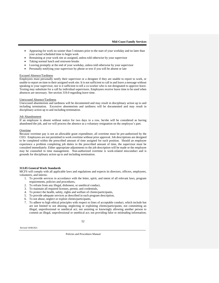- Appearing for work no sooner than 5 minutes prior to the start of your workday and no later than your actual scheduled time to begin work
- Remaining at your work site as assigned, unless told otherwise by your supervisor
- Taking normal lunch and restroom breaks
- Leaving promptly at the end of your workday, unless told otherwise by your supervisor
- Personally notifying your supervisor by phone or text if you will be absent or late

# Excused Absence/Tardiness

Employees must personally notify their supervisor or a designee if they are unable to report to work, or unable to report on time to their assigned work site. It is not sufficient to call in and leave a message without speaking to your supervisor, nor is it sufficient to tell a co-worker who is not designated to approve leave. Texting may substitute for a call by individual supervisors. Employees receive leave time to be used when absences are necessary. See section 319.0 regarding leave time.

### Unexcused Absence/Tardiness

Unexcused absenteeism and tardiness will be documented and may result in disciplinary action up to and including termination. Excessive absenteeism and tardiness will be documented and may result in disciplinary action up to and including termination.

#### Job Abandonment

If an employee is absent without notice for two days in a row, he/she will be considered as having abandoned the job, and we will process the absence as a voluntary resignation on the employee's part.

#### **Overtime**

Because overtime pay is not an allowable grant expenditure, all overtime must be pre-authorized by the CEO. Employees are not permitted to work overtime without prior approval. Job descriptions are designed to be completed within the prescribed amount of time assigned for each position. Should an employee experience a problem completing job duties in the prescribed amount of time, the supervisor must be consulted immediately. Either appropriate adjustments to the job description will be made or the employee may be counseled in time management. Non-authorized overtime is work-related misconduct and is grounds for disciplinary action up to and including termination.

#### **313.05 General Work Standards**

MCFS will comply with all applicable laws and regulations and expects its directors, officers, employees, volunteers, and interns:

- 1. To provide services in accordance with the letter, spirit, and intent of all relevant laws, program requirements, policies and procedures,
- 2. To refrain from any illegal, dishonest, or unethical conduct,
- 3. To maintain all required licenses, permit, and credentials,
- 4. To protect the health, safety, rights and welfare of clients/participants,
- 5. To provide adequate services as described in each program description,
- 6. To not abuse, neglect or exploit clients/participants,
- 7. To adhere to high ethical principles with respect to lines of acceptable conduct, which include but are not limited to not abusing, neglecting or exploiting clients/participants; not committing an illegal, unprofessional or unethical act; not assisting or knowingly allowing another person to commit an illegal, unprofessional or unethical act; not providing false or misleading information;

52

Revised 10/08/2021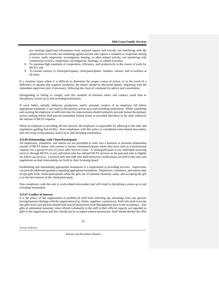not omitting significant information from required reports and records; not interfering with the preservation of records; not retaliating against anyone who reports a violation or cooperates during a review, audit, inspection, investigation, hearing, or other related activity; not interfering with commission reviews, inspections, investigations, hearings, or related activities.

- 8. To maintain high standards of cooperation, efficiency, and productivity in the course of work for MCFS, and
- 9. To extend courtesy to client/participants, client/participants' families, visitors, and co-workers at all times.

If a situation arises where it is difficult to determine the proper course of action, or in the event of a difference of opinion that requires resolution, the matter should be discussed openly, beginning with the immediate supervisor and, if necessary, following the chain of command for advice and consultation.

Disregarding or failing to comply with this standard of business ethics and conduct could lead to disciplinary action, up to and including termination.

If work habits, attitude, behavior, production, and/or personal conduct of an employee fall below appropriate standards, it can result in disciplinary action up to and including termination. While counseling and warning the employee in sufficient time for improvement should ordinarily precede formal disciplinary action, nothing herein shall prevent immediate formal action as provided elsewhere in the rules whenever the interest of MCFS requires.

When an employee is providing off-site services, the employee is responsible for adhering to the rules and regulations guiding that facility. Non-compliance with this policy is considered work-related misconduct and will result in disciplinary action up to and including termination.

# **313.06 Relationships with Client/Participants**

All employees, volunteers, and interns are not permitted to enter into a business or personal relationship outside of MCFS duties with current or former client/participants whom they have seen in a professional capacity for a period of two (2) years after services cease. A client/participant is any individual receiving services through MCFS; or any individual who has utilized MCFS services in the past and who is eligible for follow-up services. Licensed staff and staff who hold restrictive certifications are held to the rules and regulations on dual relationships set forth by their licensing board.

Establishing and maintaining appropriate boundaries is a requirement in providing services. Supervisors can provide additional guidance regarding appropriate boundaries. Employees, volunteers, and interns may accept gifts from clients/participants when the gifts are of minimal monetary value, and accepting the gift is in the best interest of the client/participant.

Non-compliance with this rule is work-related misconduct and will result in disciplinary action up to and including termination.

## **313.07 Conflict of Interest**

It is the policy of this organization to prohibit all staff from soliciting any advantage from any persons having business dealings with the organization (e.g. clients, suppliers, contractors). Staff who wish to accept any gifts from such persons should seek special permission from Management prior to the acceptance. Any gifts of substantial monetary value offered voluntarily to the staff in their official capacity are regarded as gifts to the organization and they should not be accepted without permission. Staff should decline the offer

53

Revised 10/08/2021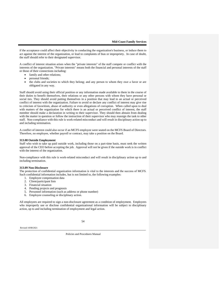if the acceptance could affect their objectivity in conducting the organization's business, or induce them to act against the interest of the organization, or lead to complaints of bias or impropriety. In case of doubt, the staff should refer to their designated supervisor.

A conflict of interest situation arises when the "private interests" of the staff compete or conflict with the interests of the organization. "Private interests" means both the financial and personal interests of the staff or those of their connections including:

- family and other relations;
- personal friends;
- the clubs and societies to which they belong; and any person to whom they owe a favor or are obligated in any way.

Staff should avoid using their official position or any information made available to them in the course of their duties to benefit themselves, their relations or any other persons with whom they have personal or social ties. They should avoid putting themselves in a position that may lead to an actual or perceived conflict of interest with the organization. Failure to avoid or declare any conflict of interest may give rise to criticism of favoritism, abuse of authority or even allegations of corruption. When called upon to deal with matters of the organization for which there is an actual or perceived conflict of interest, the staff member should make a declaration in writing to their supervisor. They should then abstain from dealing with the matter in question or follow the instruction of their supervisor who may reassign the task to other staff. Non-compliance with this rule is work-related misconduct and will result in disciplinary action up to and including termination.

A conflict of interest could also occur if an MCFS employee were seated on the MCFS Board of Directors. Therefore, no employee, whether payroll or contract, may take a position on the Board.

#### **313.08 Outside Employment**

Staff who wish to take up paid outside work, including those on a part-time basis, must seek the written approval of the CEO before accepting the job. Approval will not be given if the outside work is in conflict with the interest of the organization.

Non-compliance with this rule is work-related misconduct and will result in disciplinary action up to and including termination.

#### **313.09 Non-Disclosure**

The protection of confidential organization information is vital to the interests and the success of MCFS. Such confidential information includes, but is not limited to, the following examples:

- 1. Employee compensation data
- 2. Client/participant lists
- 3. Financial situation
- 4. Pending projects and prognosis
- 5. Personnel information (such as address or phone number)
- 6. Employee counseling or disciplinary action.

All employees are required to sign a non-disclosure agreement as a condition of employment. Employees who improperly use or disclose confidential organizational information will be subject to disciplinary action, up to and including termination of employment and legal action.

54

Revised 10/08/2021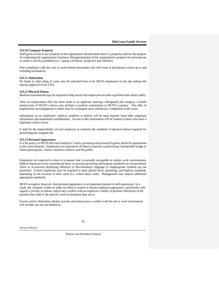## **313.10 Company Property**

Staff given access to any property of the organization should ensure that it is properly used for the purpose of conducting the organization's business. Misappropriation of the organization's property for personal use or resale is strictly prohibited (i.e., laptop, cell phone, projectors and vehicles).

Non-compliance with this rule is work-related misconduct and will result in disciplinary action up to and including termination.

#### **313.11 Solicitation**

No funds or other thing of value may be solicited from or by MCFS employees on the job without the express approval of the CEO.

### **313.12 Physical Fitness**

Medical examinations may be required to help ensure that employees are able to perform their duties safely.

After an employment offer has been made to an applicant entering a designated job category, a health professional of MCFS's choice may perform a medical examination at MCFS's expense. The offer of employment and assignment to duties may be contingent upon satisfactory completion of the exam.

Information on an employee's medical condition or history will be kept separate from other employee information and maintained confidentially. Access to this information will be limited to those who have a legitimate need to know.

It shall be the responsibility of each employee to maintain the standards of physical fitness required for performing the assigned job.

# **313.13 Personal Appearance**

It is the policy of MCFS that each employee's dress, grooming and personal hygiene should be appropriate to the work situation. Employees are expected at all times to present a professional, businesslike image to clients/participants, visitors, business contacts, and the public.

Employees are expected to dress in a manner that is normally acceptable in similar work environments. Radical departures from conventional dress or personal grooming and hygiene standards are not permitted. Attire or accessories displaying offensive or discriminatory language or inappropriate symbols are not permitted. Certain employees may be required to meet special dress, grooming, and hygiene standards, depending on the location of their work (i.e. school dress code). Management may impose additional appropriate standards.

MCFS recognize, however, that personal appearance is an important element of self-expression. As a result, the company wishes to make no effort to control or dictate employee appearance, specifically with regard to jewelry or tattoos, unless they conflict with an employee's ability to perform effectively in the position they hold or the specific work environment they are in.

Factors used to determine whether jewelry and tattoos pose a conflict with the job or work environment will include, but are not limited to:

55

Revised 10/08/2021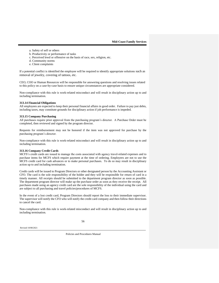- a. Safety of self or others
- b. Productivity or performance of tasks
- c. Perceived lewd or offensive on the basis of race, sex, religion, etc.
- d. Community norms
- e. Client complaints

If a potential conflict is identified the employee will be required to identify appropriate solutions such as removal of jewelry, covering of tattoos, etc.

CEO, COO or Human Resources will be responsible for answering questions and resolving issues related to this policy on a case-by-case basis to ensure unique circumstances are appropriate considered.

Non-compliance with this rule is work-related misconduct and will result in disciplinary action up to and including termination.

# **313.14 Financial Obligations**

All employees are expected to keep their personal financial affairs in good order. Failure to pay just debts, including taxes, may constitute grounds for disciplinary action if job performance is impeded.

#### **313.15 Company Purchasing**

All purchases require prior approval from the purchasing program's director. A Purchase Order must be completed, then reviewed and signed by the program director.

Requests for reimbursement may not be honored if the item was not approved for purchase by the purchasing program's director.

Non-compliance with this rule is work-related misconduct and will result in disciplinary action up to and including termination.

# **313.16 Company Credit Cards**

MCFS's credit cards are issued to manage the costs associated with agency travel-related expenses and to purchase items for MCFS which require payment at the time of ordering. Employees are not to use the MCFS credit card for cash advances or to make personal purchases. To do so may result in disciplinary action up to and including termination.

Credit cards will be issued to Program Directors or other designated person by the Accounting Assistant or CFO. The card is the sole responsibility of the holder and they will be responsible for return of card in a timely manner. All receipts should be submitted to the department program director as soon as possible. The department program director will make up the purchase order as soon as they receive the receipt. All purchases made using an agency credit card are the sole responsibility of the individual using the card and are subject to all purchasing and travel policies/procedures of MCFS.

In the event of a lost credit card, Program Directors should report the loss to their immediate supervisor. The supervisor will notify the CFO who will notify the credit card company and then follow their directions to cancel the card.

Non-compliance with this rule is work-related misconduct and will result in disciplinary action up to and including termination.

56

Revised 10/08/2021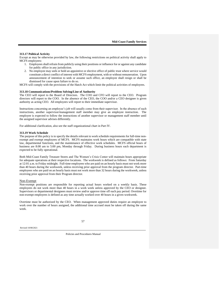#### **313.17 Political Activity**

Except as may be otherwise provided by law, the following restrictions on political activity shall apply to MCFS employees:

- 1. Employees shall refrain from publicly using their positions or influence for or against any candidate for public office in any jurisdiction.
- 2. No employee may seek or hold an appointive or elective office of public trust where service would constitute a direct conflict of interest with MCFS employment, with or without remuneration. Upon announcement of intention to seek or assume such office, an employee shall resign or shall be dismissed for cause upon failure to do so.

MCFS will comply with the provisions of the Hatch Act which limit the political activities of employees.

#### **313.18 Communications/Problem Solving/Line of Authority**

The CEO will report to the Board of Directors. The COO and CFO will report to the CEO. Program directors will report to the COO. In the absence of the CEO, the COO and/or a CEO designee is given authority as acting CEO. All employees will report to their immediate supervisor.

Instructions concerning an employee's job will usually come from their supervisor. In the absence of such instructions, another supervisor/management staff member may give an employee instruction. The employee is expected to follow the instructions of another supervisor or management staff member until the assigned supervisor advises differently.

For additional clarification, also see the staff organizational chart in Part IV.

#### **313.19 Work Schedule**

The purpose of this policy is to specify the details relevant to work schedule requirements for full-time nonexempt and exempt employees of MCFS. MCFS maintains work hours which are compatible with state law, departmental functions, and the maintenance of effective work schedules. MCFS official hours of business are 8:00 am to 5:00 pm, Monday through Friday. During business hours each department is expected to be fully operational.

Both Mid-Coast Family Treasure Stores and The Women's Crisis Center will maintain hours appropriate for adequate operations at their respective locations. The workweek is defined as follows: From Saturday at 12:01 a.m. to Friday midnight. Full-time employees who are paid on an hourly basis must not work more than 40 hours during the workweek, unless receiving prior approval from the program director. Part-time employees who are paid on an hourly basis must not work more than 32 hours during the workweek, unless receiving prior approval from their Program director.

## Non-Exempt

Non-exempt positions are responsible for reporting actual hours worked on a weekly basis. These employees do not work more than 40 hours in a work week unless approved by the CEO or designee. Supervisors or departmental designees must review and/or approve time off each pay period. Overtime for non-exempt employees is defined as any time actually worked over 40 hours in a given workweek.

Overtime must be authorized by the CEO. When management approved duties require an employee to work over the number of hours assigned, the additional time accrued must be taken off during the same week.

57

Revised 10/08/2021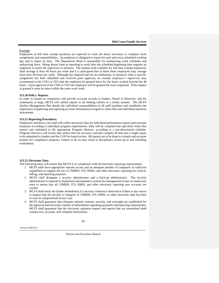# Exempt

Employees in full time exempt positions are expected to work the hours necessary to complete work assignments and responsibilities. An employee is obligated to report for each and every scheduled working day and to report on time. The Department Head is responsible for maintaining work schedules and authorizing leave. Being absent from or reporting to work after the scheduled beginning time requires an employee to notify the supervisor in advance. The normal work schedule for full time exempt employees shall average at least 40 hours per week and it is anticipated that at times these employees may average more than 40 hours per week. Although not required and not an entitlement, in instances when a specific assignment has been identified and received prior approval, an exempt employee's supervisor may recommend to the COO or CEO that the employee be granted leave for the hours worked beyond the 40 hours. Upon approval of the COO or CEO the employee will be granted the leave requested. If the request is granted it must be taken within the same work week.

#### **313.20 Policy: Reports**

In order to remain in compliance and provide accurate records to funders, Board of Directors, and the community at large, MCFS will submit reports to all funding entities in a timely manner. The MCFS Quality Management Plan details the individual responsibilities of all staff members and establishes the importance of gathering and reporting accurate information in regard to client files and individual measures instruments.

# **313.21 Reporting Procedures**

Employees and direct-care staff will collect necessary data for individual performance reports and outcome measures according to individual program requirements. Data will be compiled into specified client files reports and submitted to the appropriate Program Director, according to a pre-determined schedule. Program Directors will review data and/or files for accuracy and then compile all data into a single report to be submitted to funders and the COO for board review. All reports are to be done in a timely and accurate manner for compliance purposes. Failure to do so may result in disciplinary action up to and including termination.

#### **313.22 Electronic Data**

The following steps will ensure that MCFS is in compliance with all electronic reporting requirements:

- 1. MCFS shall have appropriate internet access and an adequate number of computers of sufficient capabilities to support the use of CMBHS, ITS, HMIS, and other electronic reporting for clinical, billing, and reporting purposes.
- 2. MCFS shall designate a security administrator and a back-up administrator. The security administrator is required to implement and maintain a system for management of user accounts/user roles to ensure that all CMBHS, ITS, HMIS, and other electronic reporting user accounts are current.
- 3. MCFS shall notify the funder immediately if a security violation is detected or if there is any reason to suspect that the security or integrity of CMBHS, ITS, HMIS, or other electronic data has been or may be compromised in any way.
- 4. MCFS shall guarantee that adequate internal controls, security, and oversight are established for the approval and electronic transfer of information regarding payments and reporting requirements. MCFS shall guarantee that the electronic payment request and reports that are transmitted shall contain true, accurate, and complete information.

58

Revised 10/08/2021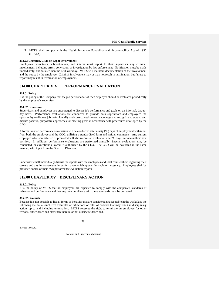5. MCFS shall comply with the Health Insurance Portability and Accountability Act of 1996 (HIPAA).

# **313.23 Criminal, Civil, or Legal Involvement**

Employees, volunteers, subcontractors, and interns must report to their supervisor any criminal involvement, including arrest, conviction, or investigation by law enforcement. Notification must be made immediately, but no later than the next workday. MCFS will maintain documentation of the involvement and the notice by the employee. Criminal involvement may or may not result in termination, but failure to report may result in termination of employment.

# **314.00 CHAPTER XIV PERFORMANCE EVALUATION**

#### **314.01 Policy**

It is the policy of the Company that the job performance of each employee should be evaluated periodically by the employee's supervisor.

#### **314.02 Procedure**

Supervisors and employees are encouraged to discuss job performance and goals on an informal, day-today basis. Performance evaluations are conducted to provide both supervisors and employees the opportunity to discuss job tasks, identify and correct weaknesses, encourage and recognize strengths, and discuss positive, purposeful approaches for meeting goals in accordance with procedures developed by the CEO.

A formal written performance evaluation will be conducted after ninety (90) days of employment with input from both the employee and the COO, utilizing a standardized form and written comments. Any current employee who is transferred or promoted will also receive an evaluation after 90 days' service in their new position. In addition, performance evaluations are performed annually. Special evaluations may be conducted, or exceptions allowed, if authorized by the CEO. The CEO will be evaluated in the same manner, with input from the Board of Directors.

Supervisors shall individually discuss the reports with the employees and shall counsel them regarding their careers and any improvements in performance which appear desirable or necessary. Employees shall be provided copies of their own performance evaluation reports.

# **315.00 CHAPTER XV DISCIPLINARY ACTION**

# **315.01 Policy**

It is the policy of MCFS that all employees are expected to comply with the company's standards of behavior and performance and that any noncompliance with these standards must be corrected.

# **315.02 Grounds**

Because it is not possible to list all forms of behavior that are considered unacceptable in the workplace the following are not all-inclusive examples of infractions of rules of conduct that may result in disciplinary action, up to and including termination. MCFS reserves the right to terminate an employee for other reasons, either described elsewhere herein, or not otherwise described.

59

Revised 10/08/2021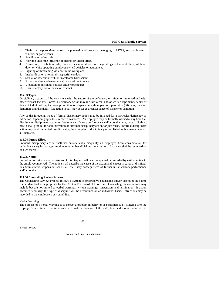- 1. Theft: the inappropriate removal or possession of property, belonging to MCFS, staff, volunteers, visitors, or participants.
- 2. Falsification of records.
- 3. Working under the influence of alcohol or illegal drugs.
- 4. Possession, distribution, sale, transfer, or use of alcohol or illegal drugs in the workplace, while on duty, or while operating employer-owned vehicles or equipment.
- 5. Fighting or threatening violence in the workplace.
- 6. Insubordination or other disrespectful conduct.
- 7. Sexual or other unlawful, or unwelcome harassment.
- 8. Excessive absenteeism or any absence without notice.
- 9. Violation of personnel policies and/or procedures.
- 10. Unsatisfactory performance or conduct.

# **315.03 Types**

Disciplinary action shall be consistent with the nature of the deficiency or infraction involved and with other relevant factors. Formal disciplinary action may include verbal and/or written reprimand, denial or delay of individual pay increase, promotion, or suspension without pay for up to thirty (30) days, transfer, demotion, and dismissal. Reduction in pay may occur as a consequence of transfer or demotion.

Any of the foregoing types of formal disciplinary action may be invoked for a particular deficiency or infraction, depending upon the exact circumstances. An employee may be formally warned at any time that dismissal or disciplinary action for further unsatisfactory performance and/or conduct may occur. Nothing herein shall prohibit the administration of informal disciplinary action for just cause. Informal disciplinary action may be documented. Additionally, the examples of disciplinary action listed in this manual are not all-inclusive.

# **315.04 Future Effect**

Previous disciplinary action shall not automatically disqualify an employee from consideration for individual salary increase, promotion, or other beneficial personnel action. Each case shall be reviewed on its own merits.

# **315.05 Notice**

Formal action taken under provisions of this chapter shall be accompanied or preceded by written notice to the employee involved. The notice shall describe the cause of the action and, except in cases of dismissal or administrative suspension, shall state the likely consequences of further unsatisfactory performance and/or conduct.

## **315.06 Counseling Review Process**

The Counseling Review Process follows a system of progressive counseling and/or discipline in a time frame identified as appropriate by the CEO and/or Board of Directors. Counseling review actions may include but are not limited to verbal warnings, written warnings, suspension, and termination. If action becomes necessary, the type of discipline will be determined on an individual basis. Infractions may be recorded in the employee's personnel file.

#### Verbal Warning

The purpose of a verbal warning is to correct a problem in behavior or performance by bringing it to the employee's attention. The supervisor will make a notation of the date, time and circumstance of the

60

Revised 10/08/2021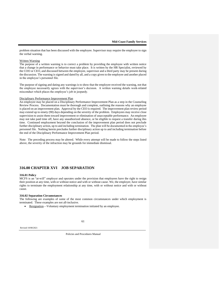problem situation that has been discussed with the employee. Supervisor may require the employee to sign the verbal warning.

# Written Warning

The purpose of a written warning is to correct a problem by providing the employee with written notice that a change in performance or behavior must take place. It is written by the HR Specialist, reviewed by the COO or CEO, and discussed between the employee, supervisor and a third party may be present during the discussion. The warning is signed and dated by all, and a copy given to the employee and another placed in the employee's personnel file.

The purpose of signing and dating any warnings is to show that the employee received the warning, not that the employee necessarily agrees with the supervisor's decision. A written warning details work-related misconduct which places the employee's job in jeopardy.

#### Disciplinary Performance Improvement Plan

An employee may be placed on a Disciplinary Performance Improvement Plan as a step in the Counseling Review Process. Documentation must be thorough and complete, outlining the reasons why an employee is placed on an improvement plan. Approval by the CEO is required. The improvement plan review period may extend up to ninety (90) days depending on the severity of the problem. Employees may receive close supervision to assist them toward improvement or elimination of unacceptable performance. An employee may not take paid time off, have any unauthorized absence, or be eligible to request a transfer during this time. Continued employment beyond the conclusion of the improvement plan period does not preclude further disciplinary action, up to and including termination. The plan will be documented in the employee's personnel file. Nothing herein precludes further disciplinary action up to and including termination before the end of the Disciplinary Performance Improvement Plan period.

Note: The preceding process may be altered. While every attempt will be made to follow the steps listed above, the severity of the infraction may be grounds for immediate dismissal.

# **316.00 CHAPTER XVI JOB SEPARATION**

### **316.01 Policy**

MCFS is an "at-will" employer and operates under the provision that employees have the right to resign their position at any time, with or without notice and with or without cause. We, the employer, have similar rights to terminate the employment relationship at any time, with or without notice and with or without cause.

#### **316.02 Separation Circumstances**

The following are examples of some of the most common circumstances under which employment is terminated. These examples are not all-inclusive.

• Resignation—Voluntary employment termination initiated by an employee.

61

Revised 10/08/2021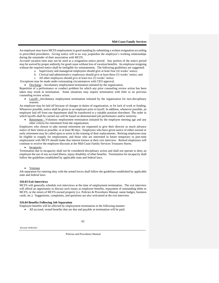An employee may leave MCFS employment in good standing by submitting a written resignation according to prescribed procedures. Giving notice will in no way jeopardize the employee's working relationships during the remainder of their association with MCFS.

Accrued vacation time may not be used as a resignation notice period. Any portion of the notice period may be waived by proper authority for good cause without loss of vacation benefits. An employee resigning without the required notice shall be ineligible for reinstatement. The following guidelines are suggested:

- a. Supervisory and managerial employees should give at least four (4) weeks' notice;
- b. Clerical and administrative employees should give at least three (3) weeks' notice; and
- c. All other employees should give at least two (2) weeks' notice.

Exceptions may be made under extenuating circumstances with CEO approval.

• Discharge—Involuntary employment termination initiated by the organization.

Repetition of a performance or conduct problem for which any prior counseling review action has been taken may result in termination. Some situations may require termination with little or no previous counseling review action.

• Layoff—Involuntary employment termination initiated by the organization for non-disciplinary reasons.

An employee may be laid off because of changes in duties of organization, or for lack of work or funding. Whenever possible, notice shall be given to an employee prior to layoff. In addition, whenever possible, an employee laid off from one department shall be transferred to a suitable position elsewhere. The order in which layoffs shall be carried out will be based on demonstrated job performance and/or seniority.

Retirement—Voluntary employment termination initiated by the employee meeting age and any other criteria for retirement from the organization.

Employees who choose to take normal retirement are requested to give their director as much advance notice of their intent as possible, or at least 90 days. Employees who have given notice of either normal or early retirement may be called upon to assist in the training of their replacements. Retiring employees may be eligible to reapply for employment, and those who are interested in future temporary or part-time employment with MCFS should make that interest known at their exit interview. Retired employees will continue to receive the employee discount at the Mid-Coast Family Services Treasures Stores.

# • Incapacity

Termination due to incapacity shall not be considered disciplinary action and shall not operate to deny an employee the use of any accrued illness, injury disability of other benefits. Termination for incapacity shall follow the guidelines established by applicable state and federal laws.

## • Veterans

Job separation for entering duty with the armed forces shall follow the guidelines established by applicable state and federal laws.

#### **316.03 Exit Interviews**

MCFS will generally schedule exit interviews at the time of employment termination. The exit interview will afford an opportunity to discuss such issues as employee benefits, repayment of outstanding debts to MCFS, or the return of MCFS-owned property (i.e. Policies & Procedures Manual, name badges, business cards, etc.). Suggestions, complaints, and questions are also welcomed at the exit interview.

### **316.04 Benefits Following Job Separation**

Employee benefits will be affected by employment termination in the following manner:

• All accrued, vested benefits that are due and payable at termination will be paid.

62

Revised 10/08/2021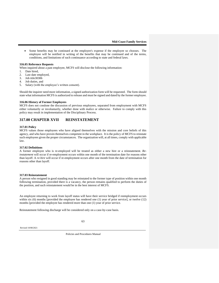• Some benefits may be continued at the employee's expense if the employee so chooses. The employee will be notified in writing of the benefits that may be continued and of the terms, conditions, and limitations of such continuance according to state and federal laws.

#### **316.05 Reference Requests**

When inquired about a past employee, MCFS will disclose the following information:

- 1. Date hired,
- 2. Last date employed,
- 3. Job title30306
- 4. Job duties, and
- 5. Salary (with the employee's written consent).

Should the inquirer need more information, a signed authorization form will be requested. The form should state what information MCFS is authorized to release and must be signed and dated by the former employee.

# **316.06 History of Former Employees**

MCFS does not condone the discussion of previous employees, separated from employment with MCFS either voluntarily or involuntarily, whether done with malice or otherwise. Failure to comply with this policy may result in implementation of the Disciplinary Process.

# **317.00 CHAPTER XVII REINSTATEMENT**

#### **317.01 Policy**

MCFS values those employees who have aligned themselves with the mission and core beliefs of this agency, and who have proven themselves competent in the workplace. It is the policy of MCFS to reinstate such employees given the proper circumstances. The organization will, at all times, comply with applicable law.

# **317.02 Definitions**

A former employee who is re-employed will be treated as either a new hire or a reinstatement. *Reinstatement* will occur if re-employment occurs within one month of the termination date for reasons other than layoff. A *re-hire* will occur if re-employment occurs after one month from the date of termination for reasons other than layoff.

#### **317.03 Reinstatement**

A person who resigned in good standing may be reinstated to the former type of position within one month following termination, provided there is a vacancy, the person remains qualified to perform the duties of the position, and such reinstatement would be in the best interest of MCFS.

An employee returning to work from layoff status will have their service bridged if reemployment occurs within six (6) months [provided the employee has rendered one (1) year of prior service], or twelve (12) months [provided the employee has rendered more than one (1) year of prior service.

Reinstatement following discharge will be considered only on a case-by-case basis.

63

Revised 10/08/2021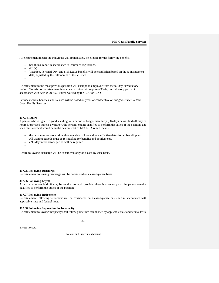A reinstatement means the individual will immediately be eligible for the following benefits:

- health insurance in accordance to insurance regulations.
- $401(k)$
- Vacation, Personal Day, and Sick Leave benefits will be established based on the re-instatement date, adjusted by the full months of the absence.
- •

Reinstatement to the most previous position will exempt an employee from the 90-day introductory period. Transfer or reinstatement into a new position will require a 90-day introductory period, in accordance with *Section 314.02*, unless waived by the CEO or COO.

Service awards, bonuses, and salaries will be based on years of consecutive or bridged service to Mid-Coast Family Services.

#### **317.04 Rehire**

A person who resigned in good standing for a period of longer than thirty (30) days or was laid off may be rehired, provided there is a vacancy, the person remains qualified to perform the duties of the position, and such reinstatement would be in the best interest of MCFS. A rehire means:

- the person returns to work with a new date of hire and new effective dates for all benefit plans. All waiting periods must be re-satisfied for benefits and entitlements.
- a 90-day introductory period will be required.
- •

Rehire following discharge will be considered only on a case-by-case basis.

#### **317.05 Following Discharge**

Reinstatement following discharge will be considered on a case-by-case basis.

#### **317.06 Following Layoff**

A person who was laid off may be recalled to work provided there is a vacancy and the person remains qualified to perform the duties of the position.

## **317.07 Following Retirement**

Reinstatement following retirement will be considered on a case-by-case basis and in accordance with applicable state and federal laws.

# **317.08 Following Separation for Incapacity**

Reinstatement following incapacity shall follow guidelines established by applicable state and federal laws.

64

Revised 10/08/2021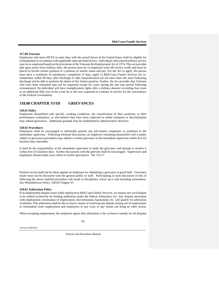#### **317.09 Veterans**

Employees who leave MCFS to enter duty with the armed forces of the United States shall be eligible for reinstatement in accordance with applicable state and federal laws. Individuals who entered military service may be re-employed based on the provisions of the Veterans Re-Employment Act of 1974. This act provides that upon return from military duty, the person must be re-employed with full service credit and must be placed in his/her former position or a position of similar status and pay. For the Act to apply, the person must have a certificate of satisfactory completion of duty; apply to Mid-Coast Family Services for reinstatement within 90 days after discharge or after hospitalization (of not more than one year) following discharge and be able to perform the duties of the former position. Further, the Act provides that Veterans who have been reinstated may not be separated except for cause during the one-year period following reinstatement. No individual will have reemployment rights after a military absence exceeding four years or an additional fifth year in the event he or she was requested to continue in service for the convenience of the Federal Government.

# **318.00 CHAPTER XVIII GRIEVANCES**

# **318.01 Policy**

Employees dissatisfied with specific working conditions, the classification of their positions, or their performance evaluations, or who believe they have been subjected to unfair treatment or discrimination may submit grievances. Additional grounds may be established by administrative directive.

#### **318.02 Procedures**

Employees shall be encouraged to informally present any job-related complaints or problems to the immediate supervisor. Following informal discussions, an employee remaining dissatisfied with a matter subject to grievance procedures may submit a written grievance to the immediate supervisor within five (5) business days thereafter.

It shall be the responsibility of the immediate supervisor to study the grievance and attempt to resolve it within five (5) business days. Further discussions with the grievant shall be encouraged. Supervisors and employees should make every effort to resolve grievances. See 313.17

Punitive action shall not be taken against an employee for submitting a grievance in good faith. Grievance issues must not be discussed with the general public or staff. Participating in such discussion in lieu of following the above outlined procedure will result in disciplinary action up to and including termination. See Whistleblower Policy 106.00 Chapter VI

# **318.03 Arbitration Policy**

If an [employment](http://us.mg4.mail.yahoo.com/neo/) dispute arises while employed at Mid-Coast Family Services, we require any such dispute to be settled exclusively by binding arbitration under the federal Arbitration Act. Any dispute associated with employment, termination of employment, discrimination, harassment, etc. will qualify for arbitration resolution. This arbitration shall be the exclusive means of resolving any dispute arising out of employment or termination from employment and employees in any court or any forum can bring no other action.

When accepting employment, the employee agrees that arbitration is the exclusive remedy for all disputes

65

Revised 10/08/2021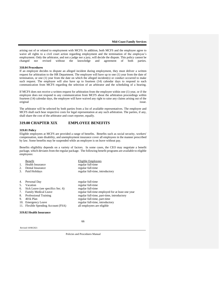arising out of or related to employment with MCFS. In addition, both MCFS and the employee agree to waive all rights to a civil court action regarding employment and the termination of the employee's employment. Only the arbitrator, and not a judge nor a jury, will decide the dispute. This policy cannot be changed nor revised without the knowledge and agreement of both parties. changed nor revised without the knowledge and agreement of both parties.

#### **318.04 Procedures**

If an employee decides to dispute an alleged incident during employment, they must deliver a written request for arbitration to the HR Department. The employee will have up to one (1) year from the date of termination, or one (1) year from the date on which the alleged incident(s) or conduct occurred to make such request. The employee will also have up to fourteen (14) calendar days to respond to each communication from MCFS regarding the selection of an arbitrator and the scheduling of a hearing.

If MCFS does not receive a written request for arbitration from the employee within one (1) year, or if the employee does not respond to any communication from MCFS about the arbitration proceedings within fourteen (14) calendar days, the employee will have waived any right to raise any claims arising out of the original issue. The contract of the contract of the contract of the contract of the contract of the contract of the contract of the contract of the contract of the contract of the contract of the contract of the contract o

The arbitrator will be selected by both parties from a list of available representatives. The employee and MCFS shall each bear respective costs for legal representation at any such arbitration. The parties, if any, shall share the cost of the arbitrator and [court reporter,](http://us.mg4.mail.yahoo.com/neo/) equally.

# **319.00 CHAPTER XIX EMPLOYEE BENEFITS**

#### **319.01 Policy**

Eligible employees at MCFS are provided a range of benefits. Benefits such as social security, workers' compensation, state disability, and unemployment insurance cover all employees in the manner prescribed by law. Some benefits may be suspended while an employee is on leave without pay.

Benefits eligibility depends on a variety of factors. In some cases, the CEO may negotiate a benefit package, which deviates from the regular package. The following benefit programs are available to eligible employees:

|     | 319.02 Health Insurance                                    |                                                               |
|-----|------------------------------------------------------------|---------------------------------------------------------------|
|     | 10. Emergency Leave<br>11. Flexible Spending Account (FSA) | regular full-time, introductory<br>all employees are eligible |
| 9.  | 401k Plan                                                  | regular full-time, part-time                                  |
| 8.  | Professional Training                                      | regular full-time, part-time, introductory                    |
| 7.  | <b>Family Medical Leave</b>                                | regular full-time employed for at least one year              |
| 6.  | Sick Leave (see specifics Sec. 6)                          | regular full-time                                             |
| .5. | Vacation                                                   | regular full-time                                             |
| 4.  | Personal Day                                               | regular full-time                                             |
| 3.  | Paid Holidays                                              | regular full-time, introductory                               |
| 2.  | Dental Insurance                                           | regular full-time                                             |
| 1.  | Health Insurance                                           | regular full-time                                             |
|     | Benefit                                                    | Eligible Employees                                            |

66

Revised 10/08/2021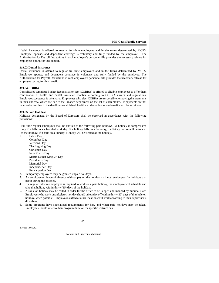Health insurance is offered to regular full-time employees and in the terms determined by MCFS. Employee, spouse, and dependent coverage is voluntary and fully funded by the employee. The Authorization for Payroll Deductions in each employee's personnel file provides the necessary release for employees opting for this benefit.

# **319.03 Dental Insurance**

Dental insurance is offered to regular full-time employees and in the terms determined by MCFS. Employee, spouse, and dependent coverage is voluntary and fully funded by the employee. The Authorization for Payroll Deductions in each employee's personnel file provides the necessary release for employee opting for this benefit.

# **319.04 COBRA**

Consolidated Omnibus Budget Reconciliation Act (COBRA) is offered to eligible employees to offer them continuation of health and dental insurance benefits, according to COBRA's rules and regulations. Employee acceptance is voluntary. Employees who elect COBRA are responsible for paying the premiums in their entirety, which are due to the Finance department on the 1st of each month. If payments are not received according to the deadlines established, health and dental insurance benefits will be terminated.

#### **319.05 Paid Holidays**

Holidays designated by the Board of Directors shall be observed in accordance with the following provisions:

Full time regular employees shall be entitled to the following paid holidays. A holiday is compensated only if it falls on a scheduled work day. If a holiday falls on a Saturday, the Friday before will be treated as the holiday; if it falls on a Sunday, Monday will be treated as the holiday.

- 1. Labor Day Columbus Day Veterans Day Thanksgiving Day Christmas Day New Year's Day Martin Luther King, Jr. Day President's Day Memorial Day Independence Day Emancipation Day
- 2. Temporary employees may be granted unpaid holidays.
- 3. An employee on leave of absence without pay on the holiday shall not receive pay for holidays that occur during the absence.
- 4. If a regular full-time employee is required to work on a paid holiday, the employee will schedule and take that holiday within thirty (30) days of the holiday.
- 5. A skeleton holiday may be called in order for the office to be is open and manned by minimal staff. Employees who work on a skeleton holiday should take a day off within thirty (30) days of the skeleton holiday, when possible. Employees staffed at other locations will work according to their supervisor's directives.
- 6. Some programs have specialized requirements for how and when paid holidays may be taken. Employees should refer to their program director for specific instructions.

67

Revised 10/08/2021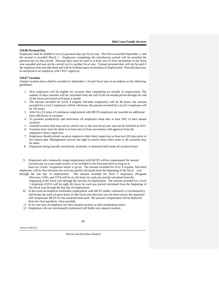## **319.06 Personal Day**

Employees shall be entitled to two (2) personal days per fiscal year. The first is awarded September 1, and the second is awarded March 1. Employees completing the introductory period will be awarded the personal day for that period. Personal days must be used in at least one (1) hour increments in the fiscal year awarded and may not be carried over to another fiscal year. Unused personal days will not be paid if the employee does not take them and will be forfeited upon termination of employment. Personal days may be advanced to an employee with CEO's approval.

#### **319.07 Vacation**

Annual vacation leave shall be awarded on September 1 of each fiscal year in accordance to the following guidelines:

- 1. New employees will be eligible for vacation after completing six months of employment. The number of days awarded will be calculated from the end of the six-month period through the end of the fiscal year based on 8 hours a month.
- 2. The amount awarded for Level 4 (regular full-time employees) will be 96 hours; the amount awarded for Level 2 employees will be 144 hours; the amount awarded for a Level 1 employee will be 192 hours.
- 3. After five (5) years of continuous employment with MCFS employees are awarded an additional forty (40) hours of vacation.
- 4. To promote productivity and motivation all employees must take at least 50% of their annual vacation.
- 5. Unused vacation time may not be carried over to the next fiscal year and will be forfeited on 8/31.
- 6. Vacation leave must be taken in at least one (1) hour increments with approval from the employee's direct supervisor.
- 7. Employees should submit vacation requests to their direct supervisor at least ten (10) days prior to the request date. Management reserves the right to restrict times when some or all vacations may be taken.
- 8. Employees being laterally transferred, promoted, or demoted shall retain all vacation hours.
- 9. Employees who voluntarily resign employment with MCFS will be compensated for unused vacation pay on a pro-rated system, to be included in the final paycheck as long as at least two weeks' resignation notice is given. The amount awarded for level 4 (regular, full-time)

employees will be four (4) hours for each pay period calculated from the beginning of the fiscal year through the last day of employment. The amount awarded for level 2 employees (Program

- Directors, COO, and CFO) will be six (6) hours for each pay period calculated from the beginning of the fiscal year through the last day of employment. The amount awarded for a level 1 employee (CEO) will be eight (8) hours for each pay period calculated from the beginning of the fiscal year through the last day of employment.
- 10. In the event an employee terminates employment with MCFS (either voluntarily or involuntarily) and he/she has used vacation hours in that fiscal year that have not yet been earned, the employee will compensate MCFS for the unearned time used. The amount compensated will be deducted from the final paycheck, when possible.
- 11. In no case may an employee use their unused vacation as their termination notice.
- 12. Employees who are involuntarily terminated will forfeit any unused vacation.

68

Revised 10/08/2021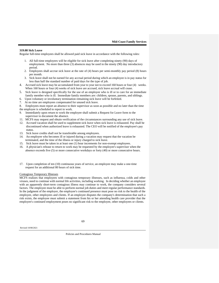# **319.08 Sick Leave**

Regular full-time employees shall be allowed paid sick leave in accordance with the following rules:

- 1. All full-time employees will be eligible for sick leave after completing ninety (90) days of employment. No more than three (3) absences may be used in the ninety (90) day introductory period.
- 2. Employees shall accrue sick leave at the rate of (4) hours per semi-monthly pay period (8) hours per month.
- 3. Sick leave shall not be earned for any accrual period during which an employee is in pay status for less than half the standard number of paid days for the type of job.
- 4. Accrued sick leave may be accumulated from year to year not to exceed 160 hours or four (4) weeks. When 160 hours or four (4) weeks of sick leave are accrued, sick leave accrual will cease.
- 5. Sick leave is designed specifically for the use of an employee who is ill or to care for an immediate family member who is ill. Immediate family members are: children, spouse, parents, and siblings.
- 6. Upon voluntary or involuntary termination remaining sick leave will be forfeited.
- 7. At no time are employees compensated for unused sick leave.

8. Employees must report an absence to their supervisor as soon as possible and no later than the time the employee is scheduled to report to work.

- 9. Immediately upon return to work the employee shall submit a Request for Leave form to the supervisor to document the absence.
- 11. MCFS may request and obtain verification of the circumstances surrounding any use of sick leave.
- 12. Accrued vacation shall be used to supplement sick leave when sick leave is exhausted. Pay shall be discontinued when authorized leave is exhausted. The CEO will be notified of the employee's pay status.
- 13. Sick leave credits shall not be transferable among employees.
- 14. An employee who becomes ill or injured during a vacation may request that the vacation be terminated, and the time of the illness or injury charged to sick leave.
- 15. Sick leave must be taken in at least one (1) hour increments for non-exempt employees.
- 16. A physician's release to return to work may be requested by the employee's supervisor when the absence exceeds five (5) or more consecutive workdays or forty (40) or more consecutive hours.
- 17. Upon completion of ten (10) continuous years of service, an employee may make a one-time request for an additional 80 hours of sick time.

# Contagious Temporary Illnesses

MCFS realizes that employees with contagious temporary illnesses, such as influenza, colds and other viruses, need to continue with normal life activities, including working. In deciding whether an employee with an apparently short-term contagious illness may continue to work, the company considers several factors. The employee must be able to perform normal job duties and meet regular performance standards. In the judgment of the employer, the employee's continued presence must pose no risk to the health of the employee, other employees and clients. If an employee disputes the company's determination that such a risk exists, the employee must submit a statement from his or her attending health care provider that the employee's continued employment poses no significant risk to the employee, other employees or clients.

69

Revised 10/08/2021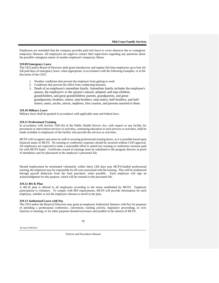Employees are reminded that the company provides paid sick leave to cover absences due to contagious temporary illnesses. All employees are urged to contact their supervisors regarding any questions about the possible contagious nature of another employee's temporary illness.

# **319.09 Emergency Leave**

The CEO and/or Board of Directors shall grant introductory and regular full-time employees up to four (4) full paid days of emergency leave, when appropriate, in accordance with the following examples, or at the discretion of the CEO:

- 1. Weather conditions that prevent the employee from getting to work.
- 2. Conditions that prevent the office from conducting business.
- 3. Death of an employee's immediate family. Immediate family includes the employee's spouse, the employee's or the spouse's natural, adopted, and step-children, grandchildren, and great grandchildren; parents, grandparents, and greatgrandparents; brothers, sisters, step-brothers, step-sisters, half-brothers, and halfsisters; aunts, uncles, nieces, nephews, first cousins, and persons married to them.

# **319.10 Military Leave**

Military leave shall be granted in accordance with applicable state and federal laws.

# **319.11 Professional Training**

In accordance with Section 1920 (b) of the Public Health Service Act, with respect to any facility for prevention or intervention services or activities, continuing education in such services or activities, shall be made available to employees of the facility who provide the services or activities.

MCFS will recognize and assist its staff in securing professional training hours, as it is possible based upon financial status of MCFS. No training or conference expenses should be incurred without COO approval. All employees are expected to make a reasonable effort to attend any training or conference sessions paid for with MCFS funds. Certificates issued at trainings must be submitted to the program director as proof of attendance and for placement in the employee's personnel file.

Should employment be terminated voluntarily within thirty (30) days post MCFS-funded professional training, the employee may be responsible for all costs associated with the training. This will be reimbursed through payroll deduction from the final paycheck, when possible. Each employee will sign an acknowledgment for this purpose, which will be retained in the personnel file.

### **319.12 401-K Plan**

A 401-K plan is offered to all employees according to the terms established by MCFS. Employee participation is voluntary. To comply with IRS requirements, MCFS will provide information for each employee, whether or not the employee chooses to enroll in the plan.

# **319.13 Authorized Leave with Pay**

The CEO and/or the Board of Directors may grant an employee Authorized Absence with Pay for purposes of attending a professional conference, convention, training activity, legislative proceeding, or civic function or meeting, or for other purposes deemed necessary and prudent in the interest of MCFS.

70

Revised 10/08/2021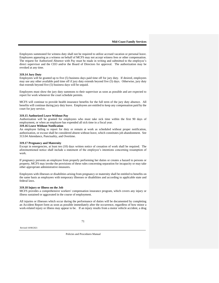Employees summoned for witness duty shall not be required to utilize accrued vacation or personal leave. Employees appearing as a witness on behalf of MCFS may not accept witness fees or other compensation. The request for Authorized Absence with Pay must be made in writing and submitted to the employee's direct supervisor and the CEO and/or the Board of Directors for approval. The authorization may be revoked at any time.

#### **319.14 Jury Duty**

Employees will be granted up to five (5) business days paid time off for jury duty. If desired, employees may use any other available paid time off if jury duty extends beyond five (5) days. Otherwise, jury duty that extends beyond five (5) business days will be unpaid.

Employees must show the jury duty summons to their supervisor as soon as possible and are expected to report for work whenever the court schedule permits.

MCFS will continue to provide health insurance benefits for the full term of the jury duty absence. All benefits will continue during jury duty leave. Employees are entitled to keep any compensation paid by the court for jury service.

#### **319.15 Authorized Leave Without Pay**

Authorization will be granted for employees who must take sick time within the first 90 days of employment, or when an employee has expended all sick time in a fiscal year.

## **319.16 Leave Without Notification**

An employee failing to report for duty or remain at work as scheduled without proper notification, authorization, or excuse shall be considered absent without leave, which constitutes job abandonment. See 313.04 Attendance, Punctuality, and Overtime.

#### **319.17 Pregnancy and Maternity**

Except in emergencies, at least ten (10) days written notice of cessation of work shall be required. The aforementioned notice shall include a statement of the employee's intentions concerning resumption of work.

If pregnancy prevents an employee from properly performing her duties or creates a hazard to persons or property, MCFS may invoke the provisions of these rules concerning separation for incapacity or may take other appropriate administrative measures.

Employees with illnesses or disabilities arising from pregnancy or maternity shall be entitled to benefits on the same basis as employees with temporary illnesses or disabilities and according to applicable state and federal laws.

#### **319.18 Injury or Illness on the Job**

MCFS provides a comprehensive workers' compensation insurance program, which covers any injury or illness sustained or aggravated in the course of employment.

All injuries or illnesses which occur during the performance of duties will be documented by completing an Accident Report form as soon as possible immediately after the occurrence, regardless of how minor a work-related injury or illness may appear to be. If an injury results from a motor vehicle accident, a drug

71

Revised 10/08/2021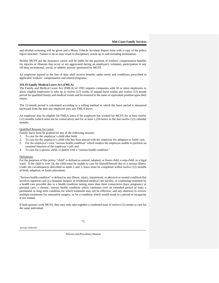and alcohol screening will be given and a Motor Vehicle Accident Report form with a copy of the police report attached. Failure to do so may result in disciplinary action up to and including termination.

Neither MCFS nor the insurance carrier will be liable for the payment of workers' compensation benefits for injuries or illnesses that occur or are aggravated during an employee's voluntary participation in any off-duty recreational, social, or athletic activity sponsored by MCFS.

An employee injured in the line of duty shall receive benefits under terms and conditions prescribed in applicable workers' compensation and related programs.

#### **319.19 Family Medical Leave Act (FMLA)**

The Family and Medical Leave Act (FMLA) of 1993 requires companies with 50 or more employees to allow eligible employees to take up to twelve (12) weeks of unpaid leave within any twelve (12) month period for qualified family and medical events and be restored to the same or equivalent position upon their return.

The 12-month period is calculated according to a rolling method in which the leave period is measured backward from the date any employee uses any FMLA leave.

An employee may be eligible for FMLA leave if the employee has worked for MCFS for at least twelve (12) months (which need not be consecutive) and for at least 1,250 hours in the last twelve (12) calendar months.

# Qualified Reasons for Leave

Family leave must be granted for any of the following reasons:

- 1. To care for the employee's child after birth,
- 2. To care for the employee's child who has been placed with the employee for adoption or foster care,
- 3. For the employee's own "serious health condition" which renders the employee unable to perform an essential function of the employee's job, and
- 4. To care for a spouse, child, or parent with a "serious health condition."

#### Definitions

For the purposes of this policy "child" is defined as natural, adopted, or foster child, a step-child, or a legal ward. If the child is over 18, the child must be unable to care for himself/herself due to a serious illness. Under the circumstances described in items 2 and 3, leave must be completed within twelve (12) months of birth, adoption, or foster placement.

"Serious health condition" is defined as any illness, injury, impairment, or physical or mental condition that involves inpatient care in a hospital, hospice or residential medical care facility, or continuing treatment by a health care provider due to a health condition lasting more than three consecutive days; pregnancy or prenatal care; a chronic, serious health condition which continues over an extended period of time; a permanent or long term condition for which treatment may not be effective; and any absences to receive multiple treatments for restorative surgery, or for a condition which would result in a period of incapacity if not treated.

If both spouses work MCFS, they may only take together a combined total of twelve (12) weeks to care for the same individual.

72

Revised 10/08/2021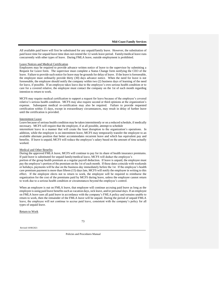All available paid leave will first be substituted for any unpaid/family leave. However, the substitution of paid leave time for unpaid leave time does not extend the 12-week leave period. Family/medical leave runs concurrently with other types of leave. During FMLA leave, outside employment is prohibited.

# Leave Notices and Medical Certification

Employees may be required to provide advance written notice of leave to the supervisor by submitting a Request for Leave form. The supervisor must complete a Status Change form notifying the CEO of the leave. Failure to provide such notice for leave may be grounds for delay of leave. If the leave is foreseeable, the employee must ordinarily provide thirty (30) days advance notice. When the need for leave is not foreseeable, the employee should notify the company within two (2) business days of learning of the need for leave, if possible. If an employee takes leave due to the employee's own serious health condition or to care for a covered relative, the employee must contact the company on the 1st of each month regarding intention to return to work.

MCFS may require medical certification to support a request for leave because of the employee's covered relative's serious health condition. MCFS may also require second or third opinions at the organization's expense. Subsequent medical re-certification may also be required. Failure to provide requested certification within 15 days, except in extraordinary circumstances, may result in delay of further leave until the certification is provided.

#### Intermittent Leave

Leave because of serious health condition may be taken intermittently or on a reduced schedule, if medically necessary. MCFS will require that the employee, if at all possible, attempt to schedule

intermittent leave in a manner that will create the least disruption to the organization's operations. In addition, while the employee is on intermittent leave, MCFS may temporarily transfer the employee to an available alternate position that better accommodates recurrent leave and which has equivalent pay and benefits. If leave is unpaid, MCFS will reduce the employee's salary based on the amount of time actually worked.

# Medical and Other Benefits

During the approved FMLA leave, MCFS will continue to pay for its share of health insurance premiums. If paid leave is substituted for unpaid family/medical leave, MCFS will deduct the employee's

portion of the group health premium as a regular payroll deduction. If leave is unpaid, the employee must pay the employee's portion of the premium on the 1st of each month. If these dates coincide with weekends or holidays, payments will be due on the business day immediately before the 1st. If the employee's health care premium payment is more than fifteen (15) days late, MCFS will notify the employee in writing to this effect. If the employee elects not to return to work, the employee will be required to reimburse the organization for the cost of the premiums paid by MCFS during leave, unless the employee cannot return to work due to a serious health condition or circumstances beyond the employee's control.

When an employee is out on FMLA leave, that employee will continue accruing paid leave as long as the employee is using paid leave benefits such as vacation days, sick leave, and/or personal days. If an employee on FMLA leave uses all paid leave in accordance with the company's FMLA policy and remains unable to return to work, then the remainder of the FMLA leave will be unpaid. During the period of unpaid FMLA leave, the employee will not continue to accrue paid leave, consistent with the company's policy for all types of unpaid leave.

Return to Work

73

Revised 10/08/2021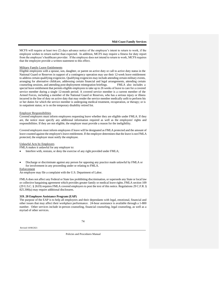MCFS will require at least two (2) days advance notice of the employee's intent to return to work, if the employee wishes to return earlier than expected. In addition, MCFS may require a fitness for duty report from the employee's healthcare provider. If the employee does not intend to return to work, MCFS requires that the employee provide a written statement to this effect.

#### Military Family Leave Entitlements

Eligible employees with a spouse, son, daughter, or parent on active duty or call to active duty status in the National Guard or Reserves in support of a contingency operation may use their 12-week leave entitlement to address certain qualifying exigencies. Qualifying exigencies may include attending certain military events, arranging for alternative childcare, addressing certain financial and legal arrangements, attending certain counseling sessions, and attending post-deployment reintegration briefings. FMLA also includes a special leave entitlement that permits eligible employees to take up to 26 weeks of leave to care for a covered service member during a single 12-month period. A covered service member is a current member of the Armed Forces, including a member of the National Guard or Reserves, who has a serious injury or illness incurred in the line of duty on active duty that may render the service member medically unfit to perform his or her duties for which the service member is undergoing medical treatment, recuperation, or therapy; or is in outpatient status; or is on the temporary disability retired list.

#### Employer Responsibilities

Covered employers must inform employees requesting leave whether they are eligible under FMLA. If they are, the notice must specify any additional information required as well as the employees' rights and responsibilities. If they are not eligible, the employer must provide a reason for the ineligibility.

Covered employers must inform employees if leave will be designated as FMLA protected and the amount of leave counted against the employee's leave entitlement. If the employer determines that the leave is not FMLA protected, the employer must notify the employee.

#### Unlawful Acts by Employers

FMLA makes it unlawful for any employer to:

- Interfere with, restrain, or deny the exercise of any right provided under FMLA;
- Discharge or discriminate against any person for opposing any practice made unlawful by FMLA or for involvement in any proceeding under or relating to FMLA.

#### Enforcement

An employee may file a complaint with the U.S. Department of Labor.

FMLA does not affect any Federal or State law prohibiting discrimination, or supersede any State or local law or collective bargaining agreement which provides greater family or medical leave rights. FMLA section 109 (29 U.S.C. § 2619) requires FMLA covered employers to post the text of this notice. Regulations 29 C.F.R. § 825.300(a) may require additional disclosures.

# **319. 20 Employee Assistance Program (EAP)**

The purpose of the EAP is to help all employees and their dependants with legal, emotional, financial and other issues that may affect their workplace performance. 24-hour assistance is available through a 1-800 number. Other services include in-person counseling, financial counseling, legal counseling, as well as a myriad of other services.

74

Revised 10/08/2021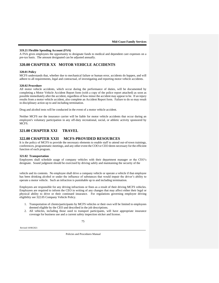## **319.21 Flexible Spending Account (FSA)**

A FSA gives employees the opportunity to designate funds to medical and dependent care expenses on a pre-tax basis. The amount designated can be adjusted annually.

# **320.00 CHAPTER XX MOTOR VEHICLE ACCIDENTS**

## **320.01 Policy**

MCFS understands that, whether due to mechanical failure or human error, accidents do happen, and will adhere to all requirements, legal and contractual, of investigating and reporting motor vehicle accidents.

# **320.02 Procedure**

All motor vehicle accidents, which occur during the performance of duties, will be documented by completing a Motor Vehicle Accident Report form (with a copy of the police report attached) as soon as possible immediately after the accident, regardless of how minor the accident may appear to be. If an injury results from a motor vehicle accident, also complete an Accident Report form. Failure to do so may result in disciplinary action up to and including termination.

Drug and alcohol tests will be conducted in the event of a motor vehicle accident.

Neither MCFS nor the insurance carrier will be liable for motor vehicle accidents that occur during an employee's voluntary participation in any off-duty recreational, social, or athletic activity sponsored by MCFS.

# **321.00 CHAPTER XXI TRAVEL**

# **322.00 CHAPTER XXII MCFS-PROVIDED RESOURCES**

It is the policy of MCFS to provide the necessary elements to enable staff to attend out-of-town trainings, conferences, programmatic meetings, and any other event the COO or CEO deem necessary for the efficient function of each program.

## **321.02 Transportation**

Employees shall schedule usage of company vehicles with their department manager or the CEO's designate. Sound judgment should be exercised by driving safely and maintaining the security of the

vehicle and its contents. No employee shall drive a company vehicle or operate a vehicle if that employee has been drinking alcohol or under the influence of substances that would impair the driver's ability to operate a motor vehicle. Such an infraction is punishable up to and including termination.

Employees are responsible for any driving infractions or fines as a result of their driving MCFS vehicles. Employees are required to inform the CEO in writing of any changes that may affect either their legal or physical ability to drive or their continued insurance. For regulations governing employee driving eligibility see 322.05 Company Vehicle Policy.

- 1. Transportation of clients/participants by MCFS vehicles or their own will be limited to employees deemed eligible by the CEO and described in the job descriptions.
- 2. All vehicles, including those used to transport participants, will have appropriate insurance coverage for business use and a current safety inspection sticker and license.

75

Revised 10/08/2021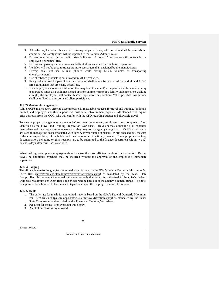- 3. All vehicles, including those used to transport participants, will be maintained in safe driving condition. All safety issues will be reported to the Vehicle Administrator.
- 4. Drivers must have a current valid driver's license. A copy of the license will be kept in the employee's personnel file.
- 5. Drivers and passengers must wear seatbelts at all times when the veicle is in operation.
- 6. Vehicles will not be used to transport more passengers than designed by the manufacturer.
- 7. Drivers shall not use cellular phones while diving MCFS vehicles or transporting client/participants.
- 8. Use of tobacco products is not allowed in MCFS vehicles.
- 9. Every vehicle used for participant transportation shall have a fully stocked first aid kit and A:B:C fire extinguisher that are easily accessible.
- 10. If an employee encounters a situation that may lead to a client/participant's health or safety being jeopardized (such as a child not picked up from summer camp or a family violence client walking at night) the employee shall contact his/her supervisor for direction. When possible, taxi service shall be utilized to transport said client/participant.

#### **321.03 Making Arrangements**

While MCFS makes every effort to accommodate all reasonable requests for travel and training, funding is limited, and employees and their supervisors must be selective in their requests. All planned trips require prior approval from the COO, who will confer with the CFO regarding budget and allowable travel.

To ensure proper arrangements are made before travel commences, employees must complete a form identified as the Travel and Training Preparation Worksheet. Travelers may either incur all expenses themselves and then request reimbursement or they may use an agency charge card. MCFS' credit cards are used to manage the costs associated with agency travel-related expenses. While checked out, the card is the sole responsibility of the holder and must be returned in a timely manner. The appropriate back-up documentation, including original receipts, are to be submitted to the finance department within two (2) business days after travel has concluded.

When making travel plans, employees should choose the most efficient mode of transportation. During travel, no additional expenses may be incurred without the approval of the employee's immediate supervisor.

# **321.04 Lodging**

The allowable rate for lodging for authorized travel is based on the GSA's Federal Domestic Maximum Per Diem Rats [\(https://fmx.cpa.state.tx.us/fm/travel/transvelrates.php\)](https://fmx.cpa.state.tx.us/fm/travel/transvelrates.php) as mandated by the Texas State Comptroller. In the event the actual daily rate exceeds that which is authorized in the GSA's Federal Domestic Maximum Per Diem Rates, the excess will be paid out of the agency's general funds. The hotel receipt must be submitted to the Finance Department upon the employee's return from travel.

## **321.05 Meals**

- 1. The daily rate for meals for authorized travel is based on the GSA's Federal Domestic Maximum Per Diem Rates [\(https://fmx.cpa.state.tx.us/fm/travel/travelrates.php\)](https://fmx.cpa.state.tx.us/fm/travel/travelrates.php) as mandated by the Texas State Comptroller and recorded on the Travel and Training Worksheet.
- 2. Per diem for meals is for overnight travel only.
- 3. Alcohol purchase is not allowed.

76

Revised 10/08/2021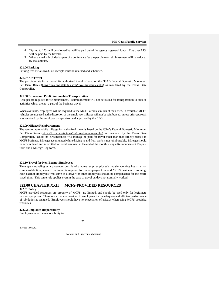- 4. Tips up to 15% will be allowed but will be paid out of the agency's general funds. Tips over 15% will be paid by the traveler.
- 5. When a meal is included as part of a conference fee the per diem or reimbursement will be reduced by that amount.

## **321.06 Parking**

Parking fees are allowed, but receipts must be retained and submitted.

# **321.07 Air Travel**

The per diem rate for air travel for authorized travel is based on the GSA's Federal Domestic Maximum Per Diem Rates [\(https://fmx.cpa.state.tx.us/fm/travel/travelrates.php\)](https://fmx.cpa.state.tx.us/fm/travel/travelrates.php) as mandated by the Texas State Comptroller.

# **321.08 Private and Public Automobile Transportation**

Receipts are required for reimbursement. Reimbursement will not be issued for transportation to outside activities which are not a part of the business travel.

When available, employees will be required to use MCFS vehicles in lieu of their own. If available MCFS vehicles are not used at the discretion of the employee, mileage will not be reimbursed, unless prior approval was received by the employee's supervisor and approved by the CEO.

# **321.09 Mileage Reimbursement**

The rate for automobile mileage for authorized travel is based on the GSA's Federal Domestic Maximum Per Diem Rates [\(https://fmx.cpa.stte.tx.us/fm/travel/travelrates.php\)](https://fmx.cpa.stte.tx.us/fm/travel/travelrates.php) as mandated by the Texas State Comptroller. Under no circumstances will mileage be paid for travel other than that directly related to MCFS business. Mileage accumulated while driving to and from work is not reimbursable. Mileage should be accumulated and submitted for reimbursement at the end of the month, using a Reimbursement Request form and a Mileage Log form.

## **321.10 Travel for Non-Exempt Employees**

Time spent traveling as a passenger outside of a non-exempt employee's regular working hours, is not compensable time, even if the travel is required for the employee to attend MCFS business or training. Mon-exempt employees who serve as a driver for other employees should be compensated for the entire travel time. This same rule applies even in the case of travel on days not normally worked.

# **322.00 CHAPTER XXII MCFS-PROVIDED RESOURCES**

# **322.01 Policy**

MCFS-provided resources are property of MCFS, are limited, and should be used only for legitimate business purposes. These resources are provided to employees for the adequate and efficient performance of job duties as assigned. Employees should have no expectation of privacy when using MCFS-provided resources.

## **322.02 Employee Responsibility**

Employees have the responsibility to:

77

Revised 10/08/2021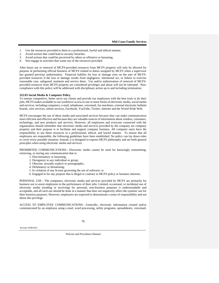- 1. Use the resources provided to them in a professional, lawful and ethical manner.
- 2. Avoid actions that could lead to security breaches.
- 3. Avoid actions that could be perceived by others as offensive or harassing.
- 4. Not engage in activities that waste use of the resources provided.

After hours use or removal of MCFS-provided resources from MCFS property will only be allowed for purpose of performing official business of MCFS related to duties assigned by MCFS when a supervisor has granted previous authorization. Financial liability for loss or damage rests on the user of MCFSprovided resources if the loss or damage results from negligence, intentional act, or failure to exercise reasonable care, safeguard, maintain and service them. Use and/or authorization of removal of MCFSprovided resources from MCFS property are considered privileges and abuse will not be tolerated. Noncompliance with this policy will be addressed with disciplinary action up to and including termination.

#### **322.03 Social Media & Computer Policy**

To remain competitive, better serve our clients and provide our employees with the best tools to do their jobs, MCFS makes available to our workforce access to one or more forms of electronic media, social media and services, including computers, e-mail, telephones, voicemail, fax machines, external electronic bulletin boards, wire services, online services, Facebook, YouTube, Twitter, Internet and the World Wide Web.

MCFS encourages the use of these media and associated services because they can make communication more efficient and effective and because they are valuable sources of information about vendors, customers, technology, and new products and services. However, all employees and everyone connected with the organization should remember that electronic media and services provided by the company are company property and their purpose is to facilitate and support company business. All computer users have the responsibility to use these resources in a professional, ethical, and lawful manner. To ensure that all employees are responsible, the following guidelines have been established. No policy can lay down rules to cover every possible situation. Instead, it is designed to express MCFS philosophy and set forth general principles when using electronic media and services.

PROHIBITED COMMUNICATIONS—Electronic media cannot be used for knowingly transmitting, retrieving, or storing any communication that is:

- 1. Discriminatory or harassing;
- 2. Derogatory to any individual or group;
- 3. Obscene, sexually explicit or pornographic;
- 4. Defamatory or threatening;
- 5. In violation of any license governing the use of software; or
- 6. Engaged in for any purpose that is illegal or contrary to MCFS policy or business interests.

PERSONAL USE—The computers, electronic media and services provided by MCFS are primarily for business use to assist employees in the performance of their jobs. Limited, occasional, or incidental use of electronic media (sending or receiving) for personal, non-business purposes is understandable and acceptable, and all such use should be done in a manner that does not negatively affect the systems' use for their business purposes. However, employees are expected to demonstrate a sense of responsibility and not abuse this privilege.

ACCESS TO EMPLOYEE COMMUNICATIONS—Generally, electronic information created and/or communicated by an employee using e-mail, word processing, utility programs, spreadsheets, voicemail,

78

Revised 10/08/2021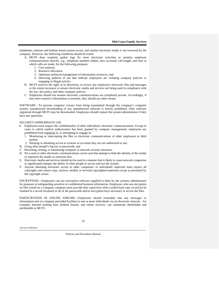telephones, Internet and bulletin board system access, and similar electronic media is not reviewed by the company. However, the following conditions should be noted:

- A. MCFS does routinely gather logs for most electronic activities or monitor employee communications directly, e.g., telephone numbers dialed, sites accessed, call length, and time at which calls are made, for the following purposes:
	- 1. Cost analysis;
	- 2. Resource allocation;
	- 3. Optimum technical management of information resources; and
	- 4. Detecting patterns of use that indicate employees are violating company policies or engaging in illegal activity.
- B. MCFS reserves the right, at its discretion, to review any employee's electronic files and messages to the extent necessary to ensure electronic media and services are being used in compliance with the law, this policy and other company policies.
- C. Employees should not assume electronic communications are completely private. Accordingly, if they have sensitive information to transmit, they should use other means.

SOFTWARE—To prevent computer viruses from being transmitted through the company's computer system, unauthorized downloading of any unauthorized software is strictly prohibited. Only software registered through MCFS may be downloaded. Employees should contact the system administrator if they have any questions.

#### SECURITY/APPROPRIATE USE

- A. Employees must respect the confidentiality of other individuals' electronic communications. Except in cases in which explicit authorization has been granted by company management, employees are prohibited from engaging in, or attempting to engage in:
	- 1. Monitoring or intercepting the files or electronic communications of other employees or third parties;
	- 2. Hacking or obtaining access to systems or accounts they are not authorized to use;
- B. Using other people's log-ins or passwords; and
- C. Breaching, testing, or monitoring computer or network security measures.
- D. No e-mail or other electronic communications can be sent that attempt to hide the identity of the sender or represent the sender as someone else.
- E. Electronic media and services should not be used in a manner that is likely to cause network congestion or significantly hamper the ability of other people to access and use the system.
- F. Anyone obtaining electronic access to other companies' or individuals' materials must respect all copyrights and cannot copy, retrieve, modify or forward copyrighted materials except as permitted by the copyright owner.

ENCRYPTION—Employees can use encryption software supplied to them by the systems administrator for purposes of safeguarding sensitive or confidential business information. Employees who use encryption on files stored on a company computer must provide their supervisor with a sealed hard copy record (to be retained in a secure location) of all of the passwords and/or encryption keys necessary to access the files.

PARTICIPATION IN ONLINE FORUMS—Employees should remember that any messages or information sent on company-provided facilities to one or more individuals via an electronic network—for example, Internet mailing lists, bulletin boards, and online services—are statements identifiable and attributable to MCFS.

79

Revised 10/08/2021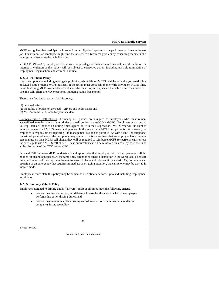MCFS recognizes that participation in some forums might be important to the performance of an employee's job. For instance, an employee might find the answer to a technical problem by consulting members of a news group devoted to the technical area.

VIOLATIONS—Any employee who abuses the privilege of their access to e-mail, social media or the Internet in violation of this policy will be subject to corrective action, including possible termination of employment, legal action, and criminal liability.

## **322.04 Cell Phone Policy**

Use of cell phones (including texting) is prohibited while driving MCFS vehicles or while you are driving on MCFS time or doing MCFS business. If the driver must use a cell phone while driving on MCFS time, or while driving MCFS owned/leased vehicle, s/he must stop safely, secure the vehicle and then make or take the call. There are NO exceptions, including hands-free phones.

There are a few basic reasons for this policy:

- (1) personal safety;
- (2) the safety of others on the road drivers and pedestrians; and
- (3) MCFS can be held liable for your accident.

Company Issued Cell Phones—Company cell phones are assigned to employees who must remain accessible due to the nature of their duties at the discretion of the COO and CEO. Employees are expected to keep their cell phones on during times agreed on with their supervisor. MCFS reserves the right to monitor the use of all MCFS owned cell phones. In the event that a MCFS cell phone is lost or stolen, the employee is responsible for reporting it to management as soon as possible. As with a land line telephone, occasional personal use of the cell phone may occur. If it is determined that an employee has excessive personal use on their MCFS cell phone, they will be required to reimburse MCFS for personal calls or lose the privilege to use a MCFS cell phone. These circumstances will be reviewed on a case-by-case basis and at the discretion of the COO and/or CEO.

Personal Cell Phones—MCFS understands and appreciates that employees utilize their personal cellular phones for business purposes. At the same time, cell phones can be a distraction in the workplace. To ensure the effectiveness of meetings, employees are asked to leave cell phones at their desk. Or, on the unusual occasion of an emergency that requires immediate or on-going attention, the cell phone may be carried in vibrate mode.

Employees who violate this policy may be subject to disciplinary actions, up to and including employment termination.

# **322.05 Company Vehicle Policy**

Employees assigned to driving duties ("drivers") must at all times meet the following criteria:

- drivers must have a current, valid driver's license for the state in which the employee performs his or her driving duties; and
- drivers must maintain a clean driving record in order to remain insurable under our company's insurance policy.

80

Revised 10/08/2021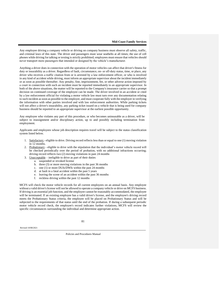Any employee driving a company vehicle or driving on company business must observe all safety, traffic, and criminal laws of this state. The driver and passengers must wear seatbelts at all times; the use of cell phones while driving for talking or texting is strictly prohibited; employees must ensure that vehicles should never transport more passengers that intended or designed by the vehicle's manufacturer.

Anything a driver does in connection with the operation of motor vehicles can affect that driver's fitness for duty or insurability as a driver. Regardless of fault, circumstance, on- or off-duty status, time, or place, any driver who receives a traffic citation from or is arrested by a law enforcement officer, or who is involved in any kind of accident while driving, must inform an appropriate supervisor about the incident immediately or as soon as possible thereafter. Any penalty, fine, imprisonment, fee, or other adverse action imposed by a court in connection with such an incident must be reported immediately to an appropriate supervisor. In both of the above situations, the matter will be reported to the Company's insurance carrier so that a prompt decision on continued coverage of the employee can be made. The driver involved in an accident or cited by a law enforcement official for violating a motor vehicle law must turn over any documentation relating to such incident as soon as possible to the employer, and must cooperate fully with the employer in verifying the information with other parties involved and with law enforcement authorities. While parking tickets will not affect a driver's insurability, any parking ticket issued on a vehicle that is being used for company business should be reported to an appropriate supervisor at the earliest possible opportunity.

Any employee who violates any part of this procedure, or who becomes uninsurable as a driver, will be subject to reassignment and/or disciplinary action, up to and possibly including termination from employment.

Applicants and employees whose job description requires travel will be subject to the status classification system listed below.

- 1. Satisfactory eligible to drive. Driving record reflects less than or equal to one (1) moving violation in 12 months.
- 2. Probationary eligible to drive with the stipulation that the individual's motor vehicle record will be checked periodically over the period of probation, with no additional infractions occurring; driving record reflects two (2) moving violations in past 24 months
- 3. Unacceptable ineligible to drive as part of their duties
	- a. suspended or revoked license
	- b. three (3) or more moving violations in the past 36 months
	- c. one (1) or more DUIs/DWIs within the past 24 months
	- d. at fault in a fatal accident within the past 5 years
	- e. leaving the scene of an accident within the past 36 months
	- f. reckless driving within the past 12 months

MCFS will check the motor vehicle records for all current employees on an annual basis. Any employee without a valid driver's license will not be allowed to operate a company vehicle or drive on MCFS business. If driving is an essential job function, and the employee cannot be reasonably accommodated, the employee will be terminated. If an existing employee has a valid driver's license, and the employee's driving record meets the Probationary Status criteria, the employee will be placed on Probationary Status and will be subjected to the requirements of that status until the end of the probation. If during a subsequent periodic motor vehicle record check, the employee's record indicates further violations, MCFS will review the specific circumstances surrounding the individual and determine appropriate action.

81

Revised 10/08/2021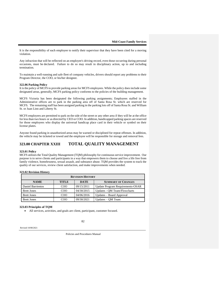It is the responsibility of each employee to notify their supervisor that they have been cited for a moving violation.

Any infraction that will be reflected on an employee's driving record, even those occurring during personal occasions, must be declared. Failure to do so may result in disciplinary action, up to and including termination.

To maintain a well-running and safe fleet of company vehicles, drivers should report any problems to their Program Director, the COO, or his/her designee.

# **322.06 Parking Policy**

It is the policy of MCFS to provide parking areas for MCFS employees. While the policy does include some designated areas, generally, MCFS parking policy conforms to the policies of the building management.

MCFS Victoria has been designated the following parking assignments; Employees staffed in the Administrative offices are to park in the parking area off of Santa Rosa St. which are reserved for MCFS. The remaining staff has been assigned parking in the parking lots off of Santa Rosa St. and William St. or Juan Linn and Liberty St.

MCFS employees are permitted to park on the side of the street or any other area if they will be at the office for less than two hours or as directed by CEO or COO. In addition, handicapped parking spaces are reserved for those employees who display the universal handicap place card in their vehicle or symbol on their license plates.

Anyone found parking in unauthorized areas may be warned or disciplined for repeat offenses. In addition, the vehicle may be ticketed or towed and the employee will be responsible for storage and removal fees.

# **323.00 CHAPTER XXIII TOTAL QUALITY MANAGEMENT**

# **323.01 Policy**

MCFS utilizesthe Total Quality Management (TQM) philosophy for continuous service improvement. Our purpose is to serve clients and participants in a way that empowers them to choose and live a life free from family violence, homelessness, sexual assault, and substance abuse. TQM provides the system to track the quality of our services, review client satisfaction, and make improvements when needed.

# **323.02 Revision History**

| <b>REVISION HISTORY</b>  |                 |             |                                  |
|--------------------------|-----------------|-------------|----------------------------------|
| <b>NAME</b>              | <b>TITLE</b>    | <b>DATE</b> | <b>SUMMARY OF CHANGES</b>        |
| <b>Daniel Barrientos</b> | CO <sub>O</sub> | 09/15/2011  | Update Program Requirements-OSAR |
| <b>Brett Jones</b>       | CO <sub>O</sub> | 04/30/2015  | Updates - OM Team/Flowcharts     |
| <b>Brett Jones</b>       | CO <sub>O</sub> | 04/06/2016  | Updates – Board Approval         |
| <b>Brett Jones</b>       | COO             | 09/30/2021  | Updates $-$ QM Team              |

## **323.03 Principles of TQM**

• All services, activities, and goals are client, participant, customer focused.

82

Revised 10/08/2021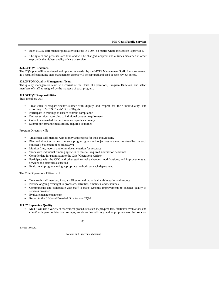- Each MCFS staff member plays a critical role in TQM, no matter where the service is provided.
- The system and processes are fluid and will be changed, adapted, and at times discarded in order to provide the highest quality of care or service.

## **323.04 TQM Revisions**

The TQM plan will be reviewed and updated as needed by the MCFS Management Staff. Lessons learned as a result of continuing staff management efforts will be captured and used at each review period.

# **323.05 TQM Quality Management Team**

The quality management team will consist of the Chief of Operations, Program Directors, and select members of staff as assigned by the mangers of each program.

# **323.06 TQM Responsibilities**

Staff members will:

- Treat each client/participant/customer with dignity and respect for their individuality, and according to MCFS Clients' Bill of Rights
- Participate in trainings to ensure contract compliance
- Deliver services according to individual contract requirements
- Collect data needed for performance reports accurately
- Submit performance measures by required deadlines

Program Directors will:

- Treat each staff member with dignity and respect for their individuality
- Plan and direct activities to ensure program goals and objectives are met, as described in each contract's Statement of Work (SOW)
- Monitor files, reports, and other documentation for accuracy
- Work with individual funding agencies to meet all required submission deadlines
- Compile data for submission to the Chief Operations Officer
- Participate with the COO and other staff to make changes, modifications, and improvements to services and activities as needed
- Evaluate all programs using appropriate methods per each department

The Chief Operations Officer will:

- Treat each staff member, Program Director and individual with integrity and respect
- Provide ongoing oversight to processes, activities, timelines, and resources
- Communicate and collaborate with staff to make systemic improvements to enhance quality of services provided
- Evaluate management team
- Report to the CEO and Board of Directors on TQM

# **323.07 Improving Quality**

• MCFS will use a variety of assessment procedures such as, pre/post-test, facilitator evaluations and client/participant satisfaction surveys, to determine efficacy and appropriateness. Information

83

Revised 10/08/2021